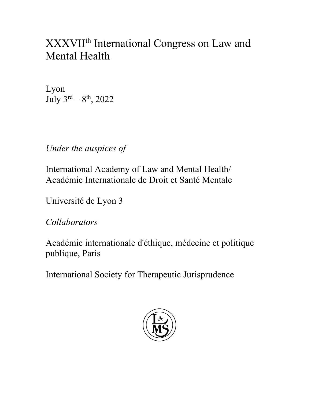# XXXVIIth International Congress on Law and Mental Health

Lyon July  $3^{rd} - 8^{th}$ , 2022

*Under the auspices of*

International Academy of Law and Mental Health/ Académie Internationale de Droit et Santé Mentale

Université de Lyon 3

*Collaborators*

Académie internationale d'éthique, médecine et politique publique, Paris

International Society for Therapeutic Jurisprudence

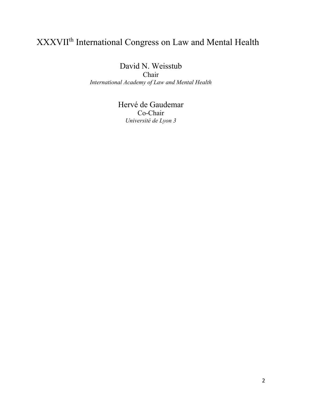# XXXVIIth International Congress on Law and Mental Health

David N. Weisstub

Chair *International Academy of Law and Mental Health*

> Hervé de Gaudemar Co-Chair *Université de Lyon 3*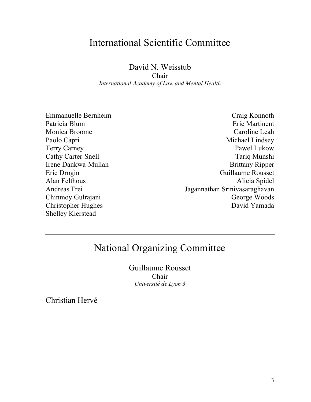### International Scientific Committee

David N. Weisstub

Chair *International Academy of Law and Mental Health*

Emmanuelle Bernheim Patricia Blum Monica Broome Paolo Capri Terry Carney Cathy Carter-Snell Irene Dankwa-Mullan Eric Drogin Alan Felthous Andreas Frei Chinmoy Gulrajani Christopher Hughes Shelley Kierstead

Craig Konnoth Eric Martinent Caroline Leah Michael Lindsey Pawel Lukow Tariq Munshi Brittany Ripper Guillaume Rousset Alicia Spidel Jagannathan Srinivasaraghavan George Woods David Yamada

## National Organizing Committee

Guillaume Rousset Chair *Université de Lyon 3*

Christian Hervé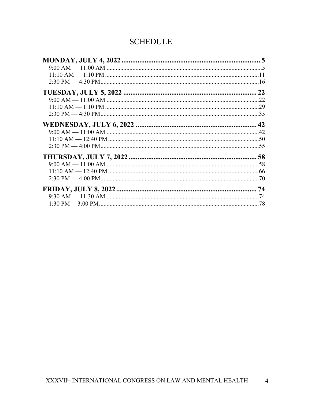### **SCHEDULE**

| $9:00$ AM $-11:00$ AM $\ldots$ $\ldots$ $\ldots$ $\ldots$ $\ldots$ $\ldots$ $\ldots$ $\ldots$ $\ldots$ $\ldots$ $\ldots$ $\ldots$ $\ldots$ $\ldots$ $\ldots$ $\ldots$                                                                                                                                                          |  |
|--------------------------------------------------------------------------------------------------------------------------------------------------------------------------------------------------------------------------------------------------------------------------------------------------------------------------------|--|
|                                                                                                                                                                                                                                                                                                                                |  |
|                                                                                                                                                                                                                                                                                                                                |  |
|                                                                                                                                                                                                                                                                                                                                |  |
|                                                                                                                                                                                                                                                                                                                                |  |
|                                                                                                                                                                                                                                                                                                                                |  |
|                                                                                                                                                                                                                                                                                                                                |  |
|                                                                                                                                                                                                                                                                                                                                |  |
|                                                                                                                                                                                                                                                                                                                                |  |
|                                                                                                                                                                                                                                                                                                                                |  |
|                                                                                                                                                                                                                                                                                                                                |  |
|                                                                                                                                                                                                                                                                                                                                |  |
| $9:00$ AM $-11:00$ AM $\ldots$ $\ldots$ $\ldots$ $\ldots$ $\ldots$ $\ldots$ $\ldots$ $\ldots$ $\ldots$ $\ldots$ $\ldots$ $\ldots$ $\ldots$ $\ldots$ $\ldots$ $\ldots$ $\ldots$ $\ldots$ $\ldots$ $\ldots$ $\ldots$ $\ldots$ $\ldots$ $\ldots$ $\ldots$ $\ldots$ $\ldots$ $\ldots$ $\ldots$ $\ldots$ $\ldots$ $\ldots$ $\ldots$ |  |
|                                                                                                                                                                                                                                                                                                                                |  |
|                                                                                                                                                                                                                                                                                                                                |  |
|                                                                                                                                                                                                                                                                                                                                |  |
| $9:30$ AM $-11:30$ AM $\ldots$ $\ldots$ $\ldots$ $\ldots$ $\ldots$ $\ldots$ $\ldots$ $\ldots$ $\ldots$ $\ldots$ $\ldots$ $\ldots$ $\ldots$ $\ldots$ $\ldots$ $\ldots$ $\ldots$ $\ldots$ $\ldots$ $\ldots$ $\ldots$ $\ldots$ $\ldots$ $\ldots$ $\ldots$ $\ldots$ $\ldots$ $\ldots$ $\ldots$ $\ldots$ $\ldots$ $\ldots$ $\ldots$ |  |
|                                                                                                                                                                                                                                                                                                                                |  |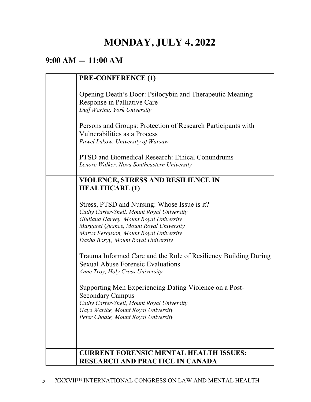# **MONDAY, JULY 4, 2022**

## **9:00 AM — 11:00 AM**

| <b>PRE-CONFERENCE (1)</b>                                                                                                                                                                                                                                         |
|-------------------------------------------------------------------------------------------------------------------------------------------------------------------------------------------------------------------------------------------------------------------|
| Opening Death's Door: Psilocybin and Therapeutic Meaning<br>Response in Palliative Care<br>Duff Waring, York University                                                                                                                                           |
| Persons and Groups: Protection of Research Participants with<br>Vulnerabilities as a Process<br>Pawel Lukow, University of Warsaw                                                                                                                                 |
| <b>PTSD and Biomedical Research: Ethical Conundrums</b><br>Lenore Walker, Nova Southeastern University                                                                                                                                                            |
| <b>VIOLENCE, STRESS AND RESILIENCE IN</b><br><b>HEALTHCARE (1)</b>                                                                                                                                                                                                |
| Stress, PTSD and Nursing: Whose Issue is it?<br>Cathy Carter-Snell, Mount Royal University<br>Giuliana Harvey, Mount Royal University<br>Margaret Quance, Mount Royal University<br>Marva Ferguson, Mount Royal University<br>Dasha Bosyy, Mount Royal University |
| Trauma Informed Care and the Role of Resiliency Building During<br><b>Sexual Abuse Forensic Evaluations</b><br>Anne Troy, Holy Cross University                                                                                                                   |
| Supporting Men Experiencing Dating Violence on a Post-<br><b>Secondary Campus</b><br>Cathy Carter-Snell, Mount Royal University<br>Gaye Warthe, Mount Royal University<br>Peter Choate, Mount Royal University                                                    |
| <b>CURRENT FORENSIC MENTAL HEALTH ISSUES:</b>                                                                                                                                                                                                                     |
| <b>RESEARCH AND PRACTICE IN CANADA</b>                                                                                                                                                                                                                            |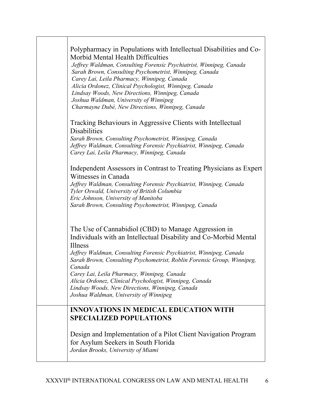| Polypharmacy in Populations with Intellectual Disabilities and Co-<br>Morbid Mental Health Difficulties<br>Jeffrey Waldman, Consulting Forensic Psychiatrist, Winnipeg, Canada<br>Sarah Brown, Consulting Psychometrist, Winnipeg, Canada<br>Carey Lai, Leila Pharmacy, Winnipeg, Canada<br>Alicia Ordonez, Clinical Psychologist, Winnipeg, Canada<br>Lindsay Woods, New Directions, Winnipeg, Canada<br>Joshua Waldman, University of Winnipeg<br>Charmayne Dubé, New Directions, Winnipeg, Canada   |
|--------------------------------------------------------------------------------------------------------------------------------------------------------------------------------------------------------------------------------------------------------------------------------------------------------------------------------------------------------------------------------------------------------------------------------------------------------------------------------------------------------|
| Tracking Behaviours in Aggressive Clients with Intellectual<br><b>Disabilities</b><br>Sarah Brown, Consulting Psychometrist, Winnipeg, Canada<br>Jeffrey Waldman, Consulting Forensic Psychiatrist, Winnipeg, Canada<br>Carey Lai, Leila Pharmacy, Winnipeg, Canada                                                                                                                                                                                                                                    |
| Independent Assessors in Contrast to Treating Physicians as Expert<br>Witnesses in Canada<br>Jeffrey Waldman, Consulting Forensic Psychiatrist, Winnipeg, Canada<br>Tyler Oswald, University of British Columbia<br>Eric Johnson, University of Manitoba<br>Sarah Brown, Consulting Psychometrist, Winnipeg, Canada                                                                                                                                                                                    |
| The Use of Cannabidiol (CBD) to Manage Aggression in<br>Individuals with an Intellectual Disability and Co-Morbid Mental<br>Illness<br>Jeffrey Waldman, Consulting Forensic Psychiatrist, Winnipeg, Canada<br>Sarah Brown, Consulting Psychometrist, Roblin Forensic Group, Winnipeg,<br>Canada<br>Carey Lai, Leila Pharmacy, Winnipeg, Canada<br>Alicia Ordonez, Clinical Psychologist, Winnipeg, Canada<br>Lindsay Woods, New Directions, Winnipeg, Canada<br>Joshua Waldman, University of Winnipeg |
| <b>INNOVATIONS IN MEDICAL EDUCATION WITH</b><br><b>SPECIALIZED POPULATIONS</b>                                                                                                                                                                                                                                                                                                                                                                                                                         |
| Design and Implementation of a Pilot Client Navigation Program<br>for Asylum Seekers in South Florida<br>Jordan Brooks, University of Miami                                                                                                                                                                                                                                                                                                                                                            |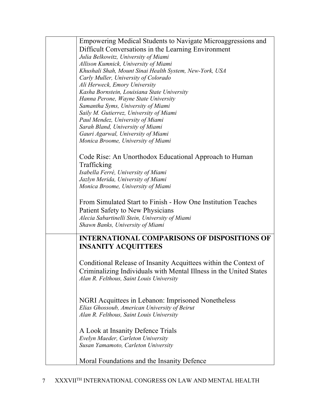| Empowering Medical Students to Navigate Microaggressions and       |
|--------------------------------------------------------------------|
| Difficult Conversations in the Learning Environment                |
| Julia Belkowitz, University of Miami                               |
| Allison Kumnick, University of Miami                               |
| Khushali Shah, Mount Sinai Health System, New-York, USA            |
| Carly Muller, University of Colorado                               |
| Ali Herweck, Emory University                                      |
| Kasha Bornstein, Louisiana State University                        |
| Hanna Perone, Wayne State University                               |
| Samantha Syms, University of Miami                                 |
| Saily M. Gutierrez, University of Miami                            |
| Paul Mendez, University of Miami                                   |
| Sarah Bland, University of Miami                                   |
| Gauri Agarwal, University of Miami                                 |
| Monica Broome, University of Miami                                 |
|                                                                    |
| Code Rise: An Unorthodox Educational Approach to Human             |
|                                                                    |
| Trafficking                                                        |
| Isabella Ferré, University of Miami                                |
| Jazlyn Merida, University of Miami                                 |
| Monica Broome, University of Miami                                 |
|                                                                    |
| From Simulated Start to Finish - How One Institution Teaches       |
| Patient Safety to New Physicians                                   |
| Alecia Sabartinelli Stein, University of Miami                     |
| Shawn Banks, University of Miami                                   |
|                                                                    |
| <b>INTERNATIONAL COMPARISONS OF DISPOSITIONS OF</b>                |
| <b>INSANITY ACQUITTEES</b>                                         |
|                                                                    |
| Conditional Release of Insanity Acquittees within the Context of   |
| Criminalizing Individuals with Mental Illness in the United States |
| Alan R. Felthous, Saint Louis University                           |
|                                                                    |
|                                                                    |
|                                                                    |
| NGRI Acquittees in Lebanon: Imprisoned Nonetheless                 |
| Elias Ghossoub, American University of Beirut                      |
| Alan R. Felthous, Saint Louis University                           |
|                                                                    |
| A Look at Insanity Defence Trials                                  |
| Evelyn Maeder, Carleton University                                 |
| Susan Yamamoto, Carleton University                                |
|                                                                    |
| Moral Foundations and the Insanity Defence                         |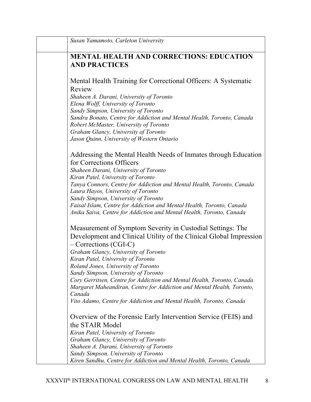| Susan Yamamoto, Carleton University                                                                                                                                                                    |
|--------------------------------------------------------------------------------------------------------------------------------------------------------------------------------------------------------|
| <b>MENTAL HEALTH AND CORRECTIONS: EDUCATION</b><br><b>AND PRACTICES</b>                                                                                                                                |
| Mental Health Training for Correctional Officers: A Systematic<br>Review                                                                                                                               |
| Shaheen A. Darani, University of Toronto<br>Elena Wolff, University of Toronto<br>Sandy Simpson, University of Toronto                                                                                 |
| Sandra Bonato, Centre for Addiction and Mental Health, Toronto, Canada<br>Robert McMaster, University of Toronto<br>Graham Glancy, University of Toronto<br>Jason Quinn, University of Western Ontario |
| Addressing the Mental Health Needs of Inmates through Education<br>for Corrections Officers                                                                                                            |
| Shaheen Darani, University of Toronto                                                                                                                                                                  |
| Kiran Patel, University of Toronto<br>Tanya Connors, Centre for Addiction and Mental Health, Toronto, Canada<br>Laura Hayos, University of Toronto                                                     |
| Sandy Simpson, University of Toronto<br>Faisal Islam, Centre for Addiction and Mental Health, Toronto, Canada<br>Anika Saiva, Centre for Addiction and Mental Health, Toronto, Canada                  |
| Measurement of Symptom Severity in Custodial Settings: The<br>Development and Clinical Utility of the Clinical Global Impression<br>- Corrections (CGI-C)                                              |
| Graham Glancy, University of Toronto<br>Kiran Patel, University of Toronto                                                                                                                             |
| Roland Jones, University of Toronto                                                                                                                                                                    |
| Sandy Simpson, University of Toronto<br>Cory Gerritsen, Centre for Addiction and Mental Health, Toronto, Canada<br>Margaret Maheandiran, Centre for Addiction and Mental Health, Toronto,<br>Canada    |
| Vito Adamo, Centre for Addiction and Mental Health, Toronto, Canada                                                                                                                                    |
| Overview of the Forensic Early Intervention Service (FEIS) and                                                                                                                                         |
| the STAIR Model<br>Kiran Patel, University of Toronto                                                                                                                                                  |
| Graham Glancy, University of Toronto                                                                                                                                                                   |
| Shaheen A. Darani, University of Toronto                                                                                                                                                               |
| Sandy Simpson, University of Toronto                                                                                                                                                                   |
| Kiren Sandhu, Centre for Addiction and Mental Health, Toronto, Canada                                                                                                                                  |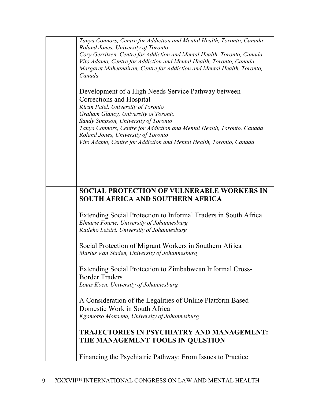| Tanya Connors, Centre for Addiction and Mental Health, Toronto, Canada<br>Roland Jones, University of Toronto<br>Cory Gerritsen, Centre for Addiction and Mental Health, Toronto, Canada<br>Vito Adamo, Centre for Addiction and Mental Health, Toronto, Canada<br>Margaret Maheandiran, Centre for Addiction and Mental Health, Toronto,<br>Canada                                           |
|-----------------------------------------------------------------------------------------------------------------------------------------------------------------------------------------------------------------------------------------------------------------------------------------------------------------------------------------------------------------------------------------------|
| Development of a High Needs Service Pathway between<br>Corrections and Hospital<br>Kiran Patel, University of Toronto<br>Graham Glancy, University of Toronto<br>Sandy Simpson, University of Toronto<br>Tanya Connors, Centre for Addiction and Mental Health, Toronto, Canada<br>Roland Jones, University of Toronto<br>Vito Adamo, Centre for Addiction and Mental Health, Toronto, Canada |
|                                                                                                                                                                                                                                                                                                                                                                                               |
| <b>SOCIAL PROTECTION OF VULNERABLE WORKERS IN</b><br>SOUTH AFRICA AND SOUTHERN AFRICA                                                                                                                                                                                                                                                                                                         |
| Extending Social Protection to Informal Traders in South Africa<br>Elmarie Fourie, University of Johannesburg<br>Katleho Letsiri, University of Johannesburg                                                                                                                                                                                                                                  |
| Social Protection of Migrant Workers in Southern Africa<br>Marius Van Staden, University of Johannesburg                                                                                                                                                                                                                                                                                      |
| Extending Social Protection to Zimbabwean Informal Cross-<br><b>Border Traders</b><br>Louis Koen, University of Johannesburg                                                                                                                                                                                                                                                                  |
| A Consideration of the Legalities of Online Platform Based<br>Domestic Work in South Africa<br>Kgomotso Mokoena, University of Johannesburg                                                                                                                                                                                                                                                   |
| <b>TRAJECTORIES IN PSYCHIATRY AND MANAGEMENT:</b><br>THE MANAGEMENT TOOLS IN QUESTION                                                                                                                                                                                                                                                                                                         |
| Financing the Psychiatric Pathway: From Issues to Practice                                                                                                                                                                                                                                                                                                                                    |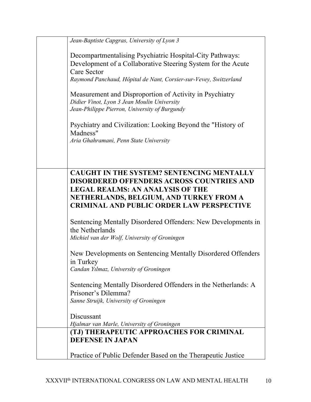| Jean-Baptiste Capgras, University of Lyon 3                                                                                                                                                                                                    |
|------------------------------------------------------------------------------------------------------------------------------------------------------------------------------------------------------------------------------------------------|
| Decompartmentalising Psychiatric Hospital-City Pathways:<br>Development of a Collaborative Steering System for the Acute<br><b>Care Sector</b>                                                                                                 |
| Raymond Panchaud, Hôpital de Nant, Corsier-sur-Vevey, Switzerland                                                                                                                                                                              |
| Measurement and Disproportion of Activity in Psychiatry<br>Didier Vinot, Lyon 3 Jean Moulin University<br>Jean-Philippe Pierron, University of Burgundy                                                                                        |
| Psychiatry and Civilization: Looking Beyond the "History of<br>Madness"<br>Aria Ghahramani, Penn State University                                                                                                                              |
|                                                                                                                                                                                                                                                |
| <b>CAUGHT IN THE SYSTEM? SENTENCING MENTALLY</b><br><b>DISORDERED OFFENDERS ACROSS COUNTRIES AND</b><br><b>LEGAL REALMS: AN ANALYSIS OF THE</b><br>NETHERLANDS, BELGIUM, AND TURKEY FROM A<br><b>CRIMINAL AND PUBLIC ORDER LAW PERSPECTIVE</b> |
| Sentencing Mentally Disordered Offenders: New Developments in<br>the Netherlands<br>Michiel van der Wolf, University of Groningen                                                                                                              |
| New Developments on Sentencing Mentally Disordered Offenders<br>in Turkey<br>Candan Yılmaz, University of Groningen                                                                                                                            |
| Sentencing Mentally Disordered Offenders in the Netherlands: A<br>Prisoner's Dilemma?<br>Sanne Struijk, University of Groningen                                                                                                                |
| Discussant<br>Hjalmar van Marle, University of Groningen                                                                                                                                                                                       |
| (TJ) THERAPEUTIC APPROACHES FOR CRIMINAL<br><b>DEFENSE IN JAPAN</b>                                                                                                                                                                            |
| Practice of Public Defender Based on the Therapeutic Justice                                                                                                                                                                                   |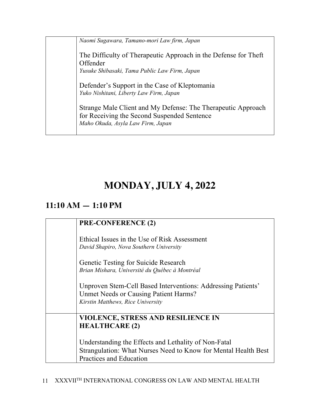*Naomi Sugawara, Tamano-mori Law firm, Japan*

The Difficulty of Therapeutic Approach in the Defense for Theft Offender

*Yusuke Shibasaki, Tama Public Law Firm, Japan*

Defender's Support in the Case of Kleptomania *Yuko Nishitani, Liberty Law Firm, Japan*

Strange Male Client and My Defense: The Therapeutic Approach for Receiving the Second Suspended Sentence *Maho Okuda, Asyla Law Firm, Japan*

# **MONDAY, JULY 4, 2022**

## **11:10 AM — 1:10 PM**

## **PRE-CONFERENCE (2)** Ethical Issues in the Use of Risk Assessment *David Shapiro, Nova Southern University*  Genetic Testing for Suicide Research *Brian Mishara, Université du Québec à Montréal* Unproven Stem-Cell Based Interventions: Addressing Patients' Unmet Needs or Causing Patient Harms? *Kirstin Matthews, Rice University* **VIOLENCE, STRESS AND RESILIENCE IN HEALTHCARE (2)** Understanding the Effects and Lethality of Non-Fatal Strangulation: What Nurses Need to Know for Mental Health Best Practices and Education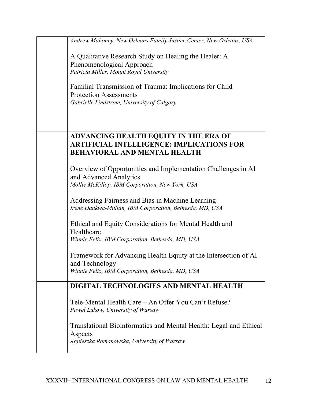| Andrew Mahoney, New Orleans Family Justice Center, New Orleans, USA |
|---------------------------------------------------------------------|
| A Qualitative Research Study on Healing the Healer: A               |
| Phenomenological Approach                                           |
| Patricia Miller, Mount Royal University                             |
|                                                                     |
| Familial Transmission of Trauma: Implications for Child             |
| <b>Protection Assessments</b>                                       |
| Gabrielle Lindstrom, University of Calgary                          |
|                                                                     |
|                                                                     |
| <b>ADVANCING HEALTH EQUITY IN THE ERA OF</b>                        |
| <b>ARTIFICIAL INTELLIGENCE: IMPLICATIONS FOR</b>                    |
| <b>BEHAVIORAL AND MENTAL HEALTH</b>                                 |
|                                                                     |
| Overview of Opportunities and Implementation Challenges in AI       |
| and Advanced Analytics                                              |
| Mollie McKillop, IBM Corporation, New York, USA                     |
|                                                                     |
| Addressing Fairness and Bias in Machine Learning                    |
| Irene Dankwa-Mullan, IBM Corporation, Bethesda, MD, USA             |
|                                                                     |
| Ethical and Equity Considerations for Mental Health and             |
| Healthcare                                                          |
| Winnie Felix, IBM Corporation, Bethesda, MD, USA                    |
|                                                                     |
| Framework for Advancing Health Equity at the Intersection of AI     |
| and Technology                                                      |
| Winnie Felix, IBM Corporation, Bethesda, MD, USA                    |
| DIGITAL TECHNOLOGIES AND MENTAL HEALTH                              |
|                                                                     |
| Tele-Mental Health Care – An Offer You Can't Refuse?                |
| Pawel Lukow, University of Warsaw                                   |
|                                                                     |
| Translational Bioinformatics and Mental Health: Legal and Ethical   |
| Aspects                                                             |
| Agnieszka Romanowska, University of Warsaw                          |
|                                                                     |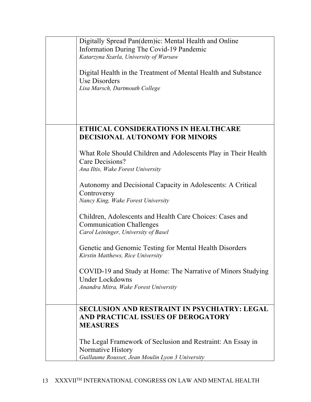| Digitally Spread Pan(dem)ic: Mental Health and Online<br>Information During The Covid-19 Pandemic<br>Katarzyna Szarla, University of Warsaw |
|---------------------------------------------------------------------------------------------------------------------------------------------|
| Digital Health in the Treatment of Mental Health and Substance<br>Use Disorders<br>Lisa Marsch, Dartmouth College                           |
|                                                                                                                                             |
| <b>ETHICAL CONSIDERATIONS IN HEALTHCARE</b><br><b>DECISIONAL AUTONOMY FOR MINORS</b>                                                        |
| What Role Should Children and Adolescents Play in Their Health<br>Care Decisions?<br>Ana Iltis, Wake Forest University                      |
| Autonomy and Decisional Capacity in Adolescents: A Critical<br>Controversy<br>Nancy King, Wake Forest University                            |
| Children, Adolescents and Health Care Choices: Cases and<br><b>Communication Challenges</b><br>Carol Leininger, University of Basel         |
| Genetic and Genomic Testing for Mental Health Disorders<br>Kirstin Matthews, Rice University                                                |
| COVID-19 and Study at Home: The Narrative of Minors Studying<br><b>Under Lockdowns</b><br>Anandra Mitra, Wake Forest University             |
| <b>SECLUSION AND RESTRAINT IN PSYCHIATRY: LEGAL</b><br>AND PRACTICAL ISSUES OF DEROGATORY<br><b>MEASURES</b>                                |
| The Legal Framework of Seclusion and Restraint: An Essay in<br>Normative History<br>Guillaume Rousset, Jean Moulin Lyon 3 University        |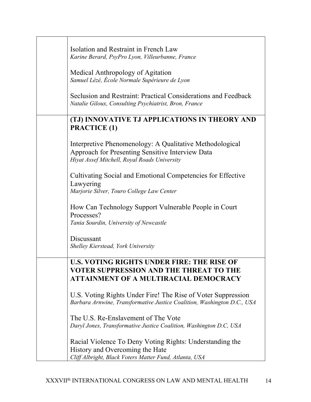| Isolation and Restraint in French Law<br>Karine Berard, PsyPro Lyon, Villeurbanne, France<br>Medical Anthropology of Agitation<br>Samuel Lézé, École Normale Supérieure de Lyon<br>Seclusion and Restraint: Practical Considerations and Feedback<br>Natalie Giloux, Consulting Psychiatrist, Bron, France |
|------------------------------------------------------------------------------------------------------------------------------------------------------------------------------------------------------------------------------------------------------------------------------------------------------------|
| (TJ) INNOVATIVE TJ APPLICATIONS IN THEORY AND<br><b>PRACTICE (1)</b>                                                                                                                                                                                                                                       |
| Interpretive Phenomenology: A Qualitative Methodological<br>Approach for Presenting Sensitive Interview Data<br>Hiyat Assef Mitchell, Royal Roads University                                                                                                                                               |
| Cultivating Social and Emotional Competencies for Effective<br>Lawyering<br>Marjorie Silver, Touro College Law Center                                                                                                                                                                                      |
| How Can Technology Support Vulnerable People in Court<br>Processes?<br>Tania Sourdin, University of Newcastle                                                                                                                                                                                              |
| Discussant<br>Shelley Kierstead, York University                                                                                                                                                                                                                                                           |
| <b>U.S. VOTING RIGHTS UNDER FIRE: THE RISE OF</b><br>VOTER SUPPRESSION AND THE THREAT TO THE<br><b>ATTAINMENT OF A MULTIRACIAL DEMOCRACY</b>                                                                                                                                                               |
| U.S. Voting Rights Under Fire! The Rise of Voter Suppression<br>Barbara Arnwine, Transformative Justice Coalition, Washington D.C., USA                                                                                                                                                                    |
| The U.S. Re-Enslavement of The Vote<br>Daryl Jones, Transformative Justice Coalition, Washington D.C, USA                                                                                                                                                                                                  |
| Racial Violence To Deny Voting Rights: Understanding the<br>History and Overcoming the Hate<br>Cliff Albright, Black Voters Matter Fund, Atlanta, USA                                                                                                                                                      |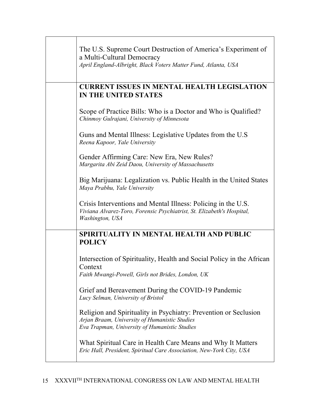| The U.S. Supreme Court Destruction of America's Experiment of<br>a Multi-Cultural Democracy<br>April England-Albright, Black Voters Matter Fund, Atlanta, USA      |
|--------------------------------------------------------------------------------------------------------------------------------------------------------------------|
| <b>CURRENT ISSUES IN MENTAL HEALTH LEGISLATION</b><br><b>IN THE UNITED STATES</b>                                                                                  |
| Scope of Practice Bills: Who is a Doctor and Who is Qualified?<br>Chinmoy Gulrajani, University of Minnesota                                                       |
| Guns and Mental Illness: Legislative Updates from the U.S<br>Reena Kapoor, Yale University                                                                         |
| Gender Affirming Care: New Era, New Rules?<br>Margarita Abi Zeid Daou, University of Massachusetts                                                                 |
| Big Marijuana: Legalization vs. Public Health in the United States<br>Maya Prabhu, Yale University                                                                 |
| Crisis Interventions and Mental Illness: Policing in the U.S.<br>Viviana Alvarez-Toro, Forensic Psychiatrist, St. Elizabeth's Hospital,<br>Washington, USA         |
| SPIRITUALITY IN MENTAL HEALTH AND PUBLIC<br><b>POLICY</b>                                                                                                          |
| Intersection of Spirituality, Health and Social Policy in the African<br>Context<br>Faith Mwangi-Powell, Girls not Brides, London, UK                              |
| Grief and Bereavement During the COVID-19 Pandemic<br>Lucy Selman, University of Bristol                                                                           |
| Religion and Spirituality in Psychiatry: Prevention or Seclusion<br>Arjan Braam, University of Humanistic Studies<br>Eva Trapman, University of Humanistic Studies |
| What Spiritual Care in Health Care Means and Why It Matters<br>Eric Hall, President, Spiritual Care Association, New-York City, USA                                |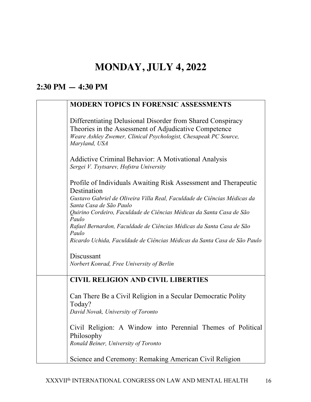# **MONDAY, JULY 4, 2022**

## **2:30 PM — 4:30 PM**

### **MODERN TOPICS IN FORENSIC ASSESSMENTS**

| Differentiating Delusional Disorder from Shared Conspiracy<br>Theories in the Assessment of Adjudicative Competence<br>Weare Ashley Zwemer, Clinical Psychologist, Chesapeak PC Source,<br>Maryland, USA                                   |
|--------------------------------------------------------------------------------------------------------------------------------------------------------------------------------------------------------------------------------------------|
| <b>Addictive Criminal Behavior: A Motivational Analysis</b><br>Sergei V. Tsytsarev, Hofstra University                                                                                                                                     |
| Profile of Individuals Awaiting Risk Assessment and Therapeutic<br>Destination<br>Gustavo Gabriel de Oliveira Villa Real, Faculdade de Ciências Médicas da<br>Santa Casa de São Paulo                                                      |
| Quirino Cordeiro, Faculdade de Ciências Médicas da Santa Casa de São<br>Paulo<br>Rafael Bernardon, Faculdade de Ciências Médicas da Santa Casa de São<br>Paulo<br>Ricardo Uchida, Faculdade de Ciências Médicas da Santa Casa de São Paulo |
| Discussant<br>Norbert Konrad, Free University of Berlin                                                                                                                                                                                    |
| <b>CIVIL RELIGION AND CIVIL LIBERTIES</b>                                                                                                                                                                                                  |
| Can There Be a Civil Religion in a Secular Democratic Polity<br>Today?<br>David Novak, University of Toronto                                                                                                                               |
| Civil Religion: A Window into Perennial Themes of Political<br>Philosophy<br>Ronald Beiner, University of Toronto                                                                                                                          |
| Science and Ceremony: Remaking American Civil Religion                                                                                                                                                                                     |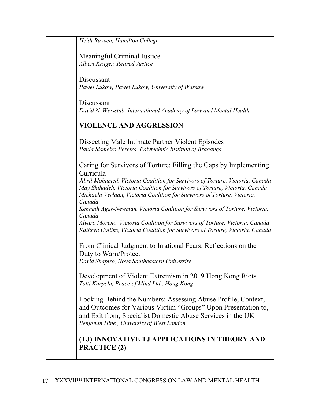| Heidi Ravven, Hamilton College                                                        |
|---------------------------------------------------------------------------------------|
| Meaningful Criminal Justice                                                           |
| Albert Kruger, Retired Justice                                                        |
|                                                                                       |
| Discussant                                                                            |
| Pawel Lukow, Pawel Lukow, University of Warsaw                                        |
|                                                                                       |
| Discussant                                                                            |
| David N. Weisstub, International Academy of Law and Mental Health                     |
| <b>VIOLENCE AND AGGRESSION</b>                                                        |
|                                                                                       |
| Dissecting Male Intimate Partner Violent Episodes                                     |
| Paula Sismeiro Pereira, Polytechnic Institute of Bragança                             |
|                                                                                       |
| Caring for Survivors of Torture: Filling the Gaps by Implementing                     |
| Curricula                                                                             |
| Jibril Mohamed, Victoria Coalition for Survivors of Torture, Victoria, Canada         |
| May Shihadeh, Victoria Coalition for Survivors of Torture, Victoria, Canada           |
| Michaela Verlaan, Victoria Coalition for Survivors of Torture, Victoria,              |
| Canada<br>Kenneth Agar-Newman, Victoria Coalition for Survivors of Torture, Victoria, |
| Canada                                                                                |
| Alvaro Moreno, Victoria Coalition for Survivors of Torture, Victoria, Canada          |
| Kathryn Collins, Victoria Coalition for Survivors of Torture, Victoria, Canada        |
|                                                                                       |
| From Clinical Judgment to Irrational Fears: Reflections on the                        |
| Duty to Warn/Protect                                                                  |
| David Shapiro, Nova Southeastern University                                           |
| Development of Violent Extremism in 2019 Hong Kong Riots                              |
| Totti Karpela, Peace of Mind Ltd., Hong Kong                                          |
|                                                                                       |
| Looking Behind the Numbers: Assessing Abuse Profile, Context,                         |
| and Outcomes for Various Victim "Groups" Upon Presentation to,                        |
| and Exit from, Specialist Domestic Abuse Services in the UK                           |
| Benjamin Hine, University of West London                                              |
|                                                                                       |
| (TJ) INNOVATIVE TJ APPLICATIONS IN THEORY AND                                         |
| <b>PRACTICE (2)</b>                                                                   |
|                                                                                       |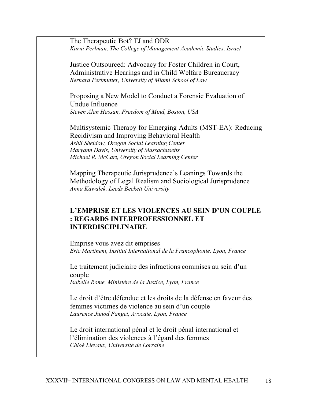| The Therapeutic Bot? TJ and ODR<br>Karni Perlman, The College of Management Academic Studies, Israel                                                                                                                                                         |  |
|--------------------------------------------------------------------------------------------------------------------------------------------------------------------------------------------------------------------------------------------------------------|--|
| Justice Outsourced: Advocacy for Foster Children in Court,<br>Administrative Hearings and in Child Welfare Bureaucracy<br>Bernard Perlmutter, University of Miami School of Law                                                                              |  |
| Proposing a New Model to Conduct a Forensic Evaluation of<br>Undue Influence<br>Steven Alan Hassan, Freedom of Mind, Boston, USA                                                                                                                             |  |
| Multisystemic Therapy for Emerging Adults (MST-EA): Reducing<br>Recidivism and Improving Behavioral Health<br>Ashli Sheidow, Oregon Social Learning Center<br>Maryann Davis, University of Massachusetts<br>Michael R. McCart, Oregon Social Learning Center |  |
| Mapping Therapeutic Jurisprudence's Leanings Towards the<br>Methodology of Legal Realism and Sociological Jurisprudence<br>Anna Kawałek, Leeds Beckett University                                                                                            |  |
| L'EMPRISE ET LES VIOLENCES AU SEIN D'UN COUPLE<br>: REGARDS INTERPROFESSIONNEL ET<br><b>INTERDISCIPLINAIRE</b>                                                                                                                                               |  |
| Emprise vous avez dit emprises<br>Eric Martinent, Institut International de la Francophonie, Lyon, France                                                                                                                                                    |  |
| Le traitement judiciaire des infractions commises au sein d'un<br>couple<br>Isabelle Rome, Ministère de la Justice, Lyon, France                                                                                                                             |  |
| Le droit d'être défendue et les droits de la défense en faveur des<br>femmes victimes de violence au sein d'un couple<br>Laurence Junod Fanget, Avocate, Lyon, France                                                                                        |  |
| Le droit international pénal et le droit pénal international et<br>l'élimination des violences à l'égard des femmes<br>Chloé Lievaux, Université de Lorraine                                                                                                 |  |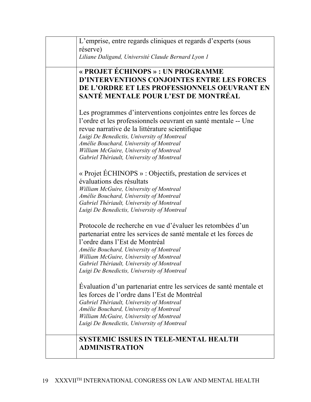| L'emprise, entre regards cliniques et regards d'experts (sous<br>réserve)<br>Liliane Daligand, Université Claude Bernard Lyon 1                                                                                                                                                                                                                                     |
|---------------------------------------------------------------------------------------------------------------------------------------------------------------------------------------------------------------------------------------------------------------------------------------------------------------------------------------------------------------------|
| « PROJET ÉCHINOPS » : UN PROGRAMME<br>D'INTERVENTIONS CONJOINTES ENTRE LES FORCES<br>DE L'ORDRE ET LES PROFESSIONNELS OEUVRANT EN<br>SANTÉ MENTALE POUR L'EST DE MONTRÉAL                                                                                                                                                                                           |
| Les programmes d'interventions conjointes entre les forces de<br>l'ordre et les professionnels oeuvrant en santé mentale -- Une<br>revue narrative de la littérature scientifique<br>Luigi De Benedictis, University of Montreal<br>Amélie Bouchard, University of Montreal<br>William McGuire, University of Montreal<br>Gabriel Thériault, University of Montreal |
| « Projet ÉCHINOPS » : Objectifs, prestation de services et<br>évaluations des résultats<br>William McGuire, University of Montreal<br>Amélie Bouchard, University of Montreal<br>Gabriel Thériault, University of Montreal<br>Luigi De Benedictis, University of Montreal                                                                                           |
| Protocole de recherche en vue d'évaluer les retombées d'un<br>partenariat entre les services de santé mentale et les forces de<br>l'ordre dans l'Est de Montréal<br>Amélie Bouchard, University of Montreal<br>William McGuire, University of Montreal<br>Gabriel Thériault, University of Montreal<br>Luigi De Benedictis, University of Montreal                  |
| Evaluation d'un partenariat entre les services de santé mentale et<br>les forces de l'ordre dans l'Est de Montréal<br>Gabriel Thériault, University of Montreal<br>Amélie Bouchard, University of Montreal<br>William McGuire, University of Montreal<br>Luigi De Benedictis, University of Montreal                                                                |
| <b>SYSTEMIC ISSUES IN TELE-MENTAL HEALTH</b><br><b>ADMINISTRATION</b>                                                                                                                                                                                                                                                                                               |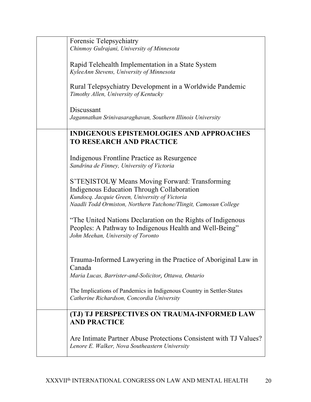| Forensic Telepsychiatry<br>Chinmoy Gulrajani, University of Minnesota                                                                                                                                              |
|--------------------------------------------------------------------------------------------------------------------------------------------------------------------------------------------------------------------|
| Rapid Telehealth Implementation in a State System<br>KyleeAnn Stevens, University of Minnesota                                                                                                                     |
| Rural Telepsychiatry Development in a Worldwide Pandemic<br>Timothy Allen, University of Kentucky                                                                                                                  |
| Discussant<br>Jagannathan Srinivasaraghavan, Southern Illinois University                                                                                                                                          |
| <b>INDIGENOUS EPISTEMOLOGIES AND APPROACHES</b><br><b>TO RESEARCH AND PRACTICE</b>                                                                                                                                 |
| Indigenous Frontline Practice as Resurgence<br>Sandrina de Finney, University of Victoria                                                                                                                          |
| S'TENISTOLW Means Moving Forward: Transforming<br>Indigenous Education Through Collaboration<br>Kundocq. Jacquie Green, University of Victoria<br>Naadli Todd Ormiston, Northern Tutchone/Tlingit, Camosun College |
| "The United Nations Declaration on the Rights of Indigenous<br>Peoples: A Pathway to Indigenous Health and Well-Being"<br>John Meehan, University of Toronto                                                       |
| Trauma-Informed Lawyering in the Practice of Aboriginal Law in<br>Canada<br>Maria Lucas, Barrister-and-Solicitor, Ottawa, Ontario                                                                                  |
| The Implications of Pandemics in Indigenous Country in Settler-States<br>Catherine Richardson, Concordia University                                                                                                |
| (TJ) TJ PERSPECTIVES ON TRAUMA-INFORMED LAW<br><b>AND PRACTICE</b>                                                                                                                                                 |
| Are Intimate Partner Abuse Protections Consistent with TJ Values?<br>Lenore E. Walker, Nova Southeastern University                                                                                                |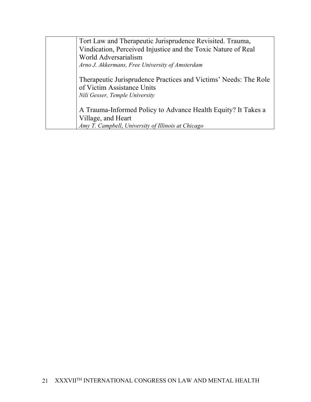Tort Law and Therapeutic Jurisprudence Revisited. Trauma, Vindication, Perceived Injustice and the Toxic Nature of Real World Adversarialism *Arno J. Akkermans, Free University of Amsterdam* Therapeutic Jurisprudence Practices and Victims' Needs: The Role of Victim Assistance Units *Nili Gesser, Temple University* A Trauma-Informed Policy to Advance Health Equity? It Takes a Village, and Heart *Amy T. Campbell*, *University of Illinois at Chicago*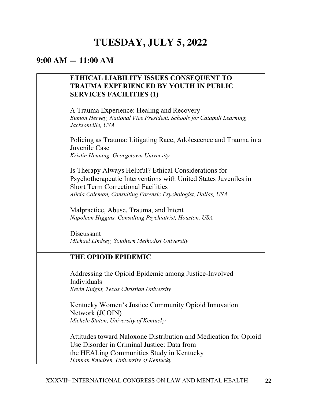# **TUESDAY, JULY 5, 2022**

#### **9:00 AM — 11:00 AM**

| ETHICAL LIABILITY ISSUES CONSEQUENT TO<br><b>TRAUMA EXPERIENCED BY YOUTH IN PUBLIC</b><br><b>SERVICES FACILITIES (1)</b>                                                                                                               |
|----------------------------------------------------------------------------------------------------------------------------------------------------------------------------------------------------------------------------------------|
| A Trauma Experience: Healing and Recovery<br>Eumon Hervey, National Vice President, Schools for Catapult Learning,<br>Jacksonville, USA                                                                                                |
| Policing as Trauma: Litigating Race, Adolescence and Trauma in a<br>Juvenile Case<br>Kristin Henning, Georgetown University                                                                                                            |
| Is Therapy Always Helpful? Ethical Considerations for<br>Psychotherapeutic Interventions with United States Juveniles in<br><b>Short Term Correctional Facilities</b><br>Alicia Coleman, Consulting Forensic Psychologist, Dallas, USA |
| Malpractice, Abuse, Trauma, and Intent<br>Napoleon Higgins, Consulting Psychiatrist, Houston, USA                                                                                                                                      |
| Discussant<br>Michael Lindsey, Southern Methodist University                                                                                                                                                                           |
| <b>THE OPIOID EPIDEMIC</b>                                                                                                                                                                                                             |
| Addressing the Opioid Epidemic among Justice-Involved<br>Individuals<br>Kevin Knight, Texas Christian University                                                                                                                       |
| Kentucky Women's Justice Community Opioid Innovation<br>Network (JCOIN)<br>Michele Staton, University of Kentucky                                                                                                                      |
| Attitudes toward Naloxone Distribution and Medication for Opioid<br>Use Disorder in Criminal Justice: Data from<br>the HEALing Communities Study in Kentucky<br>Hannah Knudsen, University of Kentucky                                 |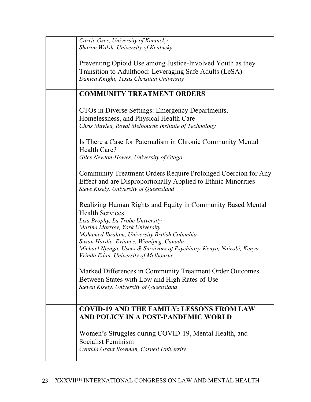| Carrie Oser, University of Kentucky                                                                                                                                                                                                                                                                                             |
|---------------------------------------------------------------------------------------------------------------------------------------------------------------------------------------------------------------------------------------------------------------------------------------------------------------------------------|
| Sharon Walsh, University of Kentucky                                                                                                                                                                                                                                                                                            |
| Preventing Opioid Use among Justice-Involved Youth as they<br>Transition to Adulthood: Leveraging Safe Adults (LeSA)<br>Danica Knight, Texas Christian University                                                                                                                                                               |
| <b>COMMUNITY TREATMENT ORDERS</b>                                                                                                                                                                                                                                                                                               |
| CTOs in Diverse Settings: Emergency Departments,                                                                                                                                                                                                                                                                                |
| Homelessness, and Physical Health Care<br>Chris Maylea, Royal Melbourne Institute of Technology                                                                                                                                                                                                                                 |
| Is There a Case for Paternalism in Chronic Community Mental<br>Health Care?<br>Giles Newton-Howes, University of Otago                                                                                                                                                                                                          |
|                                                                                                                                                                                                                                                                                                                                 |
| Community Treatment Orders Require Prolonged Coercion for Any<br>Effect and are Disproportionally Applied to Ethnic Minorities<br>Steve Kisely, University of Queensland                                                                                                                                                        |
| Realizing Human Rights and Equity in Community Based Mental<br><b>Health Services</b><br>Lisa Brophy, La Trobe University<br>Marina Morrow, York University<br>Mohamed Ibrahim, University British Columbia<br>Susan Hardie, Eviance, Winnipeg, Canada<br>Michael Njenga, Users & Survivors of Psychiatry-Kenya, Nairobi, Kenya |
| Vrinda Edan, University of Melbourne                                                                                                                                                                                                                                                                                            |
| Marked Differences in Community Treatment Order Outcomes<br>Between States with Low and High Rates of Use<br>Steven Kisely, University of Queensland                                                                                                                                                                            |
| <b>COVID-19 AND THE FAMILY: LESSONS FROM LAW</b><br>AND POLICY IN A POST-PANDEMIC WORLD                                                                                                                                                                                                                                         |
| Women's Struggles during COVID-19, Mental Health, and<br>Socialist Feminism<br>Cynthia Grant Bowman, Cornell University                                                                                                                                                                                                         |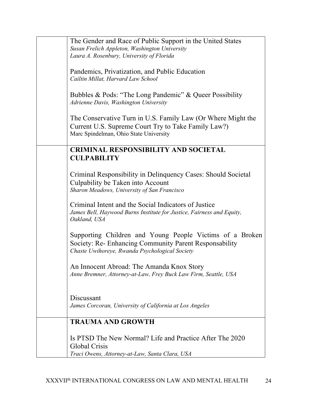| The Gender and Race of Public Support in the United States                                                                                                           |
|----------------------------------------------------------------------------------------------------------------------------------------------------------------------|
| Susan Frelich Appleton, Washington University<br>Laura A. Rosenbury, University of Florida                                                                           |
| Pandemics, Privatization, and Public Education<br>Cailtin Millat, Harvard Law School                                                                                 |
| Bubbles & Pods: "The Long Pandemic" & Queer Possibility<br>Adrienne Davis, Washington University                                                                     |
| The Conservative Turn in U.S. Family Law (Or Where Might the<br>Current U.S. Supreme Court Try to Take Family Law?)<br>Marc Spindelman, Ohio State University        |
| <b>CRIMINAL RESPONSIBILITY AND SOCIETAL</b><br><b>CULPABILITY</b>                                                                                                    |
| Criminal Responsibility in Delinquency Cases: Should Societal<br>Culpability be Taken into Account<br>Sharon Meadows, University of San Francisco                    |
| Criminal Intent and the Social Indicators of Justice<br>James Bell, Haywood Burns Institute for Justice, Fairness and Equity,<br>Oakland, USA                        |
| Supporting Children and Young People Victims of a Broken<br>Society: Re- Enhancing Community Parent Responsability<br>Chaste Uwihoreye, Rwanda Psychological Society |
| An Innocent Abroad: The Amanda Knox Story<br>Anne Bremner, Attorney-at-Law, Frey Buck Law Firm, Seattle, USA                                                         |
| Discussant<br>James Corcoran, University of California at Los Angeles                                                                                                |
| <b>TRAUMA AND GROWTH</b>                                                                                                                                             |
| Is PTSD The New Normal? Life and Practice After The 2020<br>Global Crisis<br>Traci Owens, Attorney-at-Law, Santa Clara, USA                                          |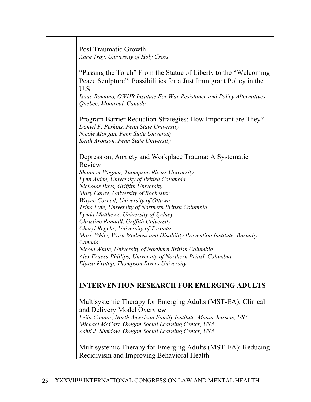| Post Traumatic Growth<br>Anne Troy, University of Holy Cross<br>"Passing the Torch" From the Statue of Liberty to the "Welcoming"<br>Peace Sculpture": Possibilities for a Just Immigrant Policy in the<br>U.S.<br>Isaac Romano, OWHR Institute For War Resistance and Policy Alternatives-<br>Quebec, Montreal, Canada<br>Program Barrier Reduction Strategies: How Important are They?                                                                                                                                                                                                                                                                                                                                      |
|-------------------------------------------------------------------------------------------------------------------------------------------------------------------------------------------------------------------------------------------------------------------------------------------------------------------------------------------------------------------------------------------------------------------------------------------------------------------------------------------------------------------------------------------------------------------------------------------------------------------------------------------------------------------------------------------------------------------------------|
| Daniel F. Perkins, Penn State University<br>Nicole Morgan, Penn State University<br>Keith Aronson, Penn State University                                                                                                                                                                                                                                                                                                                                                                                                                                                                                                                                                                                                      |
| Depression, Anxiety and Workplace Trauma: A Systematic<br>Review<br>Shannon Wagner, Thompson Rivers University<br>Lynn Alden, University of British Columbia<br>Nicholas Buys, Griffith University<br>Mary Carey, University of Rochester<br>Wayne Corneil, University of Ottawa<br>Trina Fyfe, University of Northern British Columbia<br>Lynda Matthews, University of Sydney<br>Christine Randall, Griffith University<br>Cheryl Regehr, University of Toronto<br>Marc White, Work Wellness and Disability Prevention Institute, Burnaby,<br>Canada<br>Nicole White, University of Northern British Columbia<br>Alex Fraess-Phillips, University of Northern British Columbia<br>Elyssa Krutop, Thompson Rivers University |
|                                                                                                                                                                                                                                                                                                                                                                                                                                                                                                                                                                                                                                                                                                                               |
| <b>INTERVENTION RESEARCH FOR EMERGING ADULTS</b>                                                                                                                                                                                                                                                                                                                                                                                                                                                                                                                                                                                                                                                                              |
| Multisystemic Therapy for Emerging Adults (MST-EA): Clinical<br>and Delivery Model Overview<br>Leila Connor, North American Family Institute, Massachussets, USA<br>Michael McCart, Oregon Social Learning Center, USA<br>Ashli J. Sheidow, Oregon Social Learning Center, USA                                                                                                                                                                                                                                                                                                                                                                                                                                                |
| Multisystemic Therapy for Emerging Adults (MST-EA): Reducing<br>Recidivism and Improving Behavioral Health                                                                                                                                                                                                                                                                                                                                                                                                                                                                                                                                                                                                                    |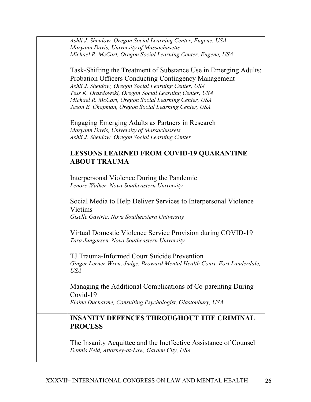| Ashli J. Sheidow, Oregon Social Learning Center, Eugene, USA                                                                                                                                                                                                                                                                                                                                                                                                                                                            |
|-------------------------------------------------------------------------------------------------------------------------------------------------------------------------------------------------------------------------------------------------------------------------------------------------------------------------------------------------------------------------------------------------------------------------------------------------------------------------------------------------------------------------|
| Maryann Davis, University of Massachusetts                                                                                                                                                                                                                                                                                                                                                                                                                                                                              |
| Michael R. McCart, Oregon Social Learning Center, Eugene, USA                                                                                                                                                                                                                                                                                                                                                                                                                                                           |
| Task-Shifting the Treatment of Substance Use in Emerging Adults:<br><b>Probation Officers Conducting Contingency Management</b><br>Ashli J. Sheidow, Oregon Social Learning Center, USA<br>Tess K. Drazdowski, Oregon Social Learning Center, USA<br>Michael R. McCart, Oregon Social Learning Center, USA<br>Jason E. Chapman, Oregon Social Learning Center, USA<br>Engaging Emerging Adults as Partners in Research<br>Maryann Davis, University of Massachussets<br>Ashli J. Sheidow, Oregon Social Learning Center |
| <b>LESSONS LEARNED FROM COVID-19 QUARANTINE</b>                                                                                                                                                                                                                                                                                                                                                                                                                                                                         |
| <b>ABOUT TRAUMA</b>                                                                                                                                                                                                                                                                                                                                                                                                                                                                                                     |
|                                                                                                                                                                                                                                                                                                                                                                                                                                                                                                                         |
|                                                                                                                                                                                                                                                                                                                                                                                                                                                                                                                         |
| Interpersonal Violence During the Pandemic                                                                                                                                                                                                                                                                                                                                                                                                                                                                              |
| Lenore Walker, Nova Southeastern University                                                                                                                                                                                                                                                                                                                                                                                                                                                                             |
| Social Media to Help Deliver Services to Interpersonal Violence<br>Victims<br>Giselle Gaviria, Nova Southeastern University                                                                                                                                                                                                                                                                                                                                                                                             |
| Virtual Domestic Violence Service Provision during COVID-19<br>Tara Jungersen, Nova Southeastern University                                                                                                                                                                                                                                                                                                                                                                                                             |
|                                                                                                                                                                                                                                                                                                                                                                                                                                                                                                                         |
| TJ Trauma-Informed Court Suicide Prevention<br>Ginger Lerner-Wren, Judge, Broward Mental Health Court, Fort Lauderdale,<br><b>USA</b>                                                                                                                                                                                                                                                                                                                                                                                   |
| Managing the Additional Complications of Co-parenting During<br>Covid-19                                                                                                                                                                                                                                                                                                                                                                                                                                                |
| Elaine Ducharme, Consulting Psychologist, Glastonbury, USA                                                                                                                                                                                                                                                                                                                                                                                                                                                              |
| <b>INSANITY DEFENCES THROUGHOUT THE CRIMINAL</b><br><b>PROCESS</b>                                                                                                                                                                                                                                                                                                                                                                                                                                                      |
| The Insanity Acquittee and the Ineffective Assistance of Counsel<br>Dennis Feld, Attorney-at-Law, Garden City, USA                                                                                                                                                                                                                                                                                                                                                                                                      |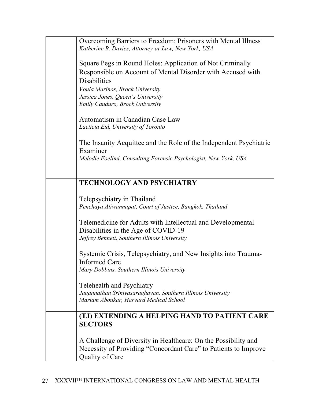| Overcoming Barriers to Freedom: Prisoners with Mental Illness<br>Katherine B. Davies, Attorney-at-Law, New York, USA |
|----------------------------------------------------------------------------------------------------------------------|
| Square Pegs in Round Holes: Application of Not Criminally                                                            |
| Responsible on Account of Mental Disorder with Accused with                                                          |
| <b>Disabilities</b>                                                                                                  |
| Voula Marinos, Brock University<br>Jessica Jones, Queen's University                                                 |
| Emily Cauduro, Brock University                                                                                      |
|                                                                                                                      |
| Automatism in Canadian Case Law                                                                                      |
| Laeticia Eid, University of Toronto                                                                                  |
|                                                                                                                      |
| The Insanity Acquittee and the Role of the Independent Psychiatric                                                   |
| Examiner<br>Melodie Foellmi, Consulting Forensic Psychologist, New-York, USA                                         |
|                                                                                                                      |
|                                                                                                                      |
| <b>TECHNOLOGY AND PSYCHIATRY</b>                                                                                     |
| Telepsychiatry in Thailand                                                                                           |
| Penchaya Atiwannapat, Court of Justice, Bangkok, Thailand                                                            |
|                                                                                                                      |
| Telemedicine for Adults with Intellectual and Developmental                                                          |
| Disabilities in the Age of COVID-19                                                                                  |
| Jeffrey Bennett, Southern Illinois University                                                                        |
| Systemic Crisis, Telepsychiatry, and New Insights into Trauma-                                                       |
| <b>Informed Care</b>                                                                                                 |
| Mary Dobbins, Southern Illinois University                                                                           |
|                                                                                                                      |
| Telehealth and Psychiatry                                                                                            |
| Jagannathan Srinivasaraghavan, Southern Illinois University                                                          |
| Mariam Aboukar, Harvard Medical School                                                                               |
| (TJ) EXTENDING A HELPING HAND TO PATIENT CARE                                                                        |
| <b>SECTORS</b>                                                                                                       |
|                                                                                                                      |
| A Challenge of Diversity in Healthcare: On the Possibility and                                                       |
| Necessity of Providing "Concordant Care" to Patients to Improve                                                      |
| Quality of Care                                                                                                      |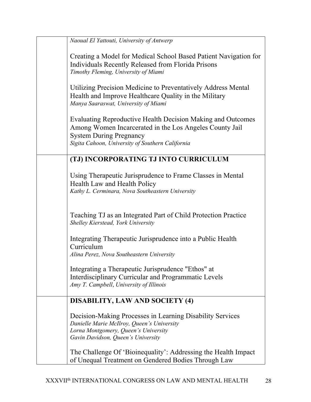| Naoual El Yattouti, University of Antwerp                                                                                                                                                                    |
|--------------------------------------------------------------------------------------------------------------------------------------------------------------------------------------------------------------|
| Creating a Model for Medical School Based Patient Navigation for<br>Individuals Recently Released from Florida Prisons<br>Timothy Fleming, University of Miami                                               |
| Utilizing Precision Medicine to Preventatively Address Mental<br>Health and Improve Healthcare Quality in the Military<br>Manya Saaraswat, University of Miami                                               |
| Evaluating Reproductive Health Decision Making and Outcomes<br>Among Women Incarcerated in the Los Angeles County Jail<br><b>System During Pregnancy</b><br>Sigita Cahoon, University of Southern California |
| (TJ) INCORPORATING TJ INTO CURRICULUM                                                                                                                                                                        |
| Using Therapeutic Jurisprudence to Frame Classes in Mental<br>Health Law and Health Policy<br>Kathy L. Cerminara, Nova Southeastern University                                                               |
| Teaching TJ as an Integrated Part of Child Protection Practice<br>Shelley Kierstead, York University                                                                                                         |
| Integrating Therapeutic Jurisprudence into a Public Health<br>Curriculum<br>Alina Perez, Nova Southeastern University                                                                                        |
| Integrating a Therapeutic Jurisprudence "Ethos" at<br>Interdisciplinary Curricular and Programmatic Levels<br>Amy T. Campbell, University of Illinois                                                        |
| <b>DISABILITY, LAW AND SOCIETY (4)</b>                                                                                                                                                                       |
| Decision-Making Processes in Learning Disability Services<br>Danielle Marie McIlroy, Queen's University<br>Lorna Montgomery, Queen's University<br>Gavin Davidson, Queen's University                        |
| The Challenge Of 'Bioinequality': Addressing the Health Impact<br>of Unequal Treatment on Gendered Bodies Through Law                                                                                        |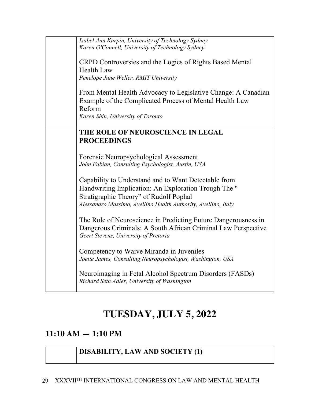| Isabel Ann Karpin, University of Technology Sydney<br>Karen O'Connell, University of Technology Sydney<br>CRPD Controversies and the Logics of Rights Based Mental<br>Health Law<br>Penelope June Weller, RMIT University<br>From Mental Health Advocacy to Legislative Change: A Canadian |
|--------------------------------------------------------------------------------------------------------------------------------------------------------------------------------------------------------------------------------------------------------------------------------------------|
| Example of the Complicated Process of Mental Health Law<br>Reform<br>Karen Shin, University of Toronto                                                                                                                                                                                     |
| THE ROLE OF NEUROSCIENCE IN LEGAL<br><b>PROCEEDINGS</b>                                                                                                                                                                                                                                    |
| Forensic Neuropsychological Assessment<br>John Fabian, Consulting Psychologist, Austin, USA                                                                                                                                                                                                |
| Capability to Understand and to Want Detectable from<br>Handwriting Implication: An Exploration Trough The "<br>Stratigraphic Theory" of Rudolf Pophal<br>Alessandro Massimo, Avellino Health Authority, Avellino, Italy                                                                   |
| The Role of Neuroscience in Predicting Future Dangerousness in<br>Dangerous Criminals: A South African Criminal Law Perspective<br>Geert Stevens, University of Pretoria                                                                                                                   |
| Competency to Waive Miranda in Juveniles<br>Joette James, Consulting Neuropsychologist, Washington, USA                                                                                                                                                                                    |
| Neuroimaging in Fetal Alcohol Spectrum Disorders (FASDs)<br>Richard Seth Adler, University of Washington                                                                                                                                                                                   |

# **TUESDAY, JULY 5, 2022**

### **11:10 AM — 1:10 PM**

#### **DISABILITY, LAW AND SOCIETY (1)**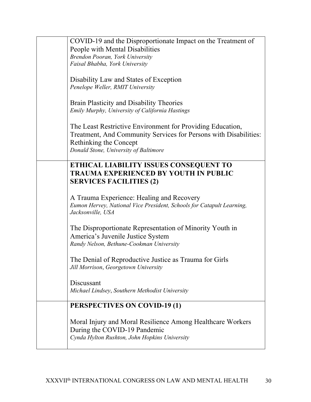| COVID-19 and the Disproportionate Impact on the Treatment of<br>People with Mental Disabilities<br>Brendon Pooran, York University<br>Faisal Bhabha, York University<br>Disability Law and States of Exception<br>Penelope Weller, RMIT University |
|----------------------------------------------------------------------------------------------------------------------------------------------------------------------------------------------------------------------------------------------------|
| <b>Brain Plasticity and Disability Theories</b><br>Emily Murphy, University of California Hastings                                                                                                                                                 |
| The Least Restrictive Environment for Providing Education,<br>Treatment, And Community Services for Persons with Disabilities:<br>Rethinking the Concept<br>Donald Stone, University of Baltimore                                                  |
| ETHICAL LIABILITY ISSUES CONSEQUENT TO<br><b>TRAUMA EXPERIENCED BY YOUTH IN PUBLIC</b><br><b>SERVICES FACILITIES (2)</b>                                                                                                                           |
| A Trauma Experience: Healing and Recovery<br>Eumon Hervey, National Vice President, Schools for Catapult Learning,<br>Jacksonville, USA                                                                                                            |
| The Disproportionate Representation of Minority Youth in<br>America's Juvenile Justice System<br>Randy Nelson, Bethune-Cookman University                                                                                                          |
| The Denial of Reproductive Justice as Trauma for Girls<br>Jill Morrison, Georgetown University                                                                                                                                                     |
| Discussant<br>Michael Lindsey, Southern Methodist University                                                                                                                                                                                       |
| <b>PERSPECTIVES ON COVID-19 (1)</b>                                                                                                                                                                                                                |
| Moral Injury and Moral Resilience Among Healthcare Workers<br>During the COVID-19 Pandemic<br>Cynda Hylton Rushton, John Hopkins University                                                                                                        |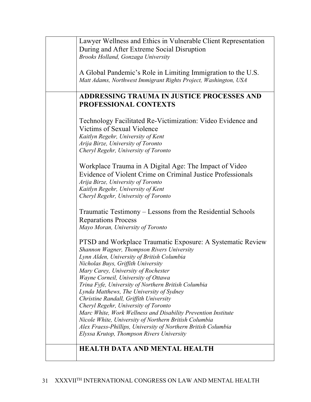| Lawyer Wellness and Ethics in Vulnerable Client Representation  |
|-----------------------------------------------------------------|
|                                                                 |
| During and After Extreme Social Disruption                      |
| Brooks Holland, Gonzaga University                              |
|                                                                 |
|                                                                 |
| A Global Pandemic's Role in Limiting Immigration to the U.S.    |
| Matt Adams, Northwest Immigrant Rights Project, Washington, USA |
|                                                                 |
|                                                                 |
| ADDRESSING TRAUMA IN JUSTICE PROCESSES AND                      |
| PROFESSIONAL CONTEXTS                                           |
|                                                                 |
|                                                                 |
| Technology Facilitated Re-Victimization: Video Evidence and     |
|                                                                 |
| Victims of Sexual Violence                                      |
| Kaitlyn Regehr, University of Kent                              |
| Arija Birze, University of Toronto                              |
|                                                                 |
| Cheryl Regehr, University of Toronto                            |
|                                                                 |
| Workplace Trauma in A Digital Age: The Impact of Video          |
|                                                                 |
| Evidence of Violent Crime on Criminal Justice Professionals     |
| Arija Birze, University of Toronto                              |
| Kaitlyn Regehr, University of Kent                              |
|                                                                 |
| Cheryl Regehr, University of Toronto                            |
|                                                                 |
| Traumatic Testimony – Lessons from the Residential Schools      |
|                                                                 |
| <b>Reparations Process</b>                                      |
| Mayo Moran, University of Toronto                               |
|                                                                 |
| PTSD and Workplace Traumatic Exposure: A Systematic Review      |
|                                                                 |
| Shannon Wagner, Thompson Rivers University                      |
| Lynn Alden, University of British Columbia                      |
| Nicholas Buys, Griffith University                              |
|                                                                 |
| Mary Carey, University of Rochester                             |
| Wayne Corneil, University of Ottawa                             |
| Trina Fyfe, University of Northern British Columbia             |
| Lynda Matthews, The University of Sydney                        |
|                                                                 |
| Christine Randall, Griffith University                          |
| Cheryl Regehr, University of Toronto                            |
| Marc White, Work Wellness and Disability Prevention Institute   |
|                                                                 |
| Nicole White, University of Northern British Columbia           |
| Alex Fraess-Phillips, University of Northern British Columbia   |
| Elyssa Krutop, Thompson Rivers University                       |
|                                                                 |
| <b>HEALTH DATA AND MENTAL HEALTH</b>                            |
|                                                                 |
|                                                                 |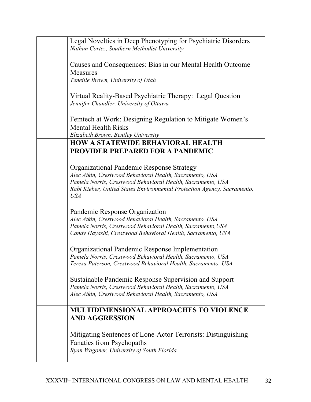| Legal Novelties in Deep Phenotyping for Psychiatric Disorders<br>Nathan Cortez, Southern Methodist University                                  |
|------------------------------------------------------------------------------------------------------------------------------------------------|
| Causes and Consequences: Bias in our Mental Health Outcome<br><b>Measures</b>                                                                  |
| Teneille Brown, University of Utah                                                                                                             |
| Virtual Reality-Based Psychiatric Therapy: Legal Question<br>Jennifer Chandler, University of Ottawa                                           |
| Femtech at Work: Designing Regulation to Mitigate Women's<br><b>Mental Health Risks</b>                                                        |
| Elizabeth Brown, Bentley University<br><b>HOW A STATEWIDE BEHAVIORAL HEALTH</b>                                                                |
| <b>PROVIDER PREPARED FOR A PANDEMIC</b>                                                                                                        |
|                                                                                                                                                |
| <b>Organizational Pandemic Response Strategy</b>                                                                                               |
| Alec Atkin, Crestwood Behavioral Health, Sacramento, USA<br>Pamela Norris, Crestwood Behavioral Health, Sacramento, USA                        |
| Rabi Kieber, United States Environmental Protection Agency, Sacramento,<br><b>USA</b>                                                          |
| Pandemic Response Organization                                                                                                                 |
| Alec Atkin, Crestwood Behavioral Health, Sacramento, USA                                                                                       |
| Pamela Norris, Crestwood Behavioral Health, Sacramento, USA                                                                                    |
| Candy Hayashi, Crestwood Behavioral Health, Sacramento, USA                                                                                    |
| Organizational Pandemic Response Implementation                                                                                                |
| Pamela Norris, Crestwood Behavioral Health, Sacramento, USA<br>Teresa Paterson, Crestwood Behavioral Health, Sacramento, USA                   |
| Sustainable Pandemic Response Supervision and Support<br>Pamela Norris, Crestwood Behavioral Health, Sacramento, USA                           |
| Alec Atkin, Crestwood Behavioral Health, Sacramento, USA                                                                                       |
| <b>MULTIDIMENSIONAL APPROACHES TO VIOLENCE</b><br><b>AND AGGRESSION</b>                                                                        |
| Mitigating Sentences of Lone-Actor Terrorists: Distinguishing<br><b>Fanatics from Psychopaths</b><br>Ryan Wagoner, University of South Florida |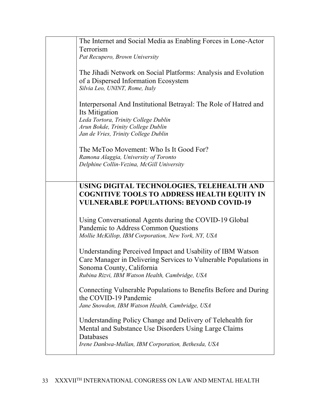| The Internet and Social Media as Enabling Forces in Lone-Actor<br>Terrorism<br>Pat Recupero, Brown University                                                                                                  |
|----------------------------------------------------------------------------------------------------------------------------------------------------------------------------------------------------------------|
| The Jihadi Network on Social Platforms: Analysis and Evolution<br>of a Dispersed Information Ecosystem<br>Silvia Leo, UNINT, Rome, Italy                                                                       |
| Interpersonal And Institutional Betrayal: The Role of Hatred and<br>Its Mitigation<br>Leda Tortora, Trinity College Dublin<br>Arun Bokde, Trinity College Dublin<br>Jan de Vries, Trinity College Dublin       |
| The MeToo Movement: Who Is It Good For?<br>Ramona Alaggia, University of Toronto<br>Delphine Collin-Vezina, McGill University                                                                                  |
| USING DIGITAL TECHNOLOGIES, TELEHEALTH AND<br><b>COGNITIVE TOOLS TO ADDRESS HEALTH EQUITY IN</b><br><b>VULNERABLE POPULATIONS: BEYOND COVID-19</b>                                                             |
| Using Conversational Agents during the COVID-19 Global<br>Pandemic to Address Common Questions<br>Mollie McKillop, IBM Corporation, New York, NY, USA                                                          |
| Understanding Perceived Impact and Usability of IBM Watson<br>Care Manager in Delivering Services to Vulnerable Populations in<br>Sonoma County, California<br>Rubina Rizvi, IBM Watson Health, Cambridge, USA |
| Connecting Vulnerable Populations to Benefits Before and During<br>the COVID-19 Pandemic<br>Jane Snowdon, IBM Watson Health, Cambridge, USA                                                                    |
| Understanding Policy Change and Delivery of Telehealth for                                                                                                                                                     |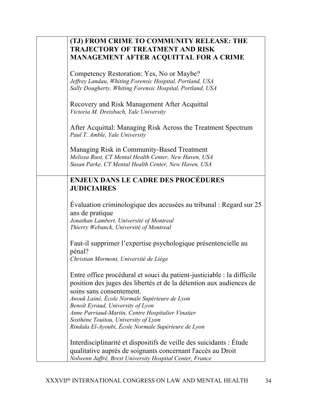| (TJ) FROM CRIME TO COMMUNITY RELEASE: THE<br><b>TRAJECTORY OF TREATMENT AND RISK</b><br><b>MANAGEMENT AFTER ACQUITTAL FOR A CRIME</b>                                                                                                                                                                                |
|----------------------------------------------------------------------------------------------------------------------------------------------------------------------------------------------------------------------------------------------------------------------------------------------------------------------|
| Competency Restoration: Yes, No or Maybe?<br>Jeffrey Landau, Whiting Forensic Hospital, Portland, USA<br>Sally Dougherty, Whiting Forensic Hospital, Portland, USA                                                                                                                                                   |
| Recovery and Risk Management After Acquittal<br>Victoria M. Dreisbach, Yale University                                                                                                                                                                                                                               |
| After Acquittal: Managing Risk Across the Treatment Spectrum<br>Paul T. Amble, Yale University                                                                                                                                                                                                                       |
| Managing Risk in Community-Based Treatment<br>Melissa Ruot, CT Mental Health Center, New Haven, USA<br>Susan Parke, CT Mental Health Center, New Haven, USA                                                                                                                                                          |
| <b>ENJEUX DANS LE CADRE DES PROCÉDURES</b><br><b>JUDICIAIRES</b>                                                                                                                                                                                                                                                     |
| Evaluation criminologique des accusées au tribunal : Regard sur 25<br>ans de pratique<br>Jonathan Lambert, Université of Montreal<br>Thierry Webanck, Université of Montreal                                                                                                                                         |
| Faut-il supprimer l'expertise psychologique présentencielle au<br>pénal?<br>Christian Mormont, Université de Liège                                                                                                                                                                                                   |
| Entre office procédural et souci du patient-justiciable : la difficile<br>position des juges des libertés et de la détention aux audiences de<br>soins sans consentement.<br>Anouk Lainé, École Normale Supérieure de Lyon<br>Benoît Eyraud, University of Lyon<br>Anne Parriaud-Martin, Centre Hospitalier Vinatier |
| Sosthène Touitou, University of Lyon<br>Rindala El-Ayoubi, École Normale Supérieure de Lyon                                                                                                                                                                                                                          |
| Interdisciplinarité et dispositifs de veille des suicidants : Étude<br>qualitative auprès de soignants concernant l'accès au Droit<br>Nolwenn Jaffré, Brest University Hospital Center, France                                                                                                                       |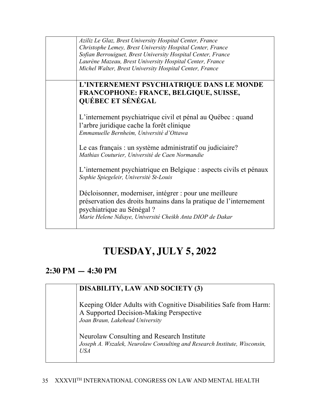| Aziliz Le Glaz, Brest University Hospital Center, France<br>Christophe Lemey, Brest University Hospital Center, France<br>Sofian Berrouiguet, Brest University Hospital Center, France<br>Laurène Mazeau, Brest University Hospital Center, France<br>Michel Walter, Brest University Hospital Center, France |
|---------------------------------------------------------------------------------------------------------------------------------------------------------------------------------------------------------------------------------------------------------------------------------------------------------------|
| L'INTERNEMENT PSYCHIATRIQUE DANS LE MONDE<br>FRANCOPHONE: FRANCE, BELGIQUE, SUISSE,<br><b>QUÉBEC ET SÉNÉGAL</b>                                                                                                                                                                                               |
| L'internement psychiatrique civil et pénal au Québec : quand<br>l'arbre juridique cache la forêt clinique<br>Emmanuelle Bernheim, Université d'Ottawa                                                                                                                                                         |
| Le cas français : un système administratif ou judiciaire?<br>Mathias Couturier, Université de Caen Normandie                                                                                                                                                                                                  |
| L'internement psychiatrique en Belgique : aspects civils et pénaux<br>Sophie Spiegeleir, Université St-Louis                                                                                                                                                                                                  |
| Décloisonner, moderniser, intégrer : pour une meilleure<br>préservation des droits humains dans la pratique de l'internement<br>psychiatrique au Sénégal ?<br>Marie Helene Ndiaye, Université Cheikh Anta DIOP de Dakar                                                                                       |

# **TUESDAY, JULY 5, 2022**

### **2:30 PM — 4:30 PM**

#### **DISABILITY, LAW AND SOCIETY (3)**

Keeping Older Adults with Cognitive Disabilities Safe from Harm: A Supported Decision-Making Perspective *Joan Braun, Lakehead University*

Neurolaw Consulting and Research Institute *Joseph A. Wszalek, Neurolaw Consulting and Research Institute, Wisconsin, USA*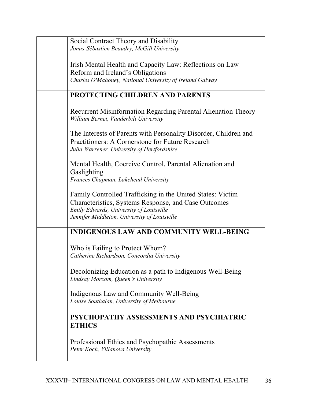| Social Contract Theory and Disability                                                                                                                                                                         |
|---------------------------------------------------------------------------------------------------------------------------------------------------------------------------------------------------------------|
| Jonas-Sébastien Beaudry, McGill University                                                                                                                                                                    |
| Irish Mental Health and Capacity Law: Reflections on Law                                                                                                                                                      |
| Reform and Ireland's Obligations<br>Charles O'Mahoney, National University of Ireland Galway                                                                                                                  |
|                                                                                                                                                                                                               |
| PROTECTING CHILDREN AND PARENTS                                                                                                                                                                               |
| Recurrent Misinformation Regarding Parental Alienation Theory<br>William Bernet, Vanderbilt University                                                                                                        |
| The Interests of Parents with Personality Disorder, Children and<br>Practitioners: A Cornerstone for Future Research<br>Julia Warrener, University of Hertfordshire                                           |
| Mental Health, Coercive Control, Parental Alienation and<br>Gaslighting<br>Frances Chapman, Lakehead University                                                                                               |
| Family Controlled Trafficking in the United States: Victim<br>Characteristics, Systems Response, and Case Outcomes<br>Emily Edwards, University of Louisville<br>Jennifer Middleton, University of Louisville |
| <b>INDIGENOUS LAW AND COMMUNITY WELL-BEING</b>                                                                                                                                                                |
| Who is Failing to Protect Whom?<br>Catherine Richardson, Concordia University                                                                                                                                 |
| Decolonizing Education as a path to Indigenous Well-Being<br>Lindsay Morcom, Queen's University                                                                                                               |
| Indigenous Law and Community Well-Being<br>Louise Southalan, University of Melbourne                                                                                                                          |
| PSYCHOPATHY ASSESSMENTS AND PSYCHIATRIC<br><b>ETHICS</b>                                                                                                                                                      |
| Professional Ethics and Psychopathic Assessments<br>Peter Koch, Villanova University                                                                                                                          |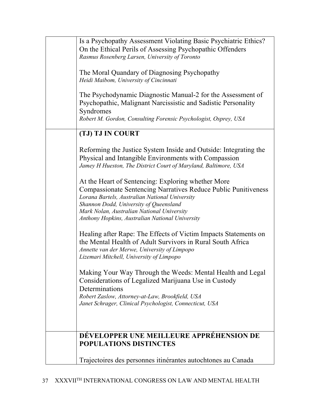| Is a Psychopathy Assessment Violating Basic Psychiatric Ethics?<br>On the Ethical Perils of Assessing Psychopathic Offenders<br>Rasmus Rosenberg Larsen, University of Toronto                                                                                                                                           |
|--------------------------------------------------------------------------------------------------------------------------------------------------------------------------------------------------------------------------------------------------------------------------------------------------------------------------|
| The Moral Quandary of Diagnosing Psychopathy<br>Heidi Maibom, University of Cincinnati                                                                                                                                                                                                                                   |
| The Psychodynamic Diagnostic Manual-2 for the Assessment of<br>Psychopathic, Malignant Narcissistic and Sadistic Personality<br>Syndromes                                                                                                                                                                                |
| Robert M. Gordon, Consulting Forensic Psychologist, Osprey, USA                                                                                                                                                                                                                                                          |
| (TJ) TJ IN COURT                                                                                                                                                                                                                                                                                                         |
| Reforming the Justice System Inside and Outside: Integrating the<br>Physical and Intangible Environments with Compassion<br>Jamey H Hueston, The District Court of Maryland, Baltimore, USA                                                                                                                              |
| At the Heart of Sentencing: Exploring whether More<br><b>Compassionate Sentencing Narratives Reduce Public Punitiveness</b><br>Lorana Bartels, Australian National University<br>Shannon Dodd, University of Queensland<br>Mark Nolan, Australian National University<br>Anthony Hopkins, Australian National University |
| Healing after Rape: The Effects of Victim Impacts Statements on<br>the Mental Health of Adult Survivors in Rural South Africa<br>Annette van der Merwe, University of Limpopo<br>Lizemari Mitchell, University of Limpopo                                                                                                |
| Making Your Way Through the Weeds: Mental Health and Legal<br>Considerations of Legalized Marijuana Use in Custody<br>Determinations                                                                                                                                                                                     |
| Robert Zaslow, Attorney-at-Law, Brookfield, USA<br>Janet Schrager, Clinical Psychologist, Connecticut, USA                                                                                                                                                                                                               |
|                                                                                                                                                                                                                                                                                                                          |
| DÉVELOPPER UNE MEILLEURE APPRÉHENSION DE<br><b>POPULATIONS DISTINCTES</b>                                                                                                                                                                                                                                                |
| Trajectoires des personnes itinérantes autochtones au Canada                                                                                                                                                                                                                                                             |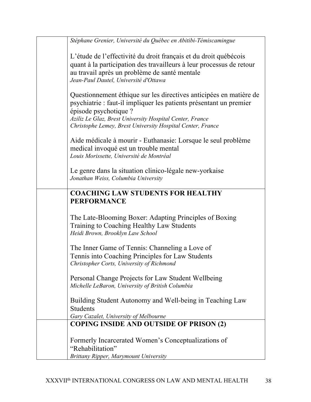| Stéphane Grenier, Université du Québec en Abitibi-Témiscamingue                                                                                                                                                                                                                             |
|---------------------------------------------------------------------------------------------------------------------------------------------------------------------------------------------------------------------------------------------------------------------------------------------|
| L'étude de l'effectivité du droit français et du droit québécois<br>quant à la participation des travailleurs à leur processus de retour<br>au travail après un problème de santé mentale<br>Jean-Paul Dautel, Université d'Ottawa                                                          |
| Questionnement éthique sur les directives anticipées en matière de<br>psychiatrie : faut-il impliquer les patients présentant un premier<br>épisode psychotique ?<br>Aziliz Le Glaz, Brest University Hospital Center, France<br>Christophe Lemey, Brest University Hospital Center, France |
| Aide médicale à mourir - Euthanasie: Lorsque le seul problème<br>medical invoqué est un trouble mental<br>Louis Morissette, Université de Montréal                                                                                                                                          |
| Le genre dans la situation clinico-légale new-yorkaise<br>Jonathan Weiss, Columbia University                                                                                                                                                                                               |
| <b>COACHING LAW STUDENTS FOR HEALTHY</b><br><b>PERFORMANCE</b>                                                                                                                                                                                                                              |
| The Late-Blooming Boxer: Adapting Principles of Boxing<br>Training to Coaching Healthy Law Students<br>Heidi Brown, Brooklyn Law School                                                                                                                                                     |
| The Inner Game of Tennis: Channeling a Love of<br>Tennis into Coaching Principles for Law Students<br>Christopher Corts, University of Richmond                                                                                                                                             |
| Personal Change Projects for Law Student Wellbeing<br>Michelle LeBaron, University of British Columbia                                                                                                                                                                                      |
| Building Student Autonomy and Well-being in Teaching Law<br><b>Students</b><br>Gary Cazalet, University of Melbourne                                                                                                                                                                        |
| <b>COPING INSIDE AND OUTSIDE OF PRISON (2)</b>                                                                                                                                                                                                                                              |
| Formerly Incarcerated Women's Conceptualizations of<br>"Rehabilitation"                                                                                                                                                                                                                     |
| <b>Brittany Ripper, Marymount University</b>                                                                                                                                                                                                                                                |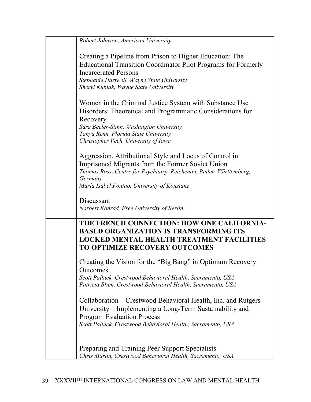| Robert Johnson, American University                                                                                                                                                                                                              |
|--------------------------------------------------------------------------------------------------------------------------------------------------------------------------------------------------------------------------------------------------|
| Creating a Pipeline from Prison to Higher Education: The<br>Educational Transition Coordinator Pilot Programs for Formerly<br><b>Incarcerated Persons</b><br>Stephanie Hartwell, Wayne State University<br>Sheryl Kubiak, Wayne State University |
| Women in the Criminal Justice System with Substance Use<br>Disorders: Theoretical and Programmatic Considerations for<br>Recovery<br>Sara Beeler-Stinn, Washington University<br>Tanya Renn, Florida State University                            |
| Christopher Veeh, University of Iowa                                                                                                                                                                                                             |
| Aggression, Attributional Style and Locus of Control in<br>Imprisoned Migrants from the Former Soviet Union<br>Thomas Ross, Centre for Psychiatry, Reichenau, Baden-Württemberg,<br>Germany<br>María Isabel Fontao, University of Konstanz       |
|                                                                                                                                                                                                                                                  |
| Discussant<br>Norbert Konrad, Free University of Berlin                                                                                                                                                                                          |
| THE FRENCH CONNECTION: HOW ONE CALIFORNIA-<br><b>BASED ORGANIZATION IS TRANSFORMING ITS</b><br><b>LOCKED MENTAL HEALTH TREATMENT FACILITIES</b><br><b>TO OPTIMIZE RECOVERY OUTCOMES</b>                                                          |
| Creating the Vision for the "Big Bang" in Optimum Recovery<br>Outcomes<br>Scott Palluck, Crestwood Behavioral Health, Sacramento, USA<br>Patricia Blum, Crestwood Behavioral Health, Sacramento, USA                                             |
| Collaboration – Crestwood Behavioral Health, Inc. and Rutgers<br>University – Implementing a Long-Term Sustainability and<br><b>Program Evaluation Process</b><br>Scott Palluck, Crestwood Behavioral Health, Sacramento, USA                    |
| Preparing and Training Peer Support Specialists<br>Chris Martin, Crestwood Behavioral Health, Sacramento, USA                                                                                                                                    |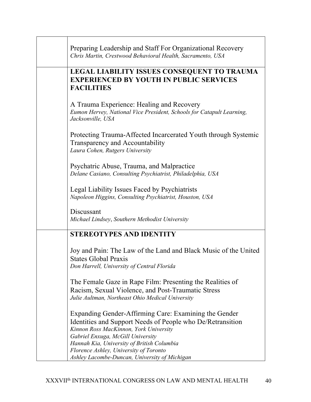| Preparing Leadership and Staff For Organizational Recovery                                                                                                                                                                                                                                                                                  |
|---------------------------------------------------------------------------------------------------------------------------------------------------------------------------------------------------------------------------------------------------------------------------------------------------------------------------------------------|
| Chris Martin, Crestwood Behavioral Health, Sacramento, USA                                                                                                                                                                                                                                                                                  |
| <b>LEGAL LIABILITY ISSUES CONSEQUENT TO TRAUMA</b><br><b>EXPERIENCED BY YOUTH IN PUBLIC SERVICES</b><br><b>FACILITIES</b>                                                                                                                                                                                                                   |
| A Trauma Experience: Healing and Recovery<br>Eumon Hervey, National Vice President, Schools for Catapult Learning,<br>Jacksonville, USA                                                                                                                                                                                                     |
| Protecting Trauma-Affected Incarcerated Youth through Systemic<br>Transparency and Accountability<br>Laura Cohen, Rutgers University                                                                                                                                                                                                        |
| Psychatric Abuse, Trauma, and Malpractice<br>Delane Casiano, Consulting Psychiatrist, Philadelphia, USA                                                                                                                                                                                                                                     |
| Legal Liability Issues Faced by Psychiatrists<br>Napoleon Higgins, Consulting Psychiatrist, Houston, USA                                                                                                                                                                                                                                    |
| Discussant<br>Michael Lindsey, Southern Methodist University                                                                                                                                                                                                                                                                                |
| <b>STEREOTYPES AND IDENTITY</b>                                                                                                                                                                                                                                                                                                             |
| Joy and Pain: The Law of the Land and Black Music of the United<br><b>States Global Praxis</b><br>Don Harrell, University of Central Florida                                                                                                                                                                                                |
| The Female Gaze in Rape Film: Presenting the Realities of<br>Racism, Sexual Violence, and Post-Traumatic Stress<br>Julie Aultman, Northeast Ohio Medical University                                                                                                                                                                         |
| Expanding Gender-Affirming Care: Examining the Gender<br>Identities and Support Needs of People who De/Retransition<br>Kinnon Ross MacKinnon, York University<br>Gabriel Enxuga, McGill University<br>Hannah Kia, University of British Columbia<br>Florence Ashley, University of Toronto<br>Ashley Lacombe-Duncan, University of Michigan |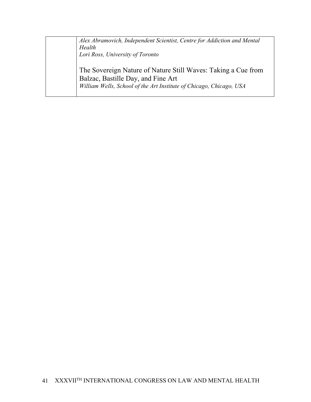*Alex Abramovich, Independent Scientist, Centre for Addiction and Mental Health Lori Ross, University of Toronto*

The Sovereign Nature of Nature Still Waves: Taking a Cue from Balzac, Bastille Day, and Fine Art *William Wells, School of the Art Institute of Chicago, Chicago, USA*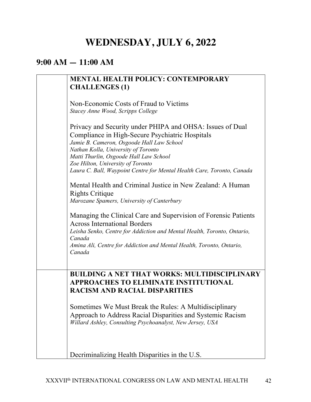# **WEDNESDAY, JULY 6, 2022**

#### **9:00 AM — 11:00 AM**

| <b>MENTAL HEALTH POLICY: CONTEMPORARY</b>                                                                                                   |
|---------------------------------------------------------------------------------------------------------------------------------------------|
| <b>CHALLENGES (1)</b>                                                                                                                       |
|                                                                                                                                             |
| Non-Economic Costs of Fraud to Victims                                                                                                      |
| Stacey Anne Wood, Scripps College                                                                                                           |
|                                                                                                                                             |
| Privacy and Security under PHIPA and OHSA: Issues of Dual<br>Compliance in High-Secure Psychiatric Hospitals                                |
| Jamie B. Cameron, Osgoode Hall Law School                                                                                                   |
| Nathan Kolla, University of Toronto                                                                                                         |
| Matti Thurlin, Osgoode Hall Law School                                                                                                      |
| Zoe Hilton, University of Toronto                                                                                                           |
| Laura C. Ball, Waypoint Centre for Mental Health Care, Toronto, Canada                                                                      |
| Mental Health and Criminal Justice in New Zealand: A Human<br><b>Rights Critique</b><br>Marozane Spamers, University of Canterbury          |
|                                                                                                                                             |
| Managing the Clinical Care and Supervision of Forensic Patients<br><b>Across International Borders</b>                                      |
| Leisha Senko, Centre for Addiction and Mental Health, Toronto, Ontario,<br>Canada                                                           |
| Amina Ali, Centre for Addiction and Mental Health, Toronto, Ontario,<br>Canada                                                              |
|                                                                                                                                             |
|                                                                                                                                             |
| <b>BUILDING A NET THAT WORKS: MULTIDISCIPLINARY</b><br><b>APPROACHES TO ELIMINATE INSTITUTIONAL</b><br><b>RACISM AND RACIAL DISPARITIES</b> |
| Sometimes We Must Break the Rules: A Multidisciplinary                                                                                      |
| Approach to Address Racial Disparities and Systemic Racism                                                                                  |
| Willard Ashley, Consulting Psychoanalyst, New Jersey, USA                                                                                   |
|                                                                                                                                             |
|                                                                                                                                             |
| Decriminalizing Health Disparities in the U.S.                                                                                              |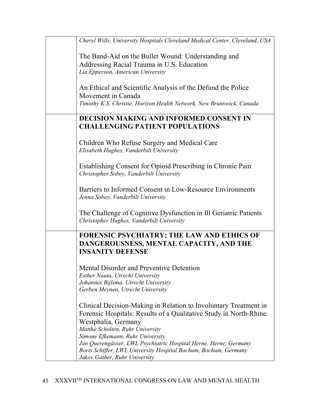| Cheryl Wills, University Hospitals Cleveland Medical Center, Cleveland, USA                                                         |
|-------------------------------------------------------------------------------------------------------------------------------------|
| The Band-Aid on the Bullet Wound: Understanding and                                                                                 |
| Addressing Racial Trauma in U.S. Education                                                                                          |
| Lia Epperson, American University                                                                                                   |
|                                                                                                                                     |
| An Ethical and Scientific Analysis of the Defund the Police                                                                         |
| Movement in Canada                                                                                                                  |
| Timothy K.S. Christie, Horizon Health Network, New Brunswick, Canada                                                                |
|                                                                                                                                     |
| <b>DECISION MAKING AND INFORMED CONSENT IN</b>                                                                                      |
| <b>CHALLENGING PATIENT POPULATIONS</b>                                                                                              |
| Children Who Refuse Surgery and Medical Care                                                                                        |
| Elisabeth Hughes, Vanderbilt University                                                                                             |
|                                                                                                                                     |
| Establishing Consent for Opioid Prescribing in Chronic Pain                                                                         |
| Christopher Sobey, Vanderbilt University                                                                                            |
|                                                                                                                                     |
| Barriers to Informed Consent in Low-Resource Environments                                                                           |
| Jenna Sobey, Vanderbilt University                                                                                                  |
|                                                                                                                                     |
| The Challenge of Cognitive Dysfunction in Ill Geriatric Patients                                                                    |
| Christopher Hughes, Vanderbilt University                                                                                           |
| <b>FORENSIC PSYCHIATRY: THE LAW AND ETHICS OF</b>                                                                                   |
| DANGEROUSNESS, MENTAL CAPACITY, AND THE                                                                                             |
| <b>INSANITY DEFENSE</b>                                                                                                             |
|                                                                                                                                     |
| Mental Disorder and Preventive Detention                                                                                            |
| Esther Nauta, Utrecht University                                                                                                    |
| Johannes Bijlsma, Utrecht University                                                                                                |
| Gerben Meynen, Utrecht University                                                                                                   |
|                                                                                                                                     |
| Clinical Decision-Making in Relation to Involuntary Treatment in                                                                    |
| Forensic Hospitals: Results of a Qualitative Study in North-Rhine                                                                   |
| Westphalia, Germany                                                                                                                 |
| Matthé Scholten, Ruhr University                                                                                                    |
| Simone Efkemann, Ruhr University                                                                                                    |
| Jan Querengässer, LWL Psychiatric Hospital Herne, Herne, Germany<br>Boris Schiffer, LWL University Hospital Bochum, Bochum, Germany |
| Jakov Gather, Ruhr University                                                                                                       |
|                                                                                                                                     |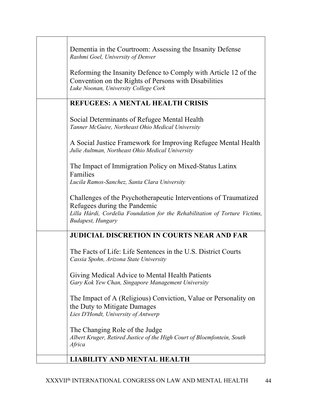| Dementia in the Courtroom: Assessing the Insanity Defense<br>Rashmi Goel, University of Denver                                                                                                               |
|--------------------------------------------------------------------------------------------------------------------------------------------------------------------------------------------------------------|
| Reforming the Insanity Defence to Comply with Article 12 of the<br>Convention on the Rights of Persons with Disabilities<br>Luke Noonan, University College Cork                                             |
| <b>REFUGEES: A MENTAL HEALTH CRISIS</b>                                                                                                                                                                      |
| Social Determinants of Refugee Mental Health<br>Tanner McGuire, Northeast Ohio Medical University                                                                                                            |
| A Social Justice Framework for Improving Refugee Mental Health<br>Julie Aultman, Northeast Ohio Medical University                                                                                           |
| The Impact of Immigration Policy on Mixed-Status Latinx<br>Families<br>Lucila Ramos-Sanchez, Santa Clara University                                                                                          |
| Challenges of the Psychotherapeutic Interventions of Traumatized<br>Refugees during the Pandemic<br>Lilla Hárdi, Cordelia Foundation for the Rehabilitation of Torture Victims,<br><b>Budapest</b> , Hungary |
| <b>JUDICIAL DISCRETION IN COURTS NEAR AND FAR</b>                                                                                                                                                            |
| The Facts of Life: Life Sentences in the U.S. District Courts<br>Cassia Spohn, Arizona State University                                                                                                      |
| Giving Medical Advice to Mental Health Patients<br>Gary Kok Yew Chan, Singapore Management University                                                                                                        |
| The Impact of A (Religious) Conviction, Value or Personality on<br>the Duty to Mitigate Damages<br>Lies D'Hondt, University of Antwerp                                                                       |
| The Changing Role of the Judge<br>Albert Kruger, Retired Justice of the High Court of Bloemfontein, South<br>Africa                                                                                          |
| <b>LIABILITY AND MENTAL HEALTH</b>                                                                                                                                                                           |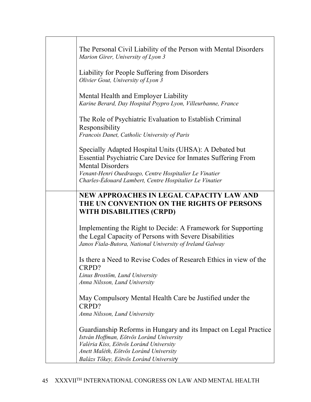| The Personal Civil Liability of the Person with Mental Disorders<br>Marion Girer, University of Lyon 3                                                                                                                                                                 |
|------------------------------------------------------------------------------------------------------------------------------------------------------------------------------------------------------------------------------------------------------------------------|
| Liability for People Suffering from Disorders<br>Olivier Gout, University of Lyon 3                                                                                                                                                                                    |
| Mental Health and Employer Liability<br>Karine Berard, Day Hospital Psypro Lyon, Villeurbanne, France                                                                                                                                                                  |
| The Role of Psychiatric Evaluation to Establish Criminal<br>Responsibility<br>Francois Danet, Catholic University of Paris                                                                                                                                             |
| Specially Adapted Hospital Units (UHSA): A Debated but<br>Essential Psychiatric Care Device for Inmates Suffering From<br><b>Mental Disorders</b><br>Venant-Henri Ouedraogo, Centre Hospitalier Le Vinatier<br>Charles-Édouard Lambert, Centre Hospitalier Le Vinatier |
| NEW APPROACHES IN LEGAL CAPACITY LAW AND<br>THE UN CONVENTION ON THE RIGHTS OF PERSONS<br>WITH DISABILITIES (CRPD)                                                                                                                                                     |
| Implementing the Right to Decide: A Framework for Supporting<br>the Legal Capacity of Persons with Severe Disabilities<br>Janos Fiala-Butora, National University of Ireland Galway                                                                                    |
| Is there a Need to Revise Codes of Research Ethics in view of the<br>CRPD?<br>Linus Brostöm, Lund University                                                                                                                                                           |
| Anna Nilsson, Lund University                                                                                                                                                                                                                                          |
| May Compulsory Mental Health Care be Justified under the<br>CRPD?<br>Anna Nilsson, Lund University                                                                                                                                                                     |
| Guardianship Reforms in Hungary and its Impact on Legal Practice<br>István Hoffman, Eötvös Loránd University<br>Valéria Kiss, Eötvös Loránd University<br>Anett Maléth, Eötvös Loránd University                                                                       |
| Balázs Tőkey, Eötvös Loránd University                                                                                                                                                                                                                                 |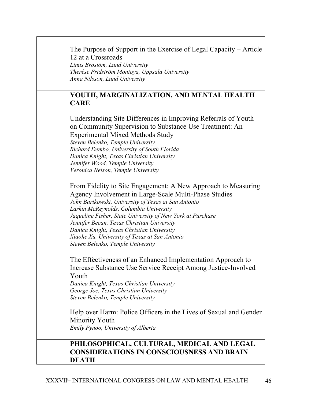| The Purpose of Support in the Exercise of Legal Capacity – Article<br>12 at a Crossroads<br>Linus Brostöm, Lund University<br>Therése Fridström Montoya, Uppsala University<br>Anna Nilsson, Lund University                                                                                                                                                                                                                                                           |
|------------------------------------------------------------------------------------------------------------------------------------------------------------------------------------------------------------------------------------------------------------------------------------------------------------------------------------------------------------------------------------------------------------------------------------------------------------------------|
| YOUTH, MARGINALIZATION, AND MENTAL HEALTH<br><b>CARE</b>                                                                                                                                                                                                                                                                                                                                                                                                               |
| Understanding Site Differences in Improving Referrals of Youth<br>on Community Supervision to Substance Use Treatment: An<br><b>Experimental Mixed Methods Study</b><br>Steven Belenko, Temple University<br>Richard Dembo, University of South Florida<br>Danica Knight, Texas Christian University<br>Jennifer Wood, Temple University<br>Veronica Nelson, Temple University                                                                                         |
| From Fidelity to Site Engagement: A New Approach to Measuring<br>Agency Involvement in Large-Scale Multi-Phase Studies<br>John Bartkowski, University of Texas at San Antonio<br>Larkin McReynolds, Columbia University<br>Jaqueline Fisher, State University of New York at Purchase<br>Jennifer Becan, Texas Christian University<br>Danica Knight, Texas Christian University<br>Xiaohe Xu, University of Texas at San Antonio<br>Steven Belenko, Temple University |
| The Effectiveness of an Enhanced Implementation Approach to<br>Increase Substance Use Service Receipt Among Justice-Involved<br>Youth<br>Danica Knight, Texas Christian University<br>George Joe, Texas Christian University<br>Steven Belenko, Temple University                                                                                                                                                                                                      |
| Help over Harm: Police Officers in the Lives of Sexual and Gender<br>Minority Youth<br>Emily Pynoo, University of Alberta                                                                                                                                                                                                                                                                                                                                              |
| PHILOSOPHICAL, CULTURAL, MEDICAL AND LEGAL<br><b>CONSIDERATIONS IN CONSCIOUSNESS AND BRAIN</b><br><b>DEATH</b>                                                                                                                                                                                                                                                                                                                                                         |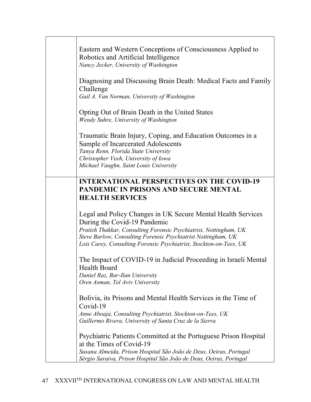| Eastern and Western Conceptions of Consciousness Applied to<br>Robotics and Artificial Intelligence<br>Nancy Jecker, University of Washington                                                                                                                                                                                      |
|------------------------------------------------------------------------------------------------------------------------------------------------------------------------------------------------------------------------------------------------------------------------------------------------------------------------------------|
| Diagnosing and Discussing Brain Death: Medical Facts and Family<br>Challenge<br>Gail A. Van Norman, University of Washington                                                                                                                                                                                                       |
| Opting Out of Brain Death in the United States<br>Wendy Suhre, University of Washington                                                                                                                                                                                                                                            |
| Traumatic Brain Injury, Coping, and Education Outcomes in a<br>Sample of Incarcerated Adolescents<br>Tanya Renn, Florida State University<br>Christopher Veeh, University of Iowa<br>Michael Vaughn, Saint Louis University                                                                                                        |
| <b>INTERNATIONAL PERSPECTIVES ON THE COVID-19</b><br><b>PANDEMIC IN PRISONS AND SECURE MENTAL</b>                                                                                                                                                                                                                                  |
| <b>HEALTH SERVICES</b><br>Legal and Policy Changes in UK Secure Mental Health Services<br>During the Covid-19 Pandemic<br>Pratish Thakkar, Consulting Forensic Psychiatrist, Nottingham, UK<br>Steve Barlow, Consulting Forensic Psychiatrist Nottingham, UK<br>Lois Carey, Consulting Forensic Psychiatrist, Stockton-on-Tees, UK |
| The Impact of COVID-19 in Judicial Proceeding in Israeli Mental<br>Health Board<br>Daniel Raz, Bar-Ilan University<br>Oren Asman, Tel Aviv University                                                                                                                                                                              |
| Bolivia, its Prisons and Mental Health Services in the Time of<br>Covid-19<br>Anne Aboaja, Consulting Psychiatrist, Stockton-on-Tees, UK<br>Guillermo Rivera, University of Santa Cruz de la Sierra                                                                                                                                |
| Psychiatric Patients Committed at the Portuguese Prison Hospital<br>at the Times of Covid-19<br>Susana Almeida, Prison Hospital São João de Deus, Oeiras, Portugal<br>Sérgio Saraiva, Prison Hospital São João de Deus, Oeiras, Portugal                                                                                           |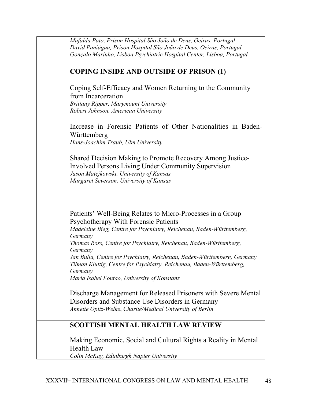| Mafalda Pato, Prison Hospital São João de Deus, Oeiras, Portugal<br>David Paniágua, Prison Hospital São João de Deus, Oeiras, Portugal<br>Gonçalo Marinho, Lisboa Psychiatric Hospital Center, Lisboa, Portugal                                                                                                                                                                                                                                                                                                                                      |
|------------------------------------------------------------------------------------------------------------------------------------------------------------------------------------------------------------------------------------------------------------------------------------------------------------------------------------------------------------------------------------------------------------------------------------------------------------------------------------------------------------------------------------------------------|
| <b>COPING INSIDE AND OUTSIDE OF PRISON (1)</b>                                                                                                                                                                                                                                                                                                                                                                                                                                                                                                       |
| Coping Self-Efficacy and Women Returning to the Community<br>from Incarceration<br><b>Brittany Ripper, Marymount University</b><br>Robert Johnson, American University                                                                                                                                                                                                                                                                                                                                                                               |
| Increase in Forensic Patients of Other Nationalities in Baden-<br>Württemberg<br>Hans-Joachim Traub, Ulm University                                                                                                                                                                                                                                                                                                                                                                                                                                  |
| Shared Decision Making to Promote Recovery Among Justice-<br><b>Involved Persons Living Under Community Supervision</b><br>Jason Matejkowski, University of Kansas<br>Margaret Severson, University of Kansas                                                                                                                                                                                                                                                                                                                                        |
| Patients' Well-Being Relates to Micro-Processes in a Group<br>Psychotherapy With Forensic Patients<br>Madeleine Bieg, Centre for Psychiatry, Reichenau, Baden-Württemberg,<br>Germany<br>Thomas Ross, Centre for Psychiatry, Reichenau, Baden-Württemberg,<br>Germany<br>Jan Bulla, Centre for Psychiatry, Reichenau, Baden-Württemberg, Germany<br>Tilman Kluttig, Centre for Psychiatry, Reichenau, Baden-Württemberg,<br>Germany<br>María Isabel Fontao, University of Konstanz<br>Discharge Management for Released Prisoners with Severe Mental |
| Disorders and Substance Use Disorders in Germany<br>Annette Opitz-Welke, Charité/Medical University of Berlin                                                                                                                                                                                                                                                                                                                                                                                                                                        |
| <b>SCOTTISH MENTAL HEALTH LAW REVIEW</b>                                                                                                                                                                                                                                                                                                                                                                                                                                                                                                             |
| Making Economic, Social and Cultural Rights a Reality in Mental<br><b>Health Law</b><br>Colin McKay, Edinburgh Napier University                                                                                                                                                                                                                                                                                                                                                                                                                     |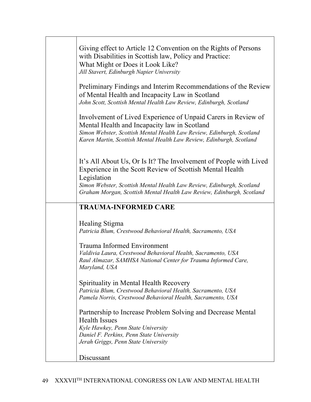| Giving effect to Article 12 Convention on the Rights of Persons<br>with Disabilities in Scottish law, Policy and Practice:<br>What Might or Does it Look Like?<br>Jill Stavert, Edinburgh Napier University                                                    |
|----------------------------------------------------------------------------------------------------------------------------------------------------------------------------------------------------------------------------------------------------------------|
| Preliminary Findings and Interim Recommendations of the Review<br>of Mental Health and Incapacity Law in Scotland<br>John Scott, Scottish Mental Health Law Review, Edinburgh, Scotland                                                                        |
| Involvement of Lived Experience of Unpaid Carers in Review of<br>Mental Health and Incapacity law in Scotland<br>Simon Webster, Scottish Mental Health Law Review, Edinburgh, Scotland<br>Karen Martin, Scottish Mental Health Law Review, Edinburgh, Scotland |
| It's All About Us, Or Is It? The Involvement of People with Lived<br>Experience in the Scott Review of Scottish Mental Health<br>Legislation                                                                                                                   |
| Simon Webster, Scottish Mental Health Law Review, Edinburgh, Scotland<br>Graham Morgan, Scottish Mental Health Law Review, Edinburgh, Scotland                                                                                                                 |
| <b>TRAUMA-INFORMED CARE</b>                                                                                                                                                                                                                                    |
| Healing Stigma<br>Patricia Blum, Crestwood Behavioral Health, Sacramento, USA                                                                                                                                                                                  |
| <b>Trauma Informed Environment</b><br>Valdivia Laura, Crestwood Behavioral Health, Sacramento, USA<br>Raul Almazar, SAMHSA National Center for Trauma Informed Care,<br>Maryland, USA                                                                          |
| Spirituality in Mental Health Recovery<br>Patricia Blum, Crestwood Behavioral Health, Sacramento, USA<br>Pamela Norris, Crestwood Behavioral Health, Sacramento, USA                                                                                           |
| Partnership to Increase Problem Solving and Decrease Mental<br><b>Health Issues</b>                                                                                                                                                                            |
| Kyle Hawkey, Penn State University                                                                                                                                                                                                                             |
| Daniel F. Perkins, Penn State University<br>Jerah Griggs, Penn State University                                                                                                                                                                                |
| Discussant                                                                                                                                                                                                                                                     |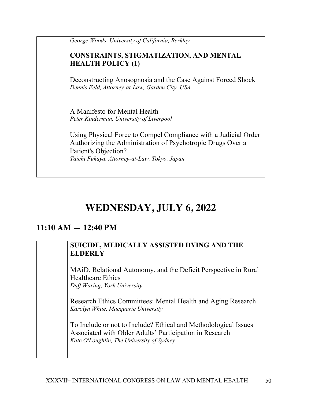| George Woods, University of California, Berkley                                                                                                                                                        |
|--------------------------------------------------------------------------------------------------------------------------------------------------------------------------------------------------------|
| <b>CONSTRAINTS, STIGMATIZATION, AND MENTAL</b><br><b>HEALTH POLICY (1)</b>                                                                                                                             |
| Deconstructing Anosognosia and the Case Against Forced Shock<br>Dennis Feld, Attorney-at-Law, Garden City, USA                                                                                         |
| A Manifesto for Mental Health<br>Peter Kinderman, University of Liverpool                                                                                                                              |
| Using Physical Force to Compel Compliance with a Judicial Order<br>Authorizing the Administration of Psychotropic Drugs Over a<br>Patient's Objection?<br>Taichi Fukaya, Attorney-at-Law, Tokyo, Japan |
|                                                                                                                                                                                                        |

# **WEDNESDAY, JULY 6, 2022**

### **11:10 AM — 12:40 PM**

#### **SUICIDE, MEDICALLY ASSISTED DYING AND THE ELDERLY**

MAiD, Relational Autonomy, and the Deficit Perspective in Rural Healthcare Ethics *Duff Waring, York University*

Research Ethics Committees: Mental Health and Aging Research *Karolyn White, Macquarie University*

To Include or not to Include? Ethical and Methodological Issues Associated with Older Adults' Participation in Research *Kate O'Loughlin, The University of Sydney*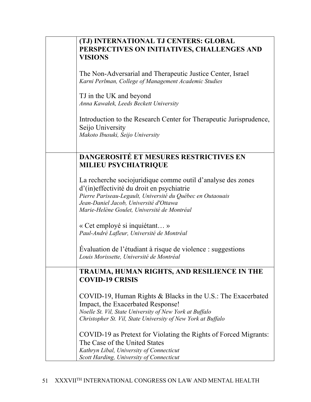| (TJ) INTERNATIONAL TJ CENTERS: GLOBAL<br>PERSPECTIVES ON INITIATIVES, CHALLENGES AND<br><b>VISIONS</b>                                                                                                                                                          |
|-----------------------------------------------------------------------------------------------------------------------------------------------------------------------------------------------------------------------------------------------------------------|
| The Non-Adversarial and Therapeutic Justice Center, Israel<br>Karni Perlman, College of Management Academic Studies                                                                                                                                             |
| TJ in the UK and beyond<br>Anna Kawałek, Leeds Beckett University                                                                                                                                                                                               |
| Introduction to the Research Center for Therapeutic Jurisprudence,<br>Seijo University<br>Makoto Ibusuki, Seijo University                                                                                                                                      |
| DANGEROSITÉ ET MESURES RESTRICTIVES EN<br>MILIEU PSYCHIATRIQUE                                                                                                                                                                                                  |
| La recherche sociojuridique comme outil d'analyse des zones<br>d'(in)effectivité du droit en psychiatrie<br>Pierre Pariseau-Legault, Université du Québec en Outaouais<br>Jean-Daniel Jacob, Université d'Ottawa<br>Marie-Helène Goulet, Université de Montréal |
| « Cet employé si inquiétant »<br>Paul-André Lafleur, Université de Montréal                                                                                                                                                                                     |
| Evaluation de l'étudiant à risque de violence : suggestions<br>Louis Morissette, Université de Montréal                                                                                                                                                         |
| TRAUMA, HUMAN RIGHTS, AND RESILIENCE IN THE<br><b>COVID-19 CRISIS</b>                                                                                                                                                                                           |
| COVID-19, Human Rights & Blacks in the U.S.: The Exacerbated<br>Impact, the Exacerbated Response!<br>Noelle St. Vil, State University of New York at Buffalo<br>Christopher St. Vil, State University of New York at Buffalo                                    |
| COVID-19 as Pretext for Violating the Rights of Forced Migrants:<br>The Case of the United States<br>Kathryn Libal, University of Connecticut<br>Scott Harding, University of Connecticut                                                                       |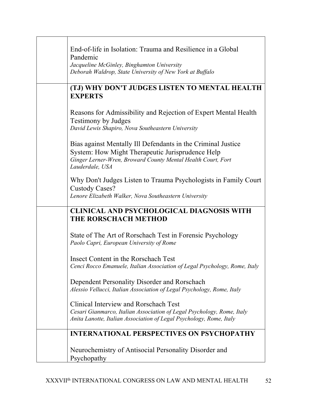| End-of-life in Isolation: Trauma and Resilience in a Global<br>Pandemic<br>Jacqueline McGinley, Binghamton University<br>Deborah Waldrop, State University of New York at Buffalo                   |
|-----------------------------------------------------------------------------------------------------------------------------------------------------------------------------------------------------|
| (TJ) WHY DON'T JUDGES LISTEN TO MENTAL HEALTH<br><b>EXPERTS</b>                                                                                                                                     |
| Reasons for Admissibility and Rejection of Expert Mental Health<br><b>Testimony by Judges</b><br>David Lewis Shapiro, Nova Southeastern University                                                  |
| Bias against Mentally Ill Defendants in the Criminal Justice<br>System: How Might Therapeutic Jurisprudence Help<br>Ginger Lerner-Wren, Broward County Mental Health Court, Fort<br>Lauderdale, USA |
| Why Don't Judges Listen to Trauma Psychologists in Family Court<br>Custody Cases?<br>Lenore Elizabeth Walker, Nova Southeastern University                                                          |
| <b>CLINICAL AND PSYCHOLOGICAL DIAGNOSIS WITH</b><br>THE RORSCHACH METHOD                                                                                                                            |
| State of The Art of Rorschach Test in Forensic Psychology<br>Paolo Capri, European University of Rome                                                                                               |
| Insect Content in the Rorschach Test<br>Cenci Rocco Emanuele, Italian Association of Legal Psychology, Rome, Italy                                                                                  |
| Dependent Personality Disorder and Rorschach<br>Alessio Vellucci, Italian Association of Legal Psychology, Rome, Italy                                                                              |
| Clinical Interview and Rorschach Test<br>Cesari Gianmarco, Italian Association of Legal Psychology, Rome, Italy<br>Anita Lanotte, Italian Association of Legal Psychology, Rome, Italy              |
| <b>INTERNATIONAL PERSPECTIVES ON PSYCHOPATHY</b>                                                                                                                                                    |
| Neurochemistry of Antisocial Personality Disorder and<br>Psychopathy                                                                                                                                |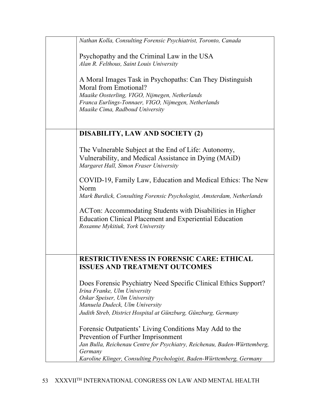| Nathan Kolla, Consulting Forensic Psychiatrist, Toronto, Canada                                                                                                                                                                                                                                                           |
|---------------------------------------------------------------------------------------------------------------------------------------------------------------------------------------------------------------------------------------------------------------------------------------------------------------------------|
| Psychopathy and the Criminal Law in the USA<br>Alan R. Felthous, Saint Louis University<br>A Moral Images Task in Psychopaths: Can They Distinguish<br>Moral from Emotional?<br>Maaike Oosterling, VIGO, Nijmegen, Netherlands<br>Franca Eurlings-Tonnaer, VIGO, Nijmegen, Netherlands<br>Maaike Cima, Radboud University |
|                                                                                                                                                                                                                                                                                                                           |
| <b>DISABILITY, LAW AND SOCIETY (2)</b>                                                                                                                                                                                                                                                                                    |
| The Vulnerable Subject at the End of Life: Autonomy,<br>Vulnerability, and Medical Assistance in Dying (MAiD)<br>Margaret Hall, Simon Fraser University                                                                                                                                                                   |
| COVID-19, Family Law, Education and Medical Ethics: The New<br>Norm<br>Mark Burdick, Consulting Forensic Psychologist, Amsterdam, Netherlands                                                                                                                                                                             |
| ACTon: Accommodating Students with Disabilities in Higher<br><b>Education Clinical Placement and Experiential Education</b><br>Roxanne Mykitiuk, York University                                                                                                                                                          |
| <b>RESTRICTIVENESS IN FORENSIC CARE: ETHICAL</b>                                                                                                                                                                                                                                                                          |
| <b>ISSUES AND TREATMENT OUTCOMES</b>                                                                                                                                                                                                                                                                                      |
| Does Forensic Psychiatry Need Specific Clinical Ethics Support?<br>Irina Franke, Ulm University<br>Oskar Speiser, Ulm University<br>Manuela Dudeck, Ulm University<br>Judith Streb, District Hospital at Günzburg, Günzburg, Germany                                                                                      |
| Forensic Outpatients' Living Conditions May Add to the<br>Prevention of Further Imprisonment<br>Jan Bulla, Reichenau Centre for Psychiatry, Reichenau, Baden-Württemberg,<br>Germany<br>Karoline Klinger, Consulting Psychologist, Baden-Württemberg, Germany                                                             |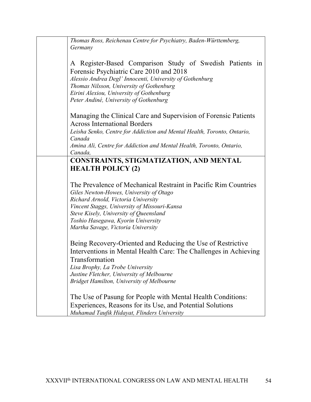| Thomas Ross, Reichenau Centre for Psychiatry, Baden-Württemberg,<br>Germany                                                                                                                                                                                                                                             |
|-------------------------------------------------------------------------------------------------------------------------------------------------------------------------------------------------------------------------------------------------------------------------------------------------------------------------|
| A Register-Based Comparison Study of Swedish Patients in<br>Forensic Psychiatric Care 2010 and 2018<br>Alessio Andrea Degl' Innocenti, University of Gothenburg<br>Thomas Nilsson, University of Gothenburg<br>Eirini Alexiou, University of Gothenburg<br>Peter Andiné, University of Gothenburg                       |
| Managing the Clinical Care and Supervision of Forensic Patients<br><b>Across International Borders</b><br>Leisha Senko, Centre for Addiction and Mental Health, Toronto, Ontario,                                                                                                                                       |
| Canada<br>Amina Ali, Centre for Addiction and Mental Health, Toronto, Ontario,<br>Canada,                                                                                                                                                                                                                               |
| <b>CONSTRAINTS, STIGMATIZATION, AND MENTAL</b><br><b>HEALTH POLICY (2)</b>                                                                                                                                                                                                                                              |
| The Prevalence of Mechanical Restraint in Pacific Rim Countries<br>Giles Newton-Howes, University of Otago<br>Richard Arnold, Victoria University<br>Vincent Staggs, University of Missouri-Kansa<br>Steve Kisely, University of Queensland<br>Toshio Hasegawa, Kyorin University<br>Martha Savage, Victoria University |
| Being Recovery-Oriented and Reducing the Use of Restrictive<br>Interventions in Mental Health Care: The Challenges in Achieving<br>Transformation<br>Lisa Brophy, La Trobe University<br>Justine Fletcher, University of Melbourne<br><b>Bridget Hamilton, University of Melbourne</b>                                  |
| The Use of Pasung for People with Mental Health Conditions:<br>Experiences, Reasons for its Use, and Potential Solutions<br>Muhamad Taufik Hidayat, Flinders University                                                                                                                                                 |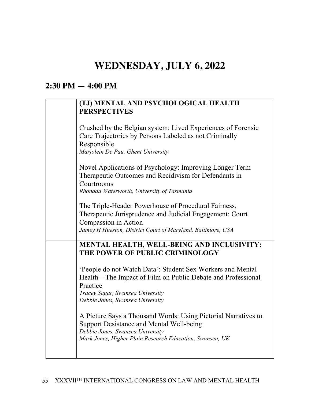## **WEDNESDAY, JULY 6, 2022**

### **2:30 PM — 4:00 PM**

#### **(TJ) MENTAL AND PSYCHOLOGICAL HEALTH PERSPECTIVES**

| Crushed by the Belgian system: Lived Experiences of Forensic<br>Care Trajectories by Persons Labeled as not Criminally<br>Responsible<br>Marjolein De Pau, Ghent University                                     |
|-----------------------------------------------------------------------------------------------------------------------------------------------------------------------------------------------------------------|
| Novel Applications of Psychology: Improving Longer Term<br>Therapeutic Outcomes and Recidivism for Defendants in<br>Courtrooms<br>Rhondda Waterworth, University of Tasmania                                    |
| The Triple-Header Powerhouse of Procedural Fairness,<br>Therapeutic Jurisprudence and Judicial Engagement: Court<br>Compassion in Action<br>Jamey H Hueston, District Court of Maryland, Baltimore, USA         |
| MENTAL HEALTH, WELL-BEING AND INCLUSIVITY:<br>THE POWER OF PUBLIC CRIMINOLOGY                                                                                                                                   |
| 'People do not Watch Data': Student Sex Workers and Mental<br>Health – The Impact of Film on Public Debate and Professional<br>Practice<br>Tracey Sagar, Swansea University<br>Debbie Jones, Swansea University |
| A Picture Says a Thousand Words: Using Pictorial Narratives to<br>Support Desistance and Mental Well-being<br>Debbie Jones, Swansea University<br>Mark Jones, Higher Plain Research Education, Swansea, UK      |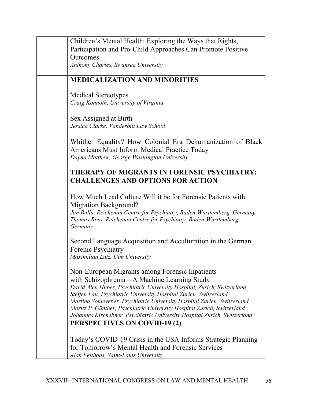| Children's Mental Health: Exploring the Ways that Rights,<br>Participation and Pro-Child Approaches Can Promote Positive                                                                                                                                                                                                                                                                                                                                                       |
|--------------------------------------------------------------------------------------------------------------------------------------------------------------------------------------------------------------------------------------------------------------------------------------------------------------------------------------------------------------------------------------------------------------------------------------------------------------------------------|
| Outcomes<br>Anthony Charles, Swansea University                                                                                                                                                                                                                                                                                                                                                                                                                                |
| <b>MEDICALIZATION AND MINORITIES</b>                                                                                                                                                                                                                                                                                                                                                                                                                                           |
| <b>Medical Stereotypes</b><br>Craig Konnoth, University of Virginia                                                                                                                                                                                                                                                                                                                                                                                                            |
| Sex Assigned at Birth<br>Jessica Clarke, Vanderbilt Law School                                                                                                                                                                                                                                                                                                                                                                                                                 |
| Whither Equality? How Colonial Era Dehumanization of Black<br>Americans Must Inform Medical Practice Today<br>Dayna Matthew, George Washington University                                                                                                                                                                                                                                                                                                                      |
| THERAPY OF MIGRANTS IN FORENSIC PSYCHIATRY:<br><b>CHALLENGES AND OPTIONS FOR ACTION</b>                                                                                                                                                                                                                                                                                                                                                                                        |
| How Much Lead Culture Will it be for Forensic Patients with<br><b>Migration Background?</b><br>Jan Bulla, Reichenau Centre for Psychiatry, Baden-Württemberg, Germany<br>Thomas Ross, Reichenau Centre for Psychiatry, Baden-Württemberg,<br>Germany                                                                                                                                                                                                                           |
| Second Language Acquisition and Acculturation in the German<br>Forenic Psychiatry<br>Maximilian Lutz, Ulm University                                                                                                                                                                                                                                                                                                                                                           |
| Non-European Migrants among Forensic Inpatients<br>with Schizophrenia – A Machine Learning Study<br>David Alen Huber, Psychiatric University Hospital, Zurich, Switzerland<br>Steffen Lau, Psychiatric University Hospital Zurich, Switzerland<br>Martina Sonnweber, Psychiatric University Hospital Zurich, Switzerland<br>Moritz P. Günther, Psychiatric University Hospital Zurich, Switzerland<br>Johannes Kirchebner, Psychiatric University Hospital Zurich, Switzerland |
| <b>PERSPECTIVES ON COVID-19 (2)</b>                                                                                                                                                                                                                                                                                                                                                                                                                                            |
| Today's COVID-19 Crisis in the USA Informs Strategic Planning<br>for Tomorrow's Mental Health and Forensic Services<br>Alan Felthous, Saint-Louis University                                                                                                                                                                                                                                                                                                                   |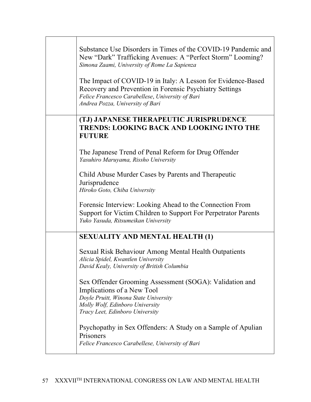| Substance Use Disorders in Times of the COVID-19 Pandemic and<br>New "Dark" Trafficking Avenues: A "Perfect Storm" Looming?<br>Simona Zaami, University of Rome La Sapienza                                     |
|-----------------------------------------------------------------------------------------------------------------------------------------------------------------------------------------------------------------|
| The Impact of COVID-19 in Italy: A Lesson for Evidence-Based<br>Recovery and Prevention in Forensic Psychiatry Settings<br>Felice Francesco Carabellese, University of Bari<br>Andrea Pozza, University of Bari |
| (TJ) JAPANESE THERAPEUTIC JURISPRUDENCE<br><b>TRENDS: LOOKING BACK AND LOOKING INTO THE</b><br><b>FUTURE</b>                                                                                                    |
| The Japanese Trend of Penal Reform for Drug Offender<br>Yasuhiro Maruyama, Rissho University                                                                                                                    |
| Child Abuse Murder Cases by Parents and Therapeutic<br>Jurisprudence<br>Hiroko Goto, Chiba University                                                                                                           |
| Forensic Interview: Looking Ahead to the Connection From<br>Support for Victim Children to Support For Perpetrator Parents<br>Yuko Yasuda, Ritsumeikan University                                               |
| <b>SEXUALITY AND MENTAL HEALTH (1)</b>                                                                                                                                                                          |
| Sexual Risk Behaviour Among Mental Health Outpatients<br>Alicia Spidel, Kwantlen University<br>David Kealy, University of British Columbia                                                                      |
| Sex Offender Grooming Assessment (SOGA): Validation and<br>Implications of a New Tool<br>Doyle Pruitt, Winona State University<br>Molly Wolf, Edinboro University<br>Tracy Leet, Edinboro University            |
| Psychopathy in Sex Offenders: A Study on a Sample of Apulian<br>Prisoners<br>Felice Francesco Carabellese, University of Bari                                                                                   |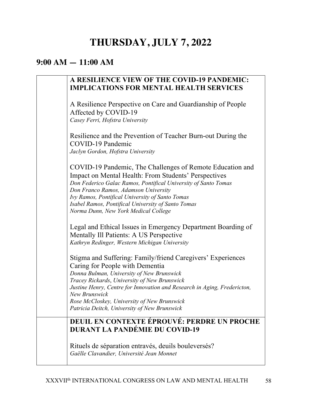# **THURSDAY, JULY 7, 2022**

### **9:00 AM — 11:00 AM**

| A RESILIENCE VIEW OF THE COVID-19 PANDEMIC:<br><b>IMPLICATIONS FOR MENTAL HEALTH SERVICES</b>                                                                                                                                                                                                                                                                                           |
|-----------------------------------------------------------------------------------------------------------------------------------------------------------------------------------------------------------------------------------------------------------------------------------------------------------------------------------------------------------------------------------------|
| A Resilience Perspective on Care and Guardianship of People<br>Affected by COVID-19<br>Casey Ferri, Hofstra University                                                                                                                                                                                                                                                                  |
| Resilience and the Prevention of Teacher Burn-out During the<br>COVID-19 Pandemic<br>Jaclyn Gordon, Hofstra University                                                                                                                                                                                                                                                                  |
| COVID-19 Pandemic, The Challenges of Remote Education and<br><b>Impact on Mental Health: From Students' Perspectives</b><br>Don Federico Galac Ramos, Pontifical University of Santo Tomas<br>Don Franco Ramos, Adamson University<br>Ivy Ramos, Pontifical University of Santo Tomas<br>Isabel Ramos, Pontifical University of Santo Tomas<br>Norma Dunn, New York Medical College     |
| Legal and Ethical Issues in Emergency Department Boarding of<br>Mentally Ill Patients: A US Perspective<br>Kathryn Redinger, Western Michigan University                                                                                                                                                                                                                                |
| Stigma and Suffering: Family/friend Caregivers' Experiences<br>Caring for People with Dementia<br>Donna Bulman, University of New Brunswick<br>Tracey Rickards, University of New Brunswick<br>Justine Henry, Centre for Innovation and Research in Aging, Fredericton,<br>New Brunswick<br>Rose McCloskey, University of New Brunswick<br>Patricia Deitch, University of New Brunswick |
| DEUIL EN CONTEXTE ÉPROUVÉ: PERDRE UN PROCHE<br><b>DURANT LA PANDÉMIE DU COVID-19</b>                                                                                                                                                                                                                                                                                                    |
| Rituels de séparation entravés, deuils bouleversés?<br>Gaëlle Clavandier, Université Jean Monnet                                                                                                                                                                                                                                                                                        |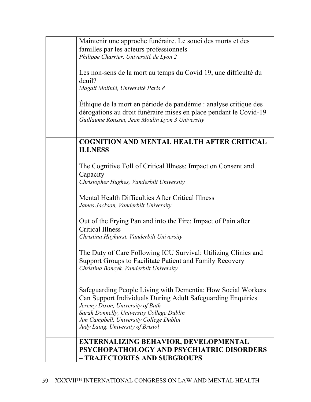| Maintenir une approche funéraire. Le souci des morts et des                  |
|------------------------------------------------------------------------------|
| familles par les acteurs professionnels                                      |
| Philippe Charrier, Université de Lyon 2                                      |
|                                                                              |
| Les non-sens de la mort au temps du Covid 19, une difficulté du              |
| deuil?                                                                       |
| Magali Molinié, Université Paris 8                                           |
|                                                                              |
| Éthique de la mort en période de pandémie : analyse critique des             |
| dérogations au droit funéraire mises en place pendant le Covid-19            |
| Guillaume Rousset, Jean Moulin Lyon 3 University                             |
|                                                                              |
|                                                                              |
| <b>COGNITION AND MENTAL HEALTH AFTER CRITICAL</b>                            |
| <b>ILLNESS</b>                                                               |
|                                                                              |
| The Cognitive Toll of Critical Illness: Impact on Consent and                |
| Capacity                                                                     |
| Christopher Hughes, Vanderbilt University                                    |
|                                                                              |
| Mental Health Difficulties After Critical Illness                            |
|                                                                              |
| James Jackson, Vanderbilt University                                         |
|                                                                              |
| Out of the Frying Pan and into the Fire: Impact of Pain after                |
| <b>Critical Illness</b>                                                      |
| Christina Hayhurst, Vanderbilt University                                    |
|                                                                              |
| The Duty of Care Following ICU Survival: Utilizing Clinics and               |
| Support Groups to Facilitate Patient and Family Recovery                     |
| Christina Boncyk, Vanderbilt University                                      |
|                                                                              |
|                                                                              |
| Safeguarding People Living with Dementia: How Social Workers                 |
| Can Support Individuals During Adult Safeguarding Enquiries                  |
| Jeremy Dixon, University of Bath                                             |
| Sarah Donnelly, University College Dublin                                    |
| Jim Campbell, University College Dublin<br>Judy Laing, University of Bristol |
|                                                                              |
| <b>EXTERNALIZING BEHAVIOR, DEVELOPMENTAL</b>                                 |
| PSYCHOPATHOLOGY AND PSYCHIATRIC DISORDERS                                    |
| - TRAJECTORIES AND SUBGROUPS                                                 |
|                                                                              |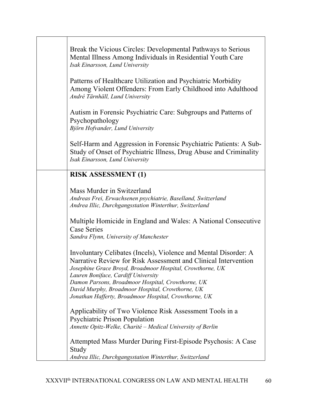| Break the Vicious Circles: Developmental Pathways to Serious<br>Mental Illness Among Individuals in Residential Youth Care<br>Isak Einarsson, Lund University                                                                                                                                                                                                                                           |
|---------------------------------------------------------------------------------------------------------------------------------------------------------------------------------------------------------------------------------------------------------------------------------------------------------------------------------------------------------------------------------------------------------|
| Patterns of Healthcare Utilization and Psychiatric Morbidity<br>Among Violent Offenders: From Early Childhood into Adulthood<br>André Tärnhäll, Lund University                                                                                                                                                                                                                                         |
| Autism in Forensic Psychiatric Care: Subgroups and Patterns of<br>Psychopathology<br>Björn Hofvander, Lund University                                                                                                                                                                                                                                                                                   |
| Self-Harm and Aggression in Forensic Psychiatric Patients: A Sub-<br>Study of Onset of Psychiatric Illness, Drug Abuse and Criminality<br>Isak Einarsson, Lund University                                                                                                                                                                                                                               |
| <b>RISK ASSESSMENT (1)</b>                                                                                                                                                                                                                                                                                                                                                                              |
| Mass Murder in Switzerland<br>Andreas Frei, Erwachsenen psychiatrie, Baselland, Switzerland<br>Andrea Illic, Durchgangsstation Winterthur, Switzerland                                                                                                                                                                                                                                                  |
| Multiple Homicide in England and Wales: A National Consecutive<br><b>Case Series</b><br>Sandra Flynn, University of Manchester                                                                                                                                                                                                                                                                          |
| Involuntary Celibates (Incels), Violence and Mental Disorder: A<br>Narrative Review for Risk Assessment and Clinical Intervention<br>Josephine Grace Broyd, Broadmoor Hospital, Crowthorne, UK<br>Lauren Boniface, Cardiff University<br>Damon Parsons, Broadmoor Hospital, Crowthorne, UK<br>David Murphy, Broadmoor Hospital, Crowthorne, UK<br>Jonathan Hafferty, Broadmoor Hospital, Crowthorne, UK |
| Applicability of Two Violence Risk Assessment Tools in a<br><b>Psychiatric Prison Population</b><br>Annette Opitz-Welke, Charité - Medical University of Berlin                                                                                                                                                                                                                                         |
| Attempted Mass Murder During First-Episode Psychosis: A Case<br>Study<br>Andrea Illic, Durchgangsstation Winterthur, Switzerland                                                                                                                                                                                                                                                                        |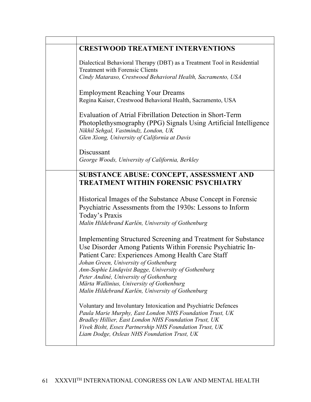| <b>CRESTWOOD TREATMENT INTERVENTIONS</b>                                                                                                                                                                                                                                                                                                                                  |
|---------------------------------------------------------------------------------------------------------------------------------------------------------------------------------------------------------------------------------------------------------------------------------------------------------------------------------------------------------------------------|
| Dialectical Behavioral Therapy (DBT) as a Treatment Tool in Residential<br><b>Treatment with Forensic Clients</b><br>Cindy Mataraso, Crestwood Behavioral Health, Sacramento, USA                                                                                                                                                                                         |
| <b>Employment Reaching Your Dreams</b><br>Regina Kaiser, Crestwood Behavioral Health, Sacramento, USA                                                                                                                                                                                                                                                                     |
| Evaluation of Atrial Fibrillation Detection in Short-Term<br>Photoplethysmography (PPG) Signals Using Artificial Intelligence<br>Nikhil Sehgal, Vastmindz, London, UK<br>Glen Xiong, University of California at Davis                                                                                                                                                    |
| Discussant                                                                                                                                                                                                                                                                                                                                                                |
| George Woods, University of California, Berkley                                                                                                                                                                                                                                                                                                                           |
| SUBSTANCE ABUSE: CONCEPT, ASSESSMENT AND<br><b>TREATMENT WITHIN FORENSIC PSYCHIATRY</b>                                                                                                                                                                                                                                                                                   |
| Historical Images of the Substance Abuse Concept in Forensic<br>Psychiatric Assessments from the 1930s: Lessons to Inform<br>Today's Praxis<br>Malin Hildebrand Karlén, University of Gothenburg                                                                                                                                                                          |
| Implementing Structured Screening and Treatment for Substance<br>Use Disorder Among Patients Within Forensic Psychiatric In-<br>Patient Care: Experiences Among Health Care Staff<br>Johan Green, University of Gothenburg<br>Ann-Sophie Lindqvist Bagge, University of Gothenburg<br>Peter Andiné, University of Gothenburg<br>Märta Wallinius, University of Gothenburg |
| Malin Hildebrand Karlén, University of Gothenburg<br>Voluntary and Involuntary Intoxication and Psychiatric Defences<br>Paula Marie Murphy, East London NHS Foundation Trust, UK<br>Bradley Hillier, East London NHS Foundation Trust, UK<br>Vivek Bisht, Essex Partnership NHS Foundation Trust, UK<br>Liam Dodge, Oxleas NHS Foundation Trust, UK                       |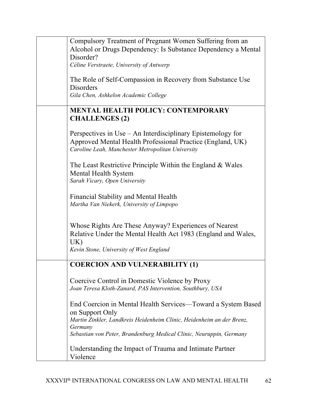| Compulsory Treatment of Pregnant Women Suffering from an              |
|-----------------------------------------------------------------------|
| Alcohol or Drugs Dependency: Is Substance Dependency a Mental         |
| Disorder?                                                             |
| Céline Verstraete, University of Antwerp                              |
|                                                                       |
| The Role of Self-Compassion in Recovery from Substance Use            |
| Disorders                                                             |
| Gila Chen, Ashkelon Academic College                                  |
|                                                                       |
| <b>MENTAL HEALTH POLICY: CONTEMPORARY</b>                             |
| <b>CHALLENGES (2)</b>                                                 |
|                                                                       |
| Perspectives in Use – An Interdisciplinary Epistemology for           |
| Approved Mental Health Professional Practice (England, UK)            |
| Caroline Leah, Manchester Metropolitan University                     |
|                                                                       |
|                                                                       |
| The Least Restrictive Principle Within the England & Wales            |
| <b>Mental Health System</b>                                           |
| Sarah Vicary, Open University                                         |
|                                                                       |
| Financial Stability and Mental Health                                 |
| Martha Van Niekerk, University of Limpopo                             |
|                                                                       |
|                                                                       |
| Whose Rights Are These Anyway? Experiences of Nearest                 |
| Relative Under the Mental Health Act 1983 (England and Wales,         |
| UK)                                                                   |
| Kevin Stone, University of West England                               |
|                                                                       |
| <b>COERCION AND VULNERABILITY (1)</b>                                 |
|                                                                       |
| Coercive Control in Domestic Violence by Proxy                        |
| Joan Teresa Kloth-Zanard, PAS Intervention, Southbury, USA            |
|                                                                       |
| End Coercion in Mental Health Services—Toward a System Based          |
| on Support Only                                                       |
| Martin Zinkler, Landkreis Heidenheim Clinic, Heidenheim an der Brenz, |
| Germany                                                               |
| Sebastian von Peter, Brandenburg Medical Clinic, Neuruppin, Germany   |
|                                                                       |
| Understanding the Impact of Trauma and Intimate Partner               |
| Violence                                                              |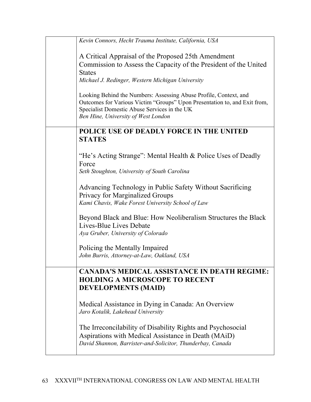| Kevin Connors, Hecht Trauma Institute, California, USA                                                                                                                                                                                |
|---------------------------------------------------------------------------------------------------------------------------------------------------------------------------------------------------------------------------------------|
| A Critical Appraisal of the Proposed 25th Amendment                                                                                                                                                                                   |
| Commission to Assess the Capacity of the President of the United                                                                                                                                                                      |
| <b>States</b>                                                                                                                                                                                                                         |
| Michael J. Redinger, Western Michigan University                                                                                                                                                                                      |
| Looking Behind the Numbers: Assessing Abuse Profile, Context, and<br>Outcomes for Various Victim "Groups" Upon Presentation to, and Exit from,<br>Specialist Domestic Abuse Services in the UK<br>Ben Hine, University of West London |
| POLICE USE OF DEADLY FORCE IN THE UNITED<br><b>STATES</b>                                                                                                                                                                             |
| "He's Acting Strange": Mental Health & Police Uses of Deadly<br>Force                                                                                                                                                                 |
| Seth Stoughton, University of South Carolina                                                                                                                                                                                          |
| Advancing Technology in Public Safety Without Sacrificing                                                                                                                                                                             |
| Privacy for Marginalized Groups<br>Kami Chavis, Wake Forest University School of Law                                                                                                                                                  |
| Beyond Black and Blue: How Neoliberalism Structures the Black                                                                                                                                                                         |
| Lives-Blue Lives Debate                                                                                                                                                                                                               |
| Aya Gruber, University of Colorado                                                                                                                                                                                                    |
| Policing the Mentally Impaired                                                                                                                                                                                                        |
| John Burris, Attorney-at-Law, Oakland, USA                                                                                                                                                                                            |
| <b>CANADA'S MEDICAL ASSISTANCE IN DEATH REGIME:</b>                                                                                                                                                                                   |
| <b>HOLDING A MICROSCOPE TO RECENT</b><br><b>DEVELOPMENTS (MAID)</b>                                                                                                                                                                   |
| Medical Assistance in Dying in Canada: An Overview<br>Jaro Kotalik, Lakehead University                                                                                                                                               |
| The Irreconcilability of Disability Rights and Psychosocial                                                                                                                                                                           |
| Aspirations with Medical Assistance in Death (MAiD)                                                                                                                                                                                   |
| David Shannon, Barrister-and-Solicitor, Thunderbay, Canada                                                                                                                                                                            |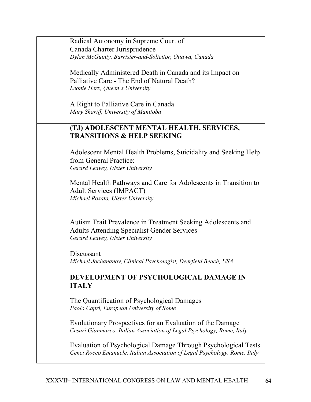| Radical Autonomy in Supreme Court of                                       |
|----------------------------------------------------------------------------|
| Canada Charter Jurisprudence                                               |
| Dylan McGuinty, Barrister-and-Solicitor, Ottawa, Canada                    |
|                                                                            |
| Medically Administered Death in Canada and its Impact on                   |
| Palliative Care - The End of Natural Death?                                |
| Leonie Herx, Queen's University                                            |
|                                                                            |
|                                                                            |
| A Right to Palliative Care in Canada                                       |
| Mary Shariff, University of Manitoba                                       |
|                                                                            |
| (TJ) ADOLESCENT MENTAL HEALTH, SERVICES,                                   |
| <b>TRANSITIONS &amp; HELP SEEKING</b>                                      |
|                                                                            |
| Adolescent Mental Health Problems, Suicidality and Seeking Help            |
| from General Practice:                                                     |
| Gerard Leavey, Ulster University                                           |
|                                                                            |
| Mental Health Pathways and Care for Adolescents in Transition to           |
|                                                                            |
| <b>Adult Services (IMPACT)</b>                                             |
| Michael Rosato, Ulster University                                          |
|                                                                            |
|                                                                            |
| Autism Trait Prevalence in Treatment Seeking Adolescents and               |
| <b>Adults Attending Specialist Gender Services</b>                         |
| Gerard Leavey, Ulster University                                           |
|                                                                            |
| Discussant                                                                 |
| Michael Jochananov, Clinical Psychologist, Deerfield Beach, USA            |
|                                                                            |
| DEVELOPMENT OF PSYCHOLOGICAL DAMAGE IN                                     |
|                                                                            |
| <b>ITALY</b>                                                               |
|                                                                            |
| The Quantification of Psychological Damages                                |
| Paolo Capri, European University of Rome                                   |
|                                                                            |
| Evolutionary Prospectives for an Evaluation of the Damage                  |
| Cesari Gianmarco, Italian Association of Legal Psychology, Rome, Italy     |
|                                                                            |
| Evaluation of Psychological Damage Through Psychological Tests             |
| Cenci Rocco Emanuele, Italian Association of Legal Psychology, Rome, Italy |
|                                                                            |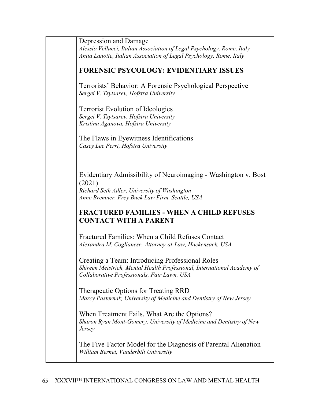| Depression and Damage                                                                                                                                                      |
|----------------------------------------------------------------------------------------------------------------------------------------------------------------------------|
| Alessio Vellucci, Italian Association of Legal Psychology, Rome, Italy                                                                                                     |
| Anita Lanotte, Italian Association of Legal Psychology, Rome, Italy                                                                                                        |
| <b>FORENSIC PSYCOLOGY: EVIDENTIARY ISSUES</b>                                                                                                                              |
| Terrorists' Behavior: A Forensic Psychological Perspective<br>Sergei V. Tsytsarev, Hofstra University                                                                      |
| <b>Terrorist Evolution of Ideologies</b><br>Sergei V. Tsytsarev, Hofstra University<br>Kristina Aganova, Hofstra University                                                |
| The Flaws in Eyewitness Identifications<br>Casey Lee Ferri, Hofstra University                                                                                             |
| Evidentiary Admissibility of Neuroimaging - Washington v. Bost<br>(2021)<br>Richard Seth Adler, University of Washington<br>Anne Bremner, Frey Buck Law Firm, Seattle, USA |
| <b>FRACTURED FAMILIES - WHEN A CHILD REFUSES</b><br><b>CONTACT WITH A PARENT</b>                                                                                           |
| Fractured Families: When a Child Refuses Contact<br>Alexandra M. Coglianese, Attorney-at-Law, Hackensack, USA                                                              |
| Creating a Team: Introducing Professional Roles<br>Shireen Meistrich, Mental Health Professional, International Academy of<br>Collaborative Professionals, Fair Lawn, USA  |
| Therapeutic Options for Treating RRD<br>Marcy Pasternak, University of Medicine and Dentistry of New Jersey                                                                |
| When Treatment Fails, What Are the Options?<br>Sharon Ryan Mont-Gomery, University of Medicine and Dentistry of New<br><i>Jersey</i>                                       |
| The Five-Factor Model for the Diagnosis of Parental Alienation<br>William Bernet, Vanderbilt University                                                                    |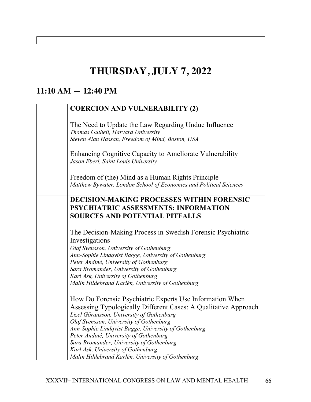# **THURSDAY, JULY 7, 2022**

### **11:10 AM — 12:40 PM**

| <b>COERCION AND VULNERABILITY (2)</b>                                                                                                                                                                                                                                                                                                                                                                                                                        |
|--------------------------------------------------------------------------------------------------------------------------------------------------------------------------------------------------------------------------------------------------------------------------------------------------------------------------------------------------------------------------------------------------------------------------------------------------------------|
| The Need to Update the Law Regarding Undue Influence<br>Thomas Gutheil, Harvard University<br>Steven Alan Hassan, Freedom of Mind, Boston, USA                                                                                                                                                                                                                                                                                                               |
| Enhancing Cognitive Capacity to Ameliorate Vulnerability<br>Jason Eberl, Saint Louis University                                                                                                                                                                                                                                                                                                                                                              |
| Freedom of (the) Mind as a Human Rights Principle<br>Matthew Bywater, London School of Economics and Political Sciences                                                                                                                                                                                                                                                                                                                                      |
| <b>DECISION-MAKING PROCESSES WITHIN FORENSIC</b><br><b>PSYCHIATRIC ASSESSMENTS: INFORMATION</b><br><b>SOURCES AND POTENTIAL PITFALLS</b>                                                                                                                                                                                                                                                                                                                     |
| The Decision-Making Process in Swedish Forensic Psychiatric<br>Investigations<br>Olaf Svensson, University of Gothenburg<br>Ann-Sophie Lindqvist Bagge, University of Gothenburg<br>Peter Andiné, University of Gothenburg<br>Sara Bromander, University of Gothenburg<br>Karl Ask, University of Gothenburg<br>Malin Hildebrand Karlén, University of Gothenburg                                                                                            |
| How Do Forensic Psychiatric Experts Use Information When<br>Assessing Typologically Different Cases: A Qualitative Approach<br>Lizel Göransson, University of Gothenburg<br>Olaf Svensson, University of Gothenburg<br>Ann-Sophie Lindqvist Bagge, University of Gothenburg<br>Peter Andiné, University of Gothenburg<br>Sara Bromander, University of Gothenburg<br>Karl Ask, University of Gothenburg<br>Malin Hildebrand Karlén, University of Gothenburg |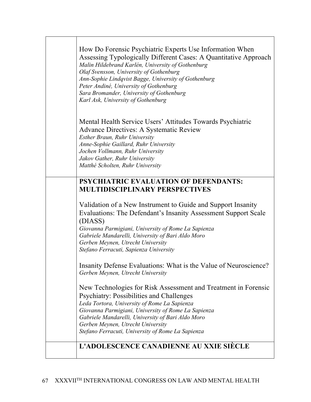| How Do Forensic Psychiatric Experts Use Information When<br>Assessing Typologically Different Cases: A Quantitative Approach<br>Malin Hildebrand Karlén, University of Gothenburg<br>Olaf Svensson, University of Gothenburg<br>Ann-Sophie Lindqvist Bagge, University of Gothenburg<br>Peter Andiné, University of Gothenburg<br>Sara Bromander, University of Gothenburg<br>Karl Ask, University of Gothenburg |
|------------------------------------------------------------------------------------------------------------------------------------------------------------------------------------------------------------------------------------------------------------------------------------------------------------------------------------------------------------------------------------------------------------------|
| Mental Health Service Users' Attitudes Towards Psychiatric<br>Advance Directives: A Systematic Review<br><b>Esther Braun, Ruhr University</b><br>Anne-Sophie Gaillard, Ruhr University<br>Jochen Vollmann, Ruhr University<br>Jakov Gather, Ruhr University<br>Matthé Scholten, Ruhr University                                                                                                                  |
| <b>PSYCHIATRIC EVALUATION OF DEFENDANTS:</b><br><b>MULTIDISCIPLINARY PERSPECTIVES</b>                                                                                                                                                                                                                                                                                                                            |
| Validation of a New Instrument to Guide and Support Insanity<br>Evaluations: The Defendant's Insanity Assessment Support Scale<br>(DIASS)<br>Giovanna Parmigiani, University of Rome La Sapienza<br>Gabriele Mandarelli, University of Bari Aldo Moro<br>Gerben Meynen, Utrecht University<br>Stefano Ferracuti, Sapienza University                                                                             |
| Insanity Defense Evaluations: What is the Value of Neuroscience?<br>Gerben Meynen, Utrecht University                                                                                                                                                                                                                                                                                                            |
| New Technologies for Risk Assessment and Treatment in Forensic<br><b>Psychiatry: Possibilities and Challenges</b><br>Leda Tortora, University of Rome La Sapienza<br>Giovanna Parmigiani, University of Rome La Sapienza<br>Gabriele Mandarelli, University of Bari Aldo Moro<br>Gerben Meynen, Utrecht University<br>Stefano Ferracuti, University of Rome La Sapienza                                          |
| L'ADOLESCENCE CANADIENNE AU XXIE SIÈCLE                                                                                                                                                                                                                                                                                                                                                                          |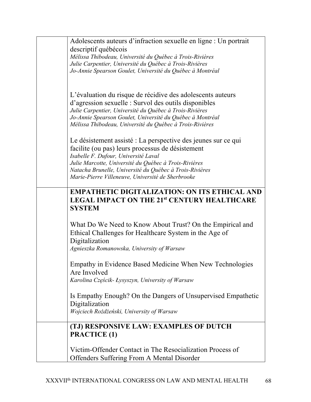| Adolescents auteurs d'infraction sexuelle en ligne : Un portrait                                                                                                                                                                                                                   |
|------------------------------------------------------------------------------------------------------------------------------------------------------------------------------------------------------------------------------------------------------------------------------------|
| descriptif québécois                                                                                                                                                                                                                                                               |
| Mélissa Thibodeau, Université du Québec à Trois-Rivières                                                                                                                                                                                                                           |
| Julie Carpentier, Université du Québec à Trois-Rivières                                                                                                                                                                                                                            |
| Jo-Annie Spearson Goulet, Université du Québec à Montréal                                                                                                                                                                                                                          |
|                                                                                                                                                                                                                                                                                    |
|                                                                                                                                                                                                                                                                                    |
| L'évaluation du risque de récidive des adolescents auteurs                                                                                                                                                                                                                         |
| d'agression sexuelle : Survol des outils disponibles                                                                                                                                                                                                                               |
| Julie Carpentier, Université du Québec à Trois-Rivières                                                                                                                                                                                                                            |
| Jo-Annie Spearson Goulet, Université du Québec à Montréal                                                                                                                                                                                                                          |
| Mélissa Thibodeau, Université du Québec à Trois-Rivières                                                                                                                                                                                                                           |
| Le désistement assisté : La perspective des jeunes sur ce qui                                                                                                                                                                                                                      |
| facilite (ou pas) leurs processus de désistement                                                                                                                                                                                                                                   |
|                                                                                                                                                                                                                                                                                    |
| Isabelle F. Dufour, Université Laval<br>Julie Marcotte, Université du Québec à Trois-Rivières                                                                                                                                                                                      |
| Natacha Brunelle, Université du Québec à Trois-Rivières                                                                                                                                                                                                                            |
| Marie-Pierre Villeneuve, Université de Sherbrooke                                                                                                                                                                                                                                  |
|                                                                                                                                                                                                                                                                                    |
| <b>EMPATHETIC DIGITALIZATION: ON ITS ETHICAL AND</b>                                                                                                                                                                                                                               |
| LEGAL IMPACT ON THE 21st CENTURY HEALTHCARE                                                                                                                                                                                                                                        |
| <b>SYSTEM</b>                                                                                                                                                                                                                                                                      |
|                                                                                                                                                                                                                                                                                    |
| What Do We Need to Know About Trust? On the Empirical and                                                                                                                                                                                                                          |
| Ethical Challenges for Healthcare System in the Age of                                                                                                                                                                                                                             |
|                                                                                                                                                                                                                                                                                    |
| Digitalization                                                                                                                                                                                                                                                                     |
| Agnieszka Romanowska, University of Warsaw                                                                                                                                                                                                                                         |
|                                                                                                                                                                                                                                                                                    |
|                                                                                                                                                                                                                                                                                    |
|                                                                                                                                                                                                                                                                                    |
|                                                                                                                                                                                                                                                                                    |
|                                                                                                                                                                                                                                                                                    |
|                                                                                                                                                                                                                                                                                    |
|                                                                                                                                                                                                                                                                                    |
|                                                                                                                                                                                                                                                                                    |
| (TJ) RESPONSIVE LAW: EXAMPLES OF DUTCH                                                                                                                                                                                                                                             |
|                                                                                                                                                                                                                                                                                    |
|                                                                                                                                                                                                                                                                                    |
| Victim-Offender Contact in The Resocialization Process of                                                                                                                                                                                                                          |
| Offenders Suffering From A Mental Disorder                                                                                                                                                                                                                                         |
| Empathy in Evidence Based Medicine When New Technologies<br>Are Involved<br>Karolina Częścik- Łysyszyn, University of Warsaw<br>Is Empathy Enough? On the Dangers of Unsupervised Empathetic<br>Digitalization<br>Wojciech Rożdżeński, University of Warsaw<br><b>PRACTICE (1)</b> |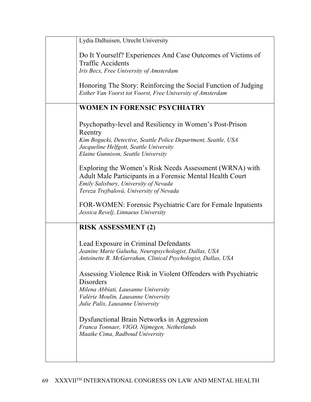| Lydia Dalhuisen, Utrecht University                                                                                                                                                                                     |
|-------------------------------------------------------------------------------------------------------------------------------------------------------------------------------------------------------------------------|
| Do It Yourself? Experiences And Case Outcomes of Victims of<br><b>Traffic Accidents</b><br>Iris Becx, Free University of Amsterdam                                                                                      |
| Honoring The Story: Reinforcing the Social Function of Judging<br>Esther Van Voorst tot Voorst, Free University of Amsterdam                                                                                            |
| <b>WOMEN IN FORENSIC PSYCHIATRY</b>                                                                                                                                                                                     |
| Psychopathy-level and Resiliency in Women's Post-Prison<br>Reentry<br>Kim Bogucki, Detective, Seattle Police Department, Seattle, USA<br>Jacqueline Helfgott, Seattle University<br>Elaine Gunnison, Seattle University |
| Exploring the Women's Risk Needs Assessment (WRNA) with<br>Adult Male Participants in a Forensic Mental Health Court<br>Emily Salisbury, University of Nevada<br>Tereza Trejbalová, University of Nevada                |
| FOR-WOMEN: Forensic Psychiatric Care for Female Inpatients<br>Jessica Revelj, Linnaeus University                                                                                                                       |
| <b>RISK ASSESSMENT (2)</b>                                                                                                                                                                                              |
| Lead Exposure in Criminal Defendants<br>Jeanine Marie Galusha, Neuropsychologist, Dallas, USA<br>Antoinette R. McGarrahan, Clinical Psychologist, Dallas, USA                                                           |
| Assessing Violence Risk in Violent Offenders with Psychiatric<br><b>Disorders</b><br>Milena Abbiati, Lausanne University<br>Valérie Moulin, Lausanne University<br>Julie Palix, Lausanne University                     |
| <b>Dysfunctional Brain Networks in Aggression</b><br>Franca Tonnaer, VIGO, Nijmegen, Netherlands<br>Maaike Cima, Radboud University                                                                                     |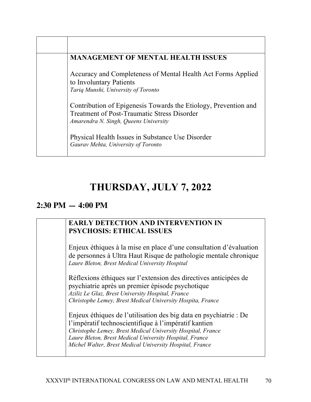| <b>MANAGEMENT OF MENTAL HEALTH ISSUES</b>                                                                                                                      |
|----------------------------------------------------------------------------------------------------------------------------------------------------------------|
| Accuracy and Completeness of Mental Health Act Forms Applied<br>to Involuntary Patients<br>Tariq Munshi, University of Toronto                                 |
| Contribution of Epigenesis Towards the Etiology, Prevention and<br><b>Treatment of Post-Traumatic Stress Disorder</b><br>Amarendra N. Singh, Queens University |
| Physical Health Issues in Substance Use Disorder<br>Gaurav Mehta, University of Toronto                                                                        |

### **THURSDAY, JULY 7, 2022**

#### **2:30 PM — 4:00 PM**

#### **EARLY DETECTION AND INTERVENTION IN PSYCHOSIS: ETHICAL ISSUES**

Enjeux éthiques à la mise en place d'une consultation d'évaluation de personnes à Ultra Haut Risque de pathologie mentale chronique *Laure Bleton, Brest Medical University Hospital*

Réflexions éthiques sur l'extension des directives anticipées de psychiatrie après un premier épisode psychotique *Aziliz Le Glaz, Brest University Hospital, France Christophe Lemey, Brest Medical University Hospita, France* 

Enjeux éthiques de l'utilisation des big data en psychiatrie : De l'impératif technoscientifique à l'impératif kantien *Christophe Lemey, Brest Medical University Hospital, France Laure Bleton, Brest Medical University Hospital, France Michel Walter, Brest Medical University Hospital, France*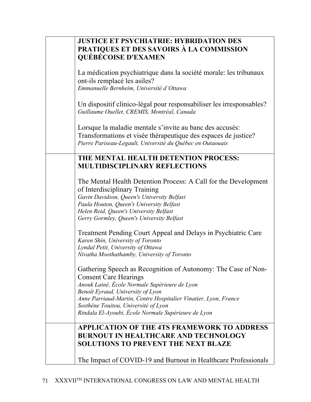| <b>JUSTICE ET PSYCHIATRIE: HYBRIDATION DES</b>                                                                      |
|---------------------------------------------------------------------------------------------------------------------|
| PRATIQUES ET DES SAVOIRS À LA COMMISSION                                                                            |
| <b>QUÉBÉCOISE D'EXAMEN</b>                                                                                          |
|                                                                                                                     |
| La médication psychiatrique dans la société morale: les tribunaux<br>ont-ils remplacé les asiles?                   |
| Emmanuelle Bernheim, Université d'Ottawa                                                                            |
|                                                                                                                     |
| Un dispositif clinico-légal pour responsabiliser les irresponsables?<br>Guillaume Ouellet, CREMIS, Montréal, Canada |
|                                                                                                                     |
| Lorsque la maladie mentale s'invite au banc des accusés:                                                            |
| Transformations et visée thérapeutique des espaces de justice?                                                      |
| Pierre Pariseau-Legault, Université du Québec en Outaouais                                                          |
|                                                                                                                     |
| THE MENTAL HEALTH DETENTION PROCESS:                                                                                |
| <b>MULTIDISCIPLINARY REFLECTIONS</b>                                                                                |
|                                                                                                                     |
| The Mental Health Detention Process: A Call for the Development                                                     |
| of Interdisciplinary Training                                                                                       |
| Gavin Davidson, Queen's University Belfast                                                                          |
| Paula Houton, Queen's University Belfast                                                                            |
| Helen Reid, Queen's University Belfast                                                                              |
|                                                                                                                     |
| Gerry Gormley, Queen's University Belfast                                                                           |
| Treatment Pending Court Appeal and Delays in Psychiatric Care<br>Karen Shin, University of Toronto                  |
| Lyndal Petit, University of Ottawa                                                                                  |
| Nivatha Moothathamby, University of Toronto                                                                         |
|                                                                                                                     |
| Gathering Speech as Recognition of Autonomy: The Case of Non-<br><b>Consent Care Hearings</b>                       |
| Anouk Lainé, École Normale Supérieure de Lyon                                                                       |
| Benoît Eyraud, University of Lyon                                                                                   |
| Anne Parriaud-Martin, Centre Hospitalier Vinatier, Lyon, France                                                     |
| Sosthène Touitou, Université of Lyon                                                                                |
| Rindala El-Ayoubi, École Normale Supérieure de Lyon                                                                 |
|                                                                                                                     |
| APPLICATION OF THE 4TS FRAMEWORK TO ADDRESS                                                                         |
| <b>BURNOUT IN HEALTHCARE AND TECHNOLOGY</b>                                                                         |
| <b>SOLUTIONS TO PREVENT THE NEXT BLAZE</b>                                                                          |
|                                                                                                                     |
|                                                                                                                     |
| The Impact of COVID-19 and Burnout in Healthcare Professionals                                                      |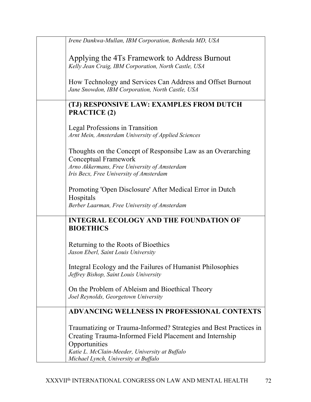| Irene Dankwa-Mullan, IBM Corporation, Bethesda MD, USA                                                                                                                                |
|---------------------------------------------------------------------------------------------------------------------------------------------------------------------------------------|
| Applying the 4Ts Framework to Address Burnout<br>Kelly Jean Craig, IBM Corporation, North Castle, USA                                                                                 |
| How Technology and Services Can Address and Offset Burnout<br>Jane Snowdon, IBM Corporation, North Castle, USA                                                                        |
| (TJ) RESPONSIVE LAW: EXAMPLES FROM DUTCH<br><b>PRACTICE (2)</b>                                                                                                                       |
| Legal Professions in Transition<br>Arnt Mein, Amsterdam University of Applied Sciences                                                                                                |
| Thoughts on the Concept of Responsibe Law as an Overarching<br><b>Conceptual Framework</b><br>Arno Akkermans, Free University of Amsterdam<br>Iris Becx, Free University of Amsterdam |
| Promoting 'Open Disclosure' After Medical Error in Dutch<br>Hospitals<br>Berber Laarman, Free University of Amsterdam                                                                 |
| <b>INTEGRAL ECOLOGY AND THE FOUNDATION OF</b><br><b>BIOETHICS</b>                                                                                                                     |
| Returning to the Roots of Bioethics<br>Jason Eberl, Saint Louis University                                                                                                            |
| Integral Ecology and the Failures of Humanist Philosophies<br>Jeffrey Bishop, Saint Louis University                                                                                  |
| On the Problem of Ableism and Bioethical Theory<br>Joel Reynolds, Georgetown University                                                                                               |
| <b>ADVANCING WELLNESS IN PROFESSIONAL CONTEXTS</b>                                                                                                                                    |
| Traumatizing or Trauma-Informed? Strategies and Best Practices in<br>Creating Trauma-Informed Field Placement and Internship<br>Opportunities                                         |
| Katie L. McClain-Meeder, University at Buffalo<br>Michael Lynch, University at Buffalo                                                                                                |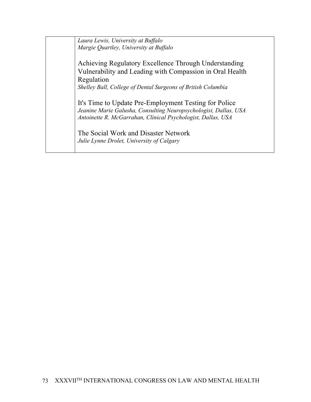*Laura Lewis, University at Buffalo Margie Quartley, University at Buffalo*

Achieving Regulatory Excellence Through Understanding Vulnerability and Leading with Compassion in Oral Health Regulation

*Shelley Ball, College of Dental Surgeons of British Columbia*

It's Time to Update Pre-Employment Testing for Police *Jeanine Marie Galusha, Consulting Neuropsychologist, Dallas, USA Antoinette R. McGarrahan, Clinical Psychologist, Dallas, USA* 

The Social Work and Disaster Network *Julie Lynne Drolet, University of Calgary*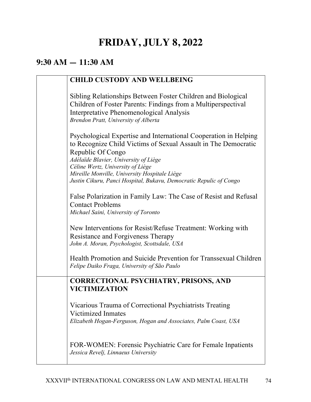# **FRIDAY, JULY 8, 2022**

## **9:30 AM — 11:30 AM**

| <b>CHILD CUSTODY AND WELLBEING</b>                                                                                                                                                                                |
|-------------------------------------------------------------------------------------------------------------------------------------------------------------------------------------------------------------------|
| Sibling Relationships Between Foster Children and Biological<br>Children of Foster Parents: Findings from a Multiperspectival<br>Interpretative Phenomenological Analysis<br>Brendon Pratt, University of Alberta |
| Psychological Expertise and International Cooperation in Helping<br>to Recognize Child Victims of Sexual Assault in The Democratic<br>Republic Of Congo<br>Adélaïde Blavier, University of Liège                  |
| Céline Wertz, University of Liège<br>Mireille Monville, University Hospitale Liège<br>Justin Cikuru, Panci Hospital, Bukavu, Democratic Repulic of Congo                                                          |
| False Polarization in Family Law: The Case of Resist and Refusal<br><b>Contact Problems</b><br>Michael Saini, University of Toronto                                                                               |
| New Interventions for Resist/Refuse Treatment: Working with<br>Resistance and Forgiveness Therapy<br>John A. Moran, Psychologist, Scottsdale, USA                                                                 |
| Health Promotion and Suicide Prevention for Transsexual Children<br>Felipe Daiko Fraga, University of São Paulo                                                                                                   |
| <b>CORRECTIONAL PSYCHIATRY, PRISONS, AND</b><br><b>VICTIMIZATION</b>                                                                                                                                              |
| Vicarious Trauma of Correctional Psychiatrists Treating<br>Victimized Inmates<br>Elizabeth Hogan-Ferguson, Hogan and Associates, Palm Coast, USA                                                                  |
| FOR-WOMEN: Forensic Psychiatric Care for Female Inpatients<br>Jessica Revelj, Linnaeus University                                                                                                                 |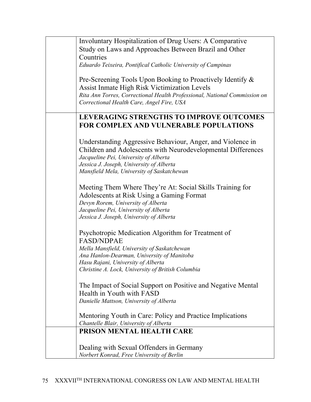| Involuntary Hospitalization of Drug Users: A Comparative                          |
|-----------------------------------------------------------------------------------|
| Study on Laws and Approaches Between Brazil and Other                             |
| Countries                                                                         |
| Eduardo Teixeira, Pontifical Catholic University of Campinas                      |
|                                                                                   |
| Pre-Screening Tools Upon Booking to Proactively Identify &                        |
| Assist Inmate High Risk Victimization Levels                                      |
| Rita Ann Torres, Correctional Health Professional, National Commission on         |
| Correctional Health Care, Angel Fire, USA                                         |
|                                                                                   |
| LEVERAGING STRENGTHS TO IMPROVE OUTCOMES                                          |
| <b>FOR COMPLEX AND VULNERABLE POPULATIONS</b>                                     |
|                                                                                   |
| Understanding Aggressive Behaviour, Anger, and Violence in                        |
| Children and Adolescents with Neurodevelopmental Differences                      |
| Jacqueline Pei, University of Alberta                                             |
| Jessica J. Joseph, University of Alberta                                          |
| Mansfield Mela, University of Saskatchewan                                        |
|                                                                                   |
| Meeting Them Where They're At: Social Skills Training for                         |
|                                                                                   |
| Adolescents at Risk Using a Gaming Format                                         |
| Devyn Rorem, University of Alberta                                                |
| Jacqueline Pei, University of Alberta<br>Jessica J. Joseph, University of Alberta |
|                                                                                   |
| Psychotropic Medication Algorithm for Treatment of                                |
|                                                                                   |
| <b>FASD/NDPAE</b>                                                                 |
| Mella Mansfield, University of Saskatchewan                                       |
| Ana Hanlon-Dearman, University of Manitoba<br>Hasu Rajani, University of Alberta  |
| Christine A. Lock, University of British Columbia                                 |
|                                                                                   |
| The Impact of Social Support on Positive and Negative Mental                      |
| Health in Youth with FASD                                                         |
|                                                                                   |
| Danielle Mattson, University of Alberta                                           |
| Mentoring Youth in Care: Policy and Practice Implications                         |
| Chantelle Blair, University of Alberta                                            |
| PRISON MENTAL HEALTH CARE                                                         |
|                                                                                   |
|                                                                                   |
| Dealing with Sexual Offenders in Germany                                          |
| Norbert Konrad, Free University of Berlin                                         |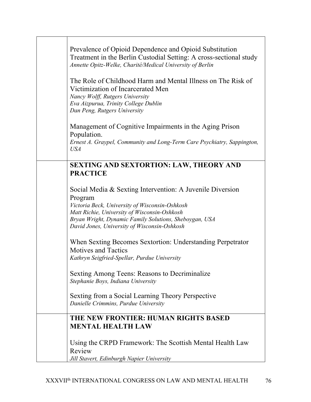| Prevalence of Opioid Dependence and Opioid Substitution<br>Treatment in the Berlin Custodial Setting: A cross-sectional study<br>Annette Opitz-Welke, Charité/Medical University of Berlin<br>The Role of Childhood Harm and Mental Illness on The Risk of<br>Victimization of Incarcerated Men<br>Nancy Wolff, Rutgers University<br>Eva Aizpurua, Trinity College Dublin<br>Dan Peng, Rutgers University<br>Management of Cognitive Impairments in the Aging Prison<br>Population.<br>Ernest A. Graypel, Community and Long-Term Care Psychiatry, Sappington,<br><b>USA</b> |
|-------------------------------------------------------------------------------------------------------------------------------------------------------------------------------------------------------------------------------------------------------------------------------------------------------------------------------------------------------------------------------------------------------------------------------------------------------------------------------------------------------------------------------------------------------------------------------|
| <b>SEXTING AND SEXTORTION: LAW, THEORY AND</b>                                                                                                                                                                                                                                                                                                                                                                                                                                                                                                                                |
| <b>PRACTICE</b>                                                                                                                                                                                                                                                                                                                                                                                                                                                                                                                                                               |
| Social Media & Sexting Intervention: A Juvenile Diversion<br>Program<br>Victoria Beck, University of Wisconsin-Oshkosh                                                                                                                                                                                                                                                                                                                                                                                                                                                        |
| Matt Richie, University of Wisconsin-Oshkosh<br>Bryan Wright, Dynamic Family Solutions, Sheboygan, USA<br>David Jones, University of Wisconsin-Oshkosh                                                                                                                                                                                                                                                                                                                                                                                                                        |
| When Sexting Becomes Sextortion: Understanding Perpetrator<br><b>Motives and Tactics</b><br>Kathryn Seigfried-Spellar, Purdue University                                                                                                                                                                                                                                                                                                                                                                                                                                      |
| Sexting Among Teens: Reasons to Decriminalize<br>Stephanie Boys, Indiana University                                                                                                                                                                                                                                                                                                                                                                                                                                                                                           |
| Sexting from a Social Learning Theory Perspective<br>Danielle Crimmins, Purdue University                                                                                                                                                                                                                                                                                                                                                                                                                                                                                     |
| THE NEW FRONTIER: HUMAN RIGHTS BASED<br><b>MENTAL HEALTH LAW</b>                                                                                                                                                                                                                                                                                                                                                                                                                                                                                                              |
| Using the CRPD Framework: The Scottish Mental Health Law<br>Review<br>Jill Stavert, Edinburgh Napier University                                                                                                                                                                                                                                                                                                                                                                                                                                                               |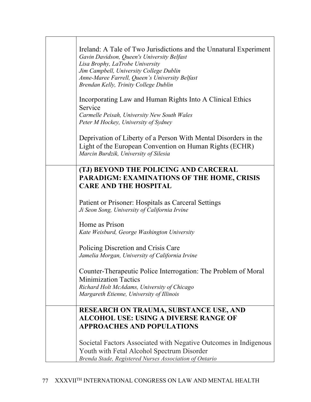| Ireland: A Tale of Two Jurisdictions and the Unnatural Experiment<br>Gavin Davidson, Queen's University Belfast<br>Lisa Brophy, LaTrobe University<br>Jim Campbell, University College Dublin<br>Anne-Maree Farrell, Queen's University Belfast<br>Brendan Kelly, Trinity College Dublin<br>Incorporating Law and Human Rights Into A Clinical Ethics |
|-------------------------------------------------------------------------------------------------------------------------------------------------------------------------------------------------------------------------------------------------------------------------------------------------------------------------------------------------------|
| Service<br>Carmelle Peisah, University New South Wales<br>Peter M Hockey, University of Sydney                                                                                                                                                                                                                                                        |
| Deprivation of Liberty of a Person With Mental Disorders in the<br>Light of the European Convention on Human Rights (ECHR)<br>Marcin Burdzik, University of Silesia                                                                                                                                                                                   |
| (TJ) BEYOND THE POLICING AND CARCERAL<br><b>PARADIGM: EXAMINATIONS OF THE HOME, CRISIS</b><br><b>CARE AND THE HOSPITAL</b>                                                                                                                                                                                                                            |
| Patient or Prisoner: Hospitals as Carceral Settings<br>Ji Seon Song, University of California Irvine                                                                                                                                                                                                                                                  |
| Home as Prison<br>Kate Weisburd, George Washington University                                                                                                                                                                                                                                                                                         |
| Policing Discretion and Crisis Care<br>Jamelia Morgan, University of California Irvine                                                                                                                                                                                                                                                                |
| Counter-Therapeutic Police Interrogation: The Problem of Moral<br><b>Minimization Tactics</b><br>Richard Holt McAdams, University of Chicago<br>Margareth Etienne, University of Illinois                                                                                                                                                             |
| <b>RESEARCH ON TRAUMA, SUBSTANCE USE, AND</b><br><b>ALCOHOL USE: USING A DIVERSE RANGE OF</b><br><b>APPROACHES AND POPULATIONS</b>                                                                                                                                                                                                                    |
| Societal Factors Associated with Negative Outcomes in Indigenous<br>Youth with Fetal Alcohol Spectrum Disorder<br>Brenda Stade, Registered Nurses Association of Ontario                                                                                                                                                                              |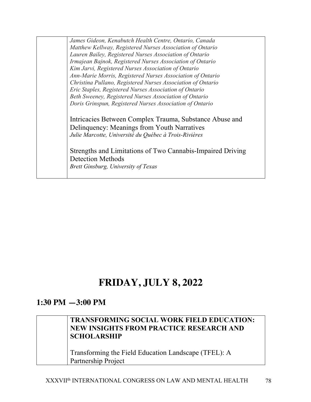*James Gideon, Kenabutch Health Centre, Ontario, Canada Matthew Kellway, Registered Nurses Association of Ontario Lauren Bailey, Registered Nurses Association of Ontario Irmajean Bajnok, Registered Nurses Association of Ontario Kim Jarvi, Registered Nurses Association of Ontario Ann-Marie Morris, Registered Nurses Association of Ontario Christina Pullano, Registered Nurses Association of Ontario Eric Staples, Registered Nurses Association of Ontario Beth Sweeney, Registered Nurses Association of Ontario Doris Grinspun, Registered Nurses Association of Ontario*  Intricacies Between Complex Trauma, Substance Abuse and

Delinquency: Meanings from Youth Narratives *Julie Marcotte, Université du Québec à Trois-Rivières*

Strengths and Limitations of Two Cannabis-Impaired Driving Detection Methods *Brett Ginsburg, University of Texas*

# **FRIDAY, JULY 8, 2022**

## **1:30 PM —3:00 PM**

## **TRANSFORMING SOCIAL WORK FIELD EDUCATION: NEW INSIGHTS FROM PRACTICE RESEARCH AND SCHOLARSHIP**

Transforming the Field Education Landscape (TFEL): A Partnership Project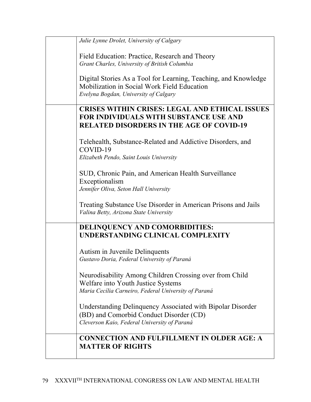| Julie Lynne Drolet, University of Calgary                                                  |
|--------------------------------------------------------------------------------------------|
| Field Education: Practice, Research and Theory                                             |
| Grant Charles, University of British Columbia                                              |
| Digital Stories As a Tool for Learning, Teaching, and Knowledge                            |
| Mobilization in Social Work Field Education                                                |
| Evelyna Bogdan, University of Calgary                                                      |
| <b>CRISES WITHIN CRISES: LEGAL AND ETHICAL ISSUES</b>                                      |
| <b>FOR INDIVIDUALS WITH SUBSTANCE USE AND</b>                                              |
| <b>RELATED DISORDERS IN THE AGE OF COVID-19</b>                                            |
| Telehealth, Substance-Related and Addictive Disorders, and                                 |
| COVID-19                                                                                   |
| Elizabeth Pendo, Saint Louis University                                                    |
| SUD, Chronic Pain, and American Health Surveillance                                        |
| Exceptionalism                                                                             |
| Jennifer Oliva, Seton Hall University                                                      |
| Treating Substance Use Disorder in American Prisons and Jails                              |
| Valina Betty, Arizona State University                                                     |
| DELINQUENCY AND COMORBIDITIES:                                                             |
| UNDERSTANDING CLINICAL COMPLEXITY                                                          |
| Autism in Juvenile Delinquents                                                             |
| Gustavo Doria, Federal University of Paraná                                                |
|                                                                                            |
| Neurodisability Among Children Crossing over from Child                                    |
| Welfare into Youth Justice Systems<br>Maria Cecilia Carneiro, Federal University of Paraná |
|                                                                                            |
| Understanding Delinquency Associated with Bipolar Disorder                                 |
| (BD) and Comorbid Conduct Disorder (CD)<br>Cleverson Kaio, Federal University of Paraná    |
|                                                                                            |
| <b>CONNECTION AND FULFILLMENT IN OLDER AGE: A</b>                                          |
| <b>MATTER OF RIGHTS</b>                                                                    |
|                                                                                            |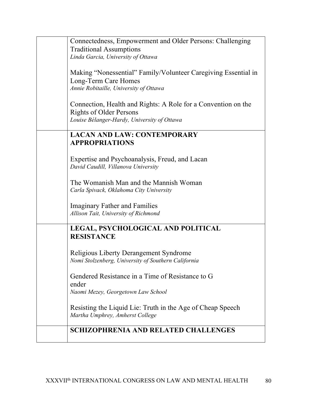| Connectedness, Empowerment and Older Persons: Challenging      |
|----------------------------------------------------------------|
| <b>Traditional Assumptions</b>                                 |
| Linda Garcia, University of Ottawa                             |
|                                                                |
|                                                                |
| Making "Nonessential" Family/Volunteer Caregiving Essential in |
| Long-Term Care Homes                                           |
| Annie Robitaille, University of Ottawa                         |
|                                                                |
| Connection, Health and Rights: A Role for a Convention on the  |
|                                                                |
| <b>Rights of Older Persons</b>                                 |
| Louise Bélanger-Hardy, University of Ottawa                    |
|                                                                |
| <b>LACAN AND LAW: CONTEMPORARY</b>                             |
| <b>APPROPRIATIONS</b>                                          |
|                                                                |
| Expertise and Psychoanalysis, Freud, and Lacan                 |
| David Caudill, Villanova University                            |
|                                                                |
|                                                                |
| The Womanish Man and the Mannish Woman                         |
| Carla Spivack, Oklahoma City University                        |
|                                                                |
| <b>Imaginary Father and Families</b>                           |
| Allison Tait, University of Richmond                           |
|                                                                |
| LEGAL, PSYCHOLOGICAL AND POLITICAL                             |
| <b>RESISTANCE</b>                                              |
|                                                                |
|                                                                |
| <b>Religious Liberty Derangement Syndrome</b>                  |
| Nomi Stolzenberg, University of Southern California            |
|                                                                |
| Gendered Resistance in a Time of Resistance to G               |
| ender                                                          |
|                                                                |
| Naomi Mezey, Georgetown Law School                             |
|                                                                |
| Resisting the Liquid Lie: Truth in the Age of Cheap Speech     |
| Martha Umphrey, Amherst College                                |
|                                                                |
| <b>SCHIZOPHRENIA AND RELATED CHALLENGES</b>                    |
|                                                                |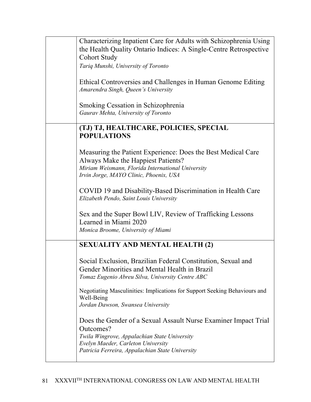| Characterizing Inpatient Care for Adults with Schizophrenia Using<br>the Health Quality Ontario Indices: A Single-Centre Retrospective<br><b>Cohort Study</b>                                                         |
|-----------------------------------------------------------------------------------------------------------------------------------------------------------------------------------------------------------------------|
| Tariq Munshi, University of Toronto                                                                                                                                                                                   |
| Ethical Controversies and Challenges in Human Genome Editing<br>Amarendra Singh, Queen's University                                                                                                                   |
| Smoking Cessation in Schizophrenia<br>Gaurav Mehta, University of Toronto                                                                                                                                             |
| (TJ) TJ, HEALTHCARE, POLICIES, SPECIAL<br><b>POPULATIONS</b>                                                                                                                                                          |
| Measuring the Patient Experience: Does the Best Medical Care<br>Always Make the Happiest Patients?<br>Miriam Weismann, Florida International University<br>Irvin Jorge, MAYO Clinic, Phoenix, USA                     |
| COVID 19 and Disability-Based Discrimination in Health Care<br>Elizabeth Pendo, Saint Louis University                                                                                                                |
| Sex and the Super Bowl LIV, Review of Trafficking Lessons<br>Learned in Miami 2020<br>Monica Broome, University of Miami                                                                                              |
| <b>SEXUALITY AND MENTAL HEALTH (2)</b>                                                                                                                                                                                |
| Social Exclusion, Brazilian Federal Constitution, Sexual and<br>Gender Minorities and Mental Health in Brazil<br>Tomaz Eugenio Abreu Silva, University Centre ABC                                                     |
| Negotiating Masculinities: Implications for Support Seeking Behaviours and<br>Well-Being<br>Jordan Dawson, Swansea University                                                                                         |
| Does the Gender of a Sexual Assault Nurse Examiner Impact Trial<br>Outcomes?<br>Twila Wingrove, Appalachian State University<br>Evelyn Maeder, Carleton University<br>Patricia Ferreira, Appalachian State University |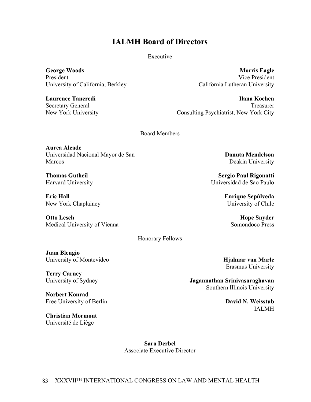## **IALMH Board of Directors**

Executive

**George Woods** President University of California, Berkley

**Laurence Tancredi** Secretary General New York University

**Morris Eagle** Vice President California Lutheran University

**Ilana Kochen** Treasurer Consulting Psychiatrist, New York City

Board Members

**Aurea Alcade** Universidad Nacional Mayor de San Marcos

**Thomas Gutheil** Harvard University

**Eric Hall** New York Chaplaincy

**Otto Lesch** Medical University of Vienna

Honorary Fellows

**Juan Blengio** University of Montevideo

**Terry Carney** University of Sydney

**Norbert Konrad** Free University of Berlin

**Christian Mormont** Université de Liège

**Danuta Mendelson** Deakin University

**Sergio Paul Rigonatti** Universidad de Sao Paulo

> **Enrique Sepúlveda** University of Chile

> > **Hope Snyder** Somondoco Press

**Hjalmar van Marle** Erasmus University

**Jagannathan Srinivasaraghavan** Southern Illinois University

> **David N. Weisstub** IALMH

**Sara Derbel** Associate Executive Director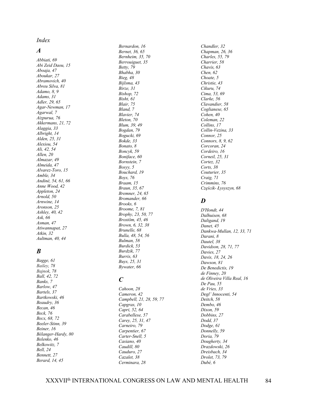*Index*

#### *A*

*Abbiati, 69 Abi Zeid Daou, 15 Aboaja, 47 Aboukar, 27 Abramovich, 40 Abreu Silva, 81 Adamo, 8, 9 Adams, 31 Adler, 29, 65 Agar-Newman, 17 Agarwal, 7 Aizpurua, 76 Akkermans, 21, 72 Alaggia, 33 Albright, 14 Alden, 25, 31 Alexiou, 54 Ali, 42, 54 Allen, 20 Almazar, 49 Almeida, 47 Alvarez-Toro, 15 Amble, 34 Andiné, 54, 61, 66 Anne Wood, 42 Appleton, 24 Arnold, 50 Arnwine, 14 Aronson, 25 Ashley, 40, 42 Ask, 66 Asman, 47 Atiwannapat, 27 Atkin, 32 Aultman, 40, 44*

### *B*

*Bagge, 61 Bailey, 78 Bajnok, 78 Ball, 42, 72 Banks, 7 Barlow, 47 Bartels, 37 Bartkowski, 46 Beaudry, 36 Becan, 46 Beck, 76 Becx, 68, 72 Beeler-Stinn, 39 Beiner, 16 Bélanger-Hardy, 80 Belenko, 46 Belkowitz, 7 Bell, 24 Bennett, 27 Berard, 14, 45*

*Bernardon, 16 Bernet, 36, 65 Bernheim, 35, 70 Berrouiguet, 35 Betty, 79 Bhabha, 30 Bieg, 48 Bijlsma, 43 Birze, 31 Bishop, 72 Bisht, 61 Blair, 75 Bland, 7 Blavier, 74 Bleton, 70 Blum, 39, 49 Bogdan, 79 Bogucki, 69 Bokde, 33 Bonato, 8 Boncyk, 59 Boniface, 60 Bornstein, 7 Bosyy, 5 Bouchard, 19 Boys, 76 Braam, 15 Braun, 35, 67 Bremner, 24, 65 Bromander, 66 Brooks, 6 Broome, 7, 81 Brophy, 23, 50, 77 Brostöm, 45, 46 Brown, 6, 32, 38 Brunelle, 68 Bulla, 48, 54, 56 Bulman, 58 Burdick, 53 Burdzik, 77 Burris, 63 Buys, 25, 31 Bywater, 66*

### *C*

*Cahoon, 28 Cameron, 42 Campbell, 21, 28, 59, 77 Capgras, 10 Capri, 52, 64 Carabellese, 57 Carey, 25, 31, 47 Carneiro, 79 Carpentier, 67 Carter-Snell, 5 Casiano, 40 Caudill, 80 Cauduro, 27 Cazalet, 38 Cerminara, 28*

*Chandler, 32 Chapman, 26, 36 Charles, 55, 79 Charrier, 58 Chavis, 63 Chen, 62 Choate, 5 Christie, 43 Cikuru, 74 Cima, 53, 69 Clarke, 56 Clavandier, 58 Coglianese, 65 Cohen, 40 Coleman, 22 Collins, 17 Collin-Vezina, 33 Connor, 25 Connors, 8, 9, 62 Corcoran, 24 Cordeiro, 16 Corneil, 25, 31 Cortez, 32 Corts, 38 Couturier, 35 Craig, 71 Crimmins, 76 Częścik- Łysyszyn, 68*

#### *D*

*D'Hondt, 44 Dalhuisen, 68 Daligand, 19 Danet, 45 Dankwa-Mullan, 12, 33, 71 Darani, 8 Dautel, 38 Davidson, 28, 71, 77 Davies, 27 Davis, 18, 24, 26 Dawson, 81 De Benedictis, 19 de Finney, 20 de Oliveira Villa Real, 16 De Pau, 55 de Vries, 33 Degl' Innocenti, 54 Deitch, 58 Dembo, 46 Dixon, 59 Dobbins, 27 Dodd, 37 Dodge, 61 Donnelly, 59 Doria, 79 Dougherty, 34 Drazdowski, 26 Dreisbach, 34 Drolet, 73, 79 Dubé, 6*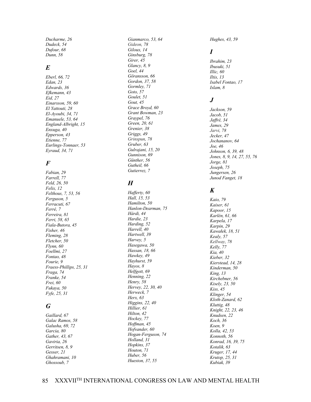*Ducharme, 26 Dudeck, 54 Dufour, 68 Dunn, 58*

#### *E*

*Eberl, 66, 72 Edan, 23 Edwards, 36 Efkemann, 43 Eid, 27 Einarsson, 59, 60 El Yattouti, 28 El-Ayoubi, 34, 71 Emanuele, 53, 64 England-Albright, 15 Enxuga, 40 Epperson, 43 Etienne, 77 Eurlings-Tonnaer, 53 Eyraud, 34, 71*

### *F*

*Fabian, 29 Farrell, 77 Feld, 26, 50 Felix, 12 Felthous, 7, 53, 56 Ferguson, 5 Ferracuti, 67 Ferré, 7 Ferreira, 81 Ferri, 58, 65 Fiala-Butora, 45 Fisher, 46 Fleming, 28 Fletcher, 50 Flynn, 60 Foellmi, 27 Fontao, 48 Fourie, 9 Fraess-Phillips, 25, 31 Fraga, 74 Franke, 54 Frei, 60 Fukaya, 50 Fyfe, 25, 31*

## *G*

*Gaillard, 67 Galac Ramos, 58 Galusha, 69, 72 Garcia, 80 Gather, 43, 67 Gaviria, 26 Gerritsen, 8, 9 Gesser, 21 Ghahramani, 10 Ghossoub, 7*

*Gianmarco, 53, 64 Gideon, 78 Giloux, 14 Ginsburg, 78 Girer, 45 Glancy, 8, 9 Goel, 44 Göransson, 66 Gordon, 37, 58 Gormley, 71 Goto, 57 Goulet, 51 Gout, 45 Grace Broyd, 60 Grant Bowman, 23 Graypel, 76 Green, 20, 61 Grenier, 38 Griggs, 49 Grinspun, 78 Gruber, 63 Gulrajani, 15, 20 Gunnison, 69 Günther, 56 Gutheil, 66 Gutierrez, 7*

## *H*

*Hafferty, 60 Hall, 15, 53 Hamilton, 50 Hanlon-Dearman, 75 Hárdi, 44 Hardie, 23 Harding, 52 Harrell, 40 Hartwell, 39 Harvey, 5 Hasegawa, 50 Hassan, 18, 66 Hawkey, 49 Hayhurst, 59 Hayos, 8 Helfgott, 69 Henning, 22 Henry, 58 Hervey, 22, 30, 40 Herweck, 7 Herx, 63 Higgins, 22, 40 Hillier, 61 Hilton, 42 Hockey, 77 Hoffman, 45 Hofvander, 60 Hogan-Ferguson, 74 Holland, 31 Hopkins, 37 Houton, 71 Huber, 56 Hueston, 37, 55*

*Hughes, 43, 59*

## *I*

*Ibrahim, 23 Ibusuki, 51 Illic, 60 Iltis, 13 Isabel Fontao, 17 Islam, 8*

## *J*

*Jackson, 59 Jacob, 51 Jaffré, 34 James, 29 Jarvi, 78 Jecker, 47 Jochananov, 64 Joe, 46 Johnson, 6, 39, 48 Jones, 8, 9, 14, 27, 55, 76 Jorge, 81 Joseph, 75 Jungersen, 26 Junod Fanget, 18*

## *K*

*Kaio, 79 Kaiser, 61 Kapoor, 15 Karlén, 61, 66 Karpela, 17 Karpin, 29 Kawałek, 18, 51 Kealy, 57 Kellway, 78 Kelly, 77 Kia, 40 Kieber, 32 Kierstead, 14, 28 Kinderman, 50 King, 13 Kirchebner, 56 Kisely, 23, 50 Kiss, 45 Klinger, 54 Kloth-Zanard, 62 Kluttig, 48 Knight, 22, 23, 46 Knudsen, 22 Koch, 36 Koen, 9 Kolla, 42, 53 Konnoth, 56 Konrad, 16, 39, 75 Kotalik, 63 Kruger, 17, 44 Krutop, 25, 31 Kubiak, 39*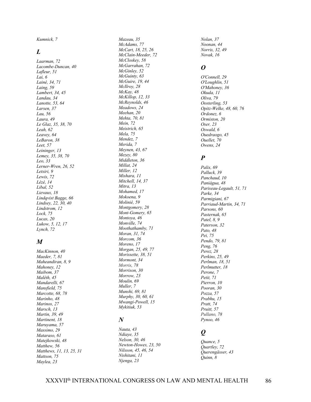*Kumnick, 7*

#### *L*

*Laarman, 72 Lacombe-Duncan, 40 Lafleur, 51 Lai, 6 Lainé, 34, 71 Laing, 59 Lambert, 34, 45 Landau, 34 Lanotte, 53, 64 Larsen, 37 Lau, 56 Laura, 49 Le Glaz, 35, 38, 70 Leah, 62 Leavey, 64 LeBaron, 38 Leet, 57 Leininger, 13 Lemey, 35, 38, 70 Leo, 33 Lerner-Wren, 26, 52 Letsiri, 9 Lewis, 72 Lézé, 14 Libal, 52 Lievaux, 18 Lindqvist Bagge, 66 Lindsey, 22, 30, 40 Lindstrom, 12 Lock, 75 Lucas, 20 Lukow, 5, 12, 17 Lynch, 72*

#### *M*

*MacKinnon, 40 Maeder, 7, 81 Maheandiran, 8, 9 Mahoney, 12 Maibom, 37 Maléth, 45 Mandarelli, 67 Mansfield, 75 Marcotte, 68, 78 Marinho, 48 Marinos, 27 Marsch, 13 Martin, 39, 49 Martinent, 18 Maruyama, 57 Massimo, 29 Mataraso, 61 Matejkowski, 48 Matthew, 56 Matthews, 11, 13, 25, 31 Mattson, 75 Maylea, 23*

*Mazeau, 35 McAdams, 77 McCart, 18, 25, 26 McClain-Meeder, 72 McCloskey, 58 McGarrahan, 72 McGinley, 52 McGuinty, 63 McGuire, 19, 44 McIlroy, 28 McKay, 48 McKillop, 12, 33 McReynolds, 46 Meadows, 24 Meehan, 20 Mehta, 70, 81 Mein, 72 Meistrich, 65 Mela, 75 Mendez, 7 Merida, 7 Meynen, 43, 67 Mezey, 80 Middleton, 36 Millat, 24 Miller, 12 Mishara, 11 Mitchell, 14, 37 Mitra, 13 Mohamed, 17 Mokoena, 9 Molinié, 59 Montgomery, 28 Mont-Gomery, 65 Montoya, 46 Monville, 74 Moothathamby, 71 Moran, 31, 74 Morcom, 36 Moreno, 17 Morgan, 25, 49, 77 Morissette, 38, 51 Mormont, 34 Morris, 78 Morrison, 30 Morrow, 23 Moulin, 69 Muller, 7 Munshi, 69, 81 Murphy, 30, 60, 61 Mwangi-Powell, 15 Mykitiuk, 53*

#### *N*

*Nauta, 43 Ndiaye, 35 Nelson, 30, 46 Newton-Howes, 23, 50 Nilsson, 45, 46, 54 Nishitani, 11 Njenga, 23*

*Nolan, 37 Noonan, 44 Norris, 32, 49 Novak, 16*

#### *O*

*O'Connell, 29 O'Loughlin, 51 O'Mahoney, 36 Okuda, 11 Oliva, 79 Oosterling, 53 Opitz-Welke, 48, 60, 76 Ordonez, 6 Ormiston, 20 Oser, 23 Oswald, 6 Ouedraogo, 45 Ouellet, 70 Owens, 24*

#### *P*

*Palix, 69 Palluck, 39 Panchaud, 10 Paniágua, 48 Pariseau-Legault, 51, 71 Parke, 34 Parmigiani, 67 Parriaud-Martin, 34, 71 Parsons, 60 Pasternak, 65 Patel, 8, 9 Paterson, 32 Pato, 48 Pei, 75 Pendo, 79, 81 Peng, 76 Perez, 28 Perkins, 25, 49 Perlman, 18, 51 Perlmutter, 18 Perone, 7 Petit, 71 Pierron, 10 Pooran, 30 Pozza, 57 Prabhu, 15 Pratt, 74 Pruitt, 57 Pullano, 78 Pynoo, 46*

## *Q*

*Quance, 5 Quartley, 72 Querengässer, 43 Quinn, 8*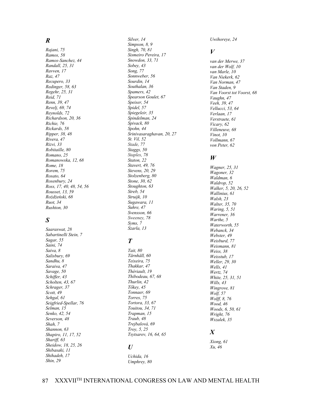#### *R*

*Rajani, 75 Ramos, 58 Ramos-Sanchez, 44 Randall, 25, 31 Ravven, 17 Raz, 47 Recupero, 33 Redinger, 58, 63 Regehr, 25, 31 Reid, 71 Renn, 39, 47 Revelj, 69, 74 Reynolds, 72 Richardson, 20, 36 Richie, 76 Rickards, 58 Ripper, 38, 48 Rivera, 47 Rizvi, 33 Robitaille, 80 Romano, 25 Romanowska, 12, 68 Rome, 18 Rorem, 75 Rosato, 64 Rosenbury, 24 Ross, 17, 40, 48, 54, 56 Rousset, 13, 59 Rożdżeński, 68 Ruot, 34 Rushton, 30*

## *S*

*Saaraswat, 28 Sabartinelli Stein, 7 Sagar, 55 Saini, 74 Saiva, 8 Salisbury, 69 Sandhu, 8 Saraiva, 47 Savage, 50 Schiffer, 43 Scholten, 43, 67 Schrager, 37 Scott, 49 Sehgal, 61 Seigfried-Spellar, 76 Selman, 15 Senko, 42, 54 Severson, 48 Shah, 7 Shannon, 63 Shapiro, 11, 17, 52 Shariff, 63 Sheidow, 18, 25, 26 Shibasaki, 11 Shihadeh, 17 Shin, 29*

*Silver, 14 Simpson, 8, 9 Singh, 70, 81 Sismeiro Pereira, 17 Snowdon, 33, 71 Sobey, 43 Song, 77 Sonnweber, 56 Sourdin, 14 Southalan, 36 Spamers, 42 Spearson Goulet, 67 Speiser, 54 Spidel, 57 Spiegeleir, 35 Spindelman, 24 Spivack, 80 Spohn, 44 Srinivasaraghavan, 20, 27 St. Vil, 52 Stade, 77 Staggs, 50 Staples, 78 Staton, 22 Stavert, 49, 76 Stevens, 20, 29 Stolzenberg, 80 Stone, 30, 62 Stoughton, 63 Streb, 54 Struijk, 10 Sugawara, 11 Suhre, 47 Svensson, 66 Sweeney, 78 Syms, 7 Szarla, 13*

## *T*

*Tait, 80 Tärnhäll, 60 Teixeira, 75 Thakkar, 47 Thériault, 19 Thibodeau, 67, 68 Thurlin, 42 Tőkey, 45 Tonnaer, 69 Torres, 75 Tortora, 33, 67 Touitou, 34, 71 Trapman, 15 Traub, 48 Trejbalová, 69 Troy, 5, 25 Tsytsarev, 16, 64, 65*

#### *U*

*Uchida, 16 Umphrey, 80* *Uwihoreye, 24*

#### *V*

*van der Merwe, 37 van der Wolf, 10 van Marle, 10 Van Niekerk, 62 Van Norman, 47 Van Staden, 9 Van Voorst tot Voorst, 68 Vaughn, 47 Veeh, 39, 47 Vellucci, 53, 64 Verlaan, 17 Verstraete, 61 Vicary, 62 Villeneuve, 68 Vinot, 10 Vollmann, 67 von Peter, 62*

#### *W*

*Wagner, 25, 31 Wagoner, 32 Waldman, 6 Waldrop, 52 Walker, 5, 20, 26, 52 Wallinius, 61 Walsh, 23 Walter, 35, 70 Waring, 5, 51 Warrener, 36 Warthe, 5 Waterworth, 55 Webanck, 34 Webster, 49 Weisburd, 77 Weismann, 81 Weiss, 38 Weisstub, 17 Weller, 29, 30 Wells, 41 Wertz, 74 White, 25, 31, 51 Wills, 43 Wingrove, 81 Wolf, 57 Wolff, 8, 76 Wood, 46 Woods, 6, 50, 61 Wright, 76 Wszalek, 35*

## *X*

*Xiong, 61 Xu, 46*